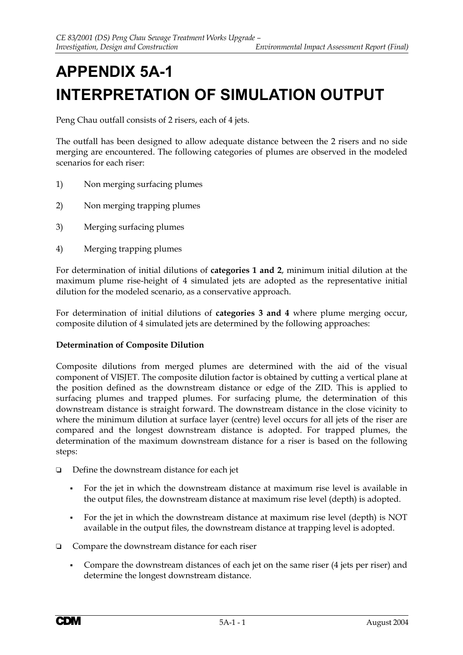# **APPENDIX 5A-1 INTERPRETATION OF SIMULATION OUTPUT**

Peng Chau outfall consists of 2 risers, each of 4 jets.

The outfall has been designed to allow adequate distance between the 2 risers and no side merging are encountered. The following categories of plumes are observed in the modeled scenarios for each riser:

- 1) Non merging surfacing plumes
- 2) Non merging trapping plumes
- 3) Merging surfacing plumes
- 4) Merging trapping plumes

For determination of initial dilutions of **categories 1 and 2**, minimum initial dilution at the maximum plume rise-height of 4 simulated jets are adopted as the representative initial dilution for the modeled scenario, as a conservative approach.

For determination of initial dilutions of **categories 3 and 4** where plume merging occur, composite dilution of 4 simulated jets are determined by the following approaches:

### **Determination of Composite Dilution**

Composite dilutions from merged plumes are determined with the aid of the visual component of VISJET. The composite dilution factor is obtained by cutting a vertical plane at the position defined as the downstream distance or edge of the ZID. This is applied to surfacing plumes and trapped plumes. For surfacing plume, the determination of this downstream distance is straight forward. The downstream distance in the close vicinity to where the minimum dilution at surface layer (centre) level occurs for all jets of the riser are compared and the longest downstream distance is adopted. For trapped plumes, the determination of the maximum downstream distance for a riser is based on the following steps:

- $\Box$  Define the downstream distance for each jet
	- For the jet in which the downstream distance at maximum rise level is available in the output files, the downstream distance at maximum rise level (depth) is adopted.
	- For the jet in which the downstream distance at maximum rise level (depth) is NOT available in the output files, the downstream distance at trapping level is adopted.
- $\Box$  Compare the downstream distance for each riser
	- Compare the downstream distances of each jet on the same riser (4 jets per riser) and determine the longest downstream distance.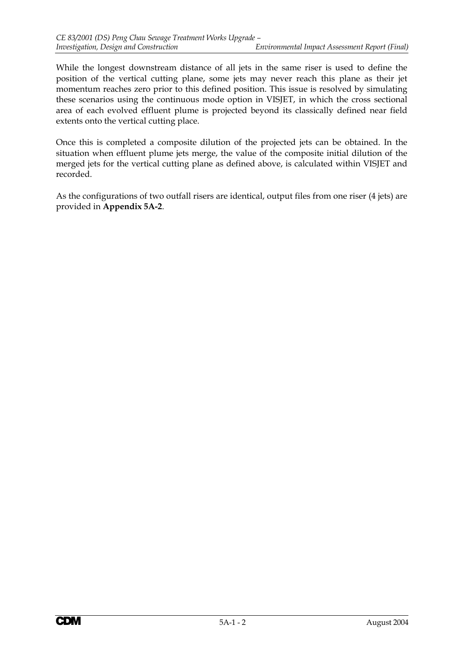While the longest downstream distance of all jets in the same riser is used to define the position of the vertical cutting plane, some jets may never reach this plane as their jet momentum reaches zero prior to this defined position. This issue is resolved by simulating these scenarios using the continuous mode option in VISJET, in which the cross sectional area of each evolved effluent plume is projected beyond its classically defined near field extents onto the vertical cutting place.

Once this is completed a composite dilution of the projected jets can be obtained. In the situation when effluent plume jets merge, the value of the composite initial dilution of the merged jets for the vertical cutting plane as defined above, is calculated within VISJET and recorded.

As the configurations of two outfall risers are identical, output files from one riser (4 jets) are provided in **Appendix 5A-2**.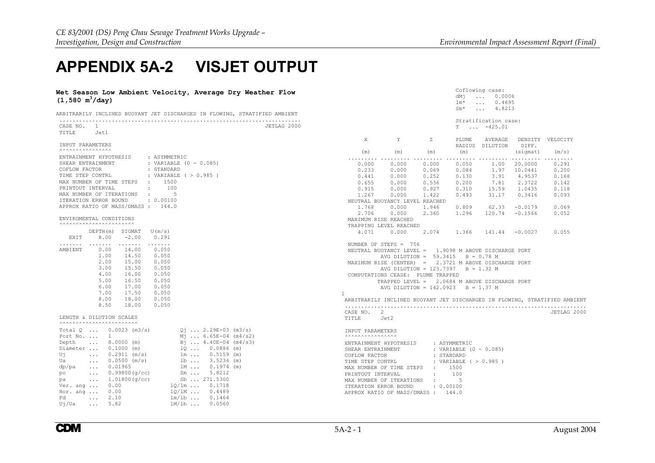Coflowing case: dMj ... 0.0006

Sm\* ... 4.8213

lm\* ... 0.4695

## **APPENDIX 5A-2 VISJET OUTPUT**

#### **Wet Season Low Ambient Velocity, Average Dry Weather Flow (1,580 m3/day)**

| ARBITRARILY INCLINED BUOYANT JET DISCHARGED IN FLOWING. STRATIFIED AMBIENT |  |  |  |  |
|----------------------------------------------------------------------------|--|--|--|--|

|                                 |                             |                                   |                                                                       |                                                     |             |                                   |                                                        |                   |                          | Stratification case: |                  |                                                                            |
|---------------------------------|-----------------------------|-----------------------------------|-----------------------------------------------------------------------|-----------------------------------------------------|-------------|-----------------------------------|--------------------------------------------------------|-------------------|--------------------------|----------------------|------------------|----------------------------------------------------------------------------|
| CASE NO. 1                      |                             |                                   |                                                                       |                                                     | JETLAG 2000 |                                   |                                                        |                   |                          | $T \dots -425.01$    |                  |                                                                            |
| TITLE                           | Jet1                        |                                   |                                                                       |                                                     |             |                                   |                                                        |                   |                          |                      |                  |                                                                            |
| INPUT PARAMETERS                |                             |                                   |                                                                       |                                                     |             | X                                 | Y                                                      | Z                 | PLUME<br>RADIUS          | AVERAGE<br>DILUTION  | DIFF.            | DENSITY VELOCITY                                                           |
| <b>^^^^^^^^^^^^^^^^^^^</b>      |                             |                                   |                                                                       |                                                     |             | (m)                               | (m)                                                    | (m)               | (m)                      |                      | (sigmat)         | (m/s)                                                                      |
| ENTRAINMENT HYPOTHESIS          |                             |                                   | : ASYMMETRIC                                                          |                                                     |             |                                   |                                                        |                   | .                        |                      |                  | .                                                                          |
| SHEAR ENTRAINMENT               |                             |                                   |                                                                       | : VARIABLE $(0 - 0.085)$                            |             | 0.000                             | 0.000                                                  | 0.000             | 0.050                    | 1.00                 | 20,0000          | 0.291                                                                      |
| COFLOW FACTOR                   |                             |                                   | : STANDARD                                                            |                                                     |             | 0.233                             | 0.000                                                  | 0.069             | 0.084                    |                      | 1.97 10.0441     | 0.200                                                                      |
| TIME STEP CONTRL                |                             |                                   |                                                                       | : VARIABLE ( > 0.985 )                              |             | 0.441                             | 0.000                                                  | 0.252             | 0.130                    | 3.91                 | 4.9537           | 0.168                                                                      |
| MAX NUMBER OF TIME STEPS        |                             |                                   | $\cdot$ 1500                                                          |                                                     |             | 0.655                             | 0.000                                                  | 0.536             | 0.200                    | 7.81                 | 2.3722           | 0.142                                                                      |
| PRINTOUT INTERVAL               |                             |                                   | <b>State Street</b><br>100                                            |                                                     |             | 0.915                             | 0.000                                                  | 0.927             | 0.310                    | 15.59                | 1.0435           | 0.118                                                                      |
| MAX NUMBER OF ITERATIONS        |                             |                                   | $\sim$ 100 $\pm$<br>-5                                                |                                                     |             | 1.267                             | 0.000                                                  | 1.422             | 0.493                    | 31.17                | 0.3416           | 0.093                                                                      |
| ITERATION ERROR BOUND           |                             |                                   | : 0.00100                                                             |                                                     |             |                                   | NEUTRAL BUOYANCY LEVEL REACHED                         |                   |                          |                      |                  |                                                                            |
|                                 |                             | APPROX RATIO OF MASS/DMASS: 144.0 |                                                                       |                                                     |             | 1.768                             | 0.000                                                  | 1.946             | 0.809                    |                      | $62.33 - 0.0179$ | 0.069                                                                      |
|                                 |                             |                                   |                                                                       |                                                     |             | 2.706                             | 0.000                                                  | 2.360             | 1.296                    | 120.74               | $-0.1566$        | 0.052                                                                      |
| ENVIROMENTAL CONDITIONS         |                             |                                   |                                                                       |                                                     |             | MAXIMUM RISE REACHED              |                                                        |                   |                          |                      |                  |                                                                            |
| <b>AAAAAAAAAAAAAAAAAAAAAA</b> A |                             |                                   |                                                                       |                                                     |             |                                   | TRAPPING LEVEL REACHED                                 |                   |                          |                      |                  |                                                                            |
|                                 |                             | $DEFTH(m)$ SIGMAT $U(m/s)$        |                                                                       |                                                     |             | 4.071                             | 0.000                                                  | 2.074             | 1.366                    | 141.44 -0.0027       |                  | 0.055                                                                      |
| EXIT                            | 8.00                        | $-2.00$                           | 0.291                                                                 |                                                     |             |                                   |                                                        |                   |                          |                      |                  |                                                                            |
| .                               |                             | .                                 | $\begin{array}{cccccccccccccc} . & . & . & . & . & . & . \end{array}$ |                                                     |             |                                   | NUMBER OF STEPS = 756                                  |                   |                          |                      |                  |                                                                            |
| AMBIENT                         | 0.00                        | 14.00                             | 0.050                                                                 |                                                     |             |                                   | NEUTRAL BUOYANCY LEVEL = 1.9098 M ABOVE DISCHARGE PORT |                   |                          |                      |                  |                                                                            |
|                                 | 1.00                        | 14.50                             | 0.050                                                                 |                                                     |             |                                   | AVG DILUTION = $59.3415$ B = 0.78 M                    |                   |                          |                      |                  |                                                                            |
|                                 | 2.00                        | 15.00                             | 0.050                                                                 |                                                     |             |                                   | MAXIMUM RISE (CENTER) = 2.3721 M ABOVE DISCHARGE PORT  |                   |                          |                      |                  |                                                                            |
|                                 | 3.00                        | 15.50                             | 0.050                                                                 |                                                     |             |                                   | AVG DILUTION = $123.7397$ B = 1.32 M                   |                   |                          |                      |                  |                                                                            |
|                                 | 4.00                        | 16.00                             | 0.050                                                                 |                                                     |             |                                   | COMPUTATIONS CEASE: PLUME TRAPPED                      |                   |                          |                      |                  |                                                                            |
|                                 | 5.00                        | 16.50                             | 0.050                                                                 |                                                     |             |                                   | TRAPPED LEVEL = 2.0684 M ABOVE DISCHARGE PORT          |                   |                          |                      |                  |                                                                            |
|                                 | 6.00                        | 17.00                             | 0.050                                                                 |                                                     |             |                                   | AVG DILUTION = $142.0923$ B = 1.37 M                   |                   |                          |                      |                  |                                                                            |
|                                 | 7.00                        | 17.50                             | 0.050                                                                 |                                                     |             | $\mathbf{1}$                      |                                                        |                   |                          |                      |                  |                                                                            |
|                                 | 8.00                        | 18.00                             | 0.050                                                                 |                                                     |             |                                   |                                                        |                   |                          |                      |                  | ARBITRARILY INCLINED BUOYANT JET DISCHARGED IN FLOWING, STRATIFIED AMBIENT |
|                                 | 8.50                        | 18.00                             | 0.050                                                                 |                                                     |             |                                   |                                                        |                   |                          |                      |                  |                                                                            |
|                                 |                             |                                   |                                                                       |                                                     |             | CASE NO.                          | 2                                                      |                   |                          |                      |                  | JETLAG 2000                                                                |
| LENGTH & DILUTION SCALES        |                             |                                   |                                                                       |                                                     |             | TITLE                             | Jet2                                                   |                   |                          |                      |                  |                                                                            |
| <b>AAAAAAAAAAAAAAAAAAAAAAA</b>  |                             |                                   |                                                                       |                                                     |             |                                   |                                                        |                   |                          |                      |                  |                                                                            |
|                                 |                             | Total Q  0.0023 (m3/s)            |                                                                       | $Qj$ 2.29E-03 (m3/s)                                |             | INPUT PARAMETERS                  |                                                        |                   |                          |                      |                  |                                                                            |
|                                 |                             | Port No. $\ldots$ 1               |                                                                       | $M_1$ 6.65E-04 (m4/s2)                              |             |                                   |                                                        |                   |                          |                      |                  |                                                                            |
| Depth                           |                             | $\ldots$ 8.0000 (m)               |                                                                       | $\overline{P}_1$ 4.40E-04 (m4/s3)<br>1Q  0.0886 (m) |             | ENTRAINMENT HYPOTHESIS            |                                                        |                   | : ASYMMETRIC             |                      |                  |                                                                            |
| Diameter  0.1000 (m)            |                             |                                   |                                                                       |                                                     |             | SHEAR ENTRAINMENT                 |                                                        |                   | : VARIABLE $(0 - 0.085)$ |                      |                  |                                                                            |
| Uj                              |                             | $\ldots$ 0.2911 (m/s)             |                                                                       | $1m$ 0.5159 (m)                                     |             | COFLOW FACTOR                     |                                                        |                   | : STANDARD               |                      |                  |                                                                            |
| Ua                              |                             | $\ldots$ 0.0500 (m/s)             |                                                                       | 1b  3.5234 (m)                                      |             | TIME STEP CONTRL                  |                                                        |                   | : VARIABLE $( > 0.985 )$ |                      |                  |                                                                            |
| dp/pa                           | $\sim$ $\sim$ $\sim$        | 0.01965                           |                                                                       | 1M  0.1974 (m)                                      |             | MAX NUMBER OF TIME STEPS          |                                                        | <b>Contractor</b> | 1500                     |                      |                  |                                                                            |
| po                              |                             | $\ldots$ 0.99800 (g/cc)           |                                                                       | $Sm \tldots \t 5.8212$                              |             | PRINTOUT INTERVAL                 |                                                        | $\mathbf{r}$      | 100                      |                      |                  |                                                                            |
| pa                              |                             | $\ldots$ 1.01800 (q/cc)           |                                                                       | Sb  271.5300                                        |             | MAX NUMBER OF ITERATIONS          |                                                        | $-1.11$           | 5                        |                      |                  |                                                                            |
| Ver. ang $\ldots$ 0.00          |                             |                                   |                                                                       | $1Q/\text{lm}$ 0.1718                               |             | ITERATION ERROR BOUND             |                                                        | : 0.00100         |                          |                      |                  |                                                                            |
| Hor. ang  0.00                  |                             |                                   |                                                                       | $1Q/IM$ 0.4489                                      |             | APPROX RATIO OF MASS/DMASS: 144.0 |                                                        |                   |                          |                      |                  |                                                                            |
| Fd                              | $\ldots$ 2.10               |                                   |                                                                       | $lm/1b$ $0.1464$                                    |             |                                   |                                                        |                   |                          |                      |                  |                                                                            |
| Uj/Ua                           | $\sim$ $\sim$ $\sim$ $\sim$ | 5.82                              |                                                                       | $1M/lb$ 0.0560                                      |             |                                   |                                                        |                   |                          |                      |                  |                                                                            |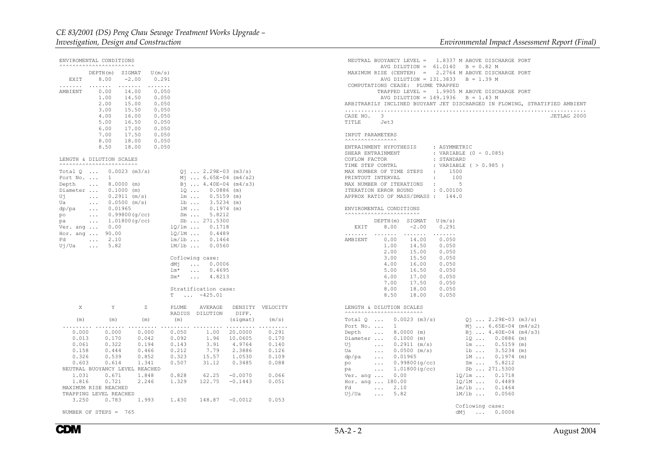|          | ENVIROMENTAL CONDITIONS                              |                                                  |                                        |                           |       | NEUTRAL BUOYANCY LEVEL = 1.8337 M ABOVE DISCHARGE PORT       |                                                                            |
|----------|------------------------------------------------------|--------------------------------------------------|----------------------------------------|---------------------------|-------|--------------------------------------------------------------|----------------------------------------------------------------------------|
|          | AAAAAAAAAAAAAAAAAAAAAAA                              |                                                  |                                        |                           |       | AVG DILUTION = $61.0140$ B = 0.82 M                          |                                                                            |
|          | DEPTH(m) SIGMAT                                      | U(m/s)                                           |                                        |                           |       | MAXIMUM RISE (CENTER) = 2.2764 M ABOVE DISCHARGE PORT        |                                                                            |
| EXIT     | 8.00                                                 | $-2.00$                                          | 0.291                                  |                           |       | AVG DILUTION = $131.3833$                                    | $B = 1.39 M$                                                               |
| .        |                                                      | $\cdots \cdots \cdots$<br>$\cdots \cdots \cdots$ |                                        |                           |       | COMPUTATIONS CEASE: PLUME TRAPPED                            |                                                                            |
| AMBIENT  | 0.00<br>1.00                                         | 14.00<br>14.50                                   | 0.050<br>0.050                         |                           |       | AVG DILUTION = $149.1936$ B = 1.43 M                         | TRAPPED LEVEL = 1.9905 M ABOVE DISCHARGE PORT                              |
|          | 2.00                                                 | 15.00                                            | 0.050                                  |                           |       |                                                              | ARBITRARILY INCLINED BUOYANT JET DISCHARGED IN FLOWING, STRATIFIED AMBIENT |
|          | 3.00                                                 | 15.50                                            | 0.050                                  |                           |       |                                                              |                                                                            |
|          | 4.00                                                 | 16.00                                            | 0.050                                  |                           |       | CASE NO. 3                                                   | JETLAG 2000                                                                |
|          | 5.00                                                 | 16.50                                            | 0.050                                  |                           |       | TITLE<br>Jet3                                                |                                                                            |
|          | 6.00                                                 | 17.00                                            | 0.050                                  |                           |       |                                                              |                                                                            |
|          | 7.00                                                 | 17.50                                            | 0.050                                  |                           |       | INPUT PARAMETERS                                             |                                                                            |
|          | 8.00                                                 | 18.00                                            | 0.050                                  |                           |       | <b>AAAAAAAAAAAAAAA</b> A                                     |                                                                            |
|          | 8.50                                                 | 18.00                                            | 0.050                                  |                           |       | ENTRAINMENT HYPOTHESIS                                       | : ASYMMETRIC                                                               |
|          |                                                      |                                                  |                                        |                           |       | SHEAR ENTRAINMENT                                            | : VARIABLE (0 - 0.085)                                                     |
|          | LENGTH & DILUTION SCALES<br>AAAAAAAAAAAAAAAAAAAAAAAA |                                                  |                                        |                           |       | : STANDARD<br>COFLOW FACTOR                                  |                                                                            |
|          | Total $Q$ 0.0023 (m3/s)                              |                                                  | $Q_1$ 2.29E-03 (m3/s)                  |                           |       | TIME STEP CONTRL<br>MAX NUMBER OF TIME STEPS<br>$\cdot$ 1500 | : VARIABLE ( > 0.985 )                                                     |
|          | Port No. $\ldots$ 1                                  |                                                  | $M_1$ 6.65E-04 (m4/s2)                 |                           |       | PRINTOUT INTERVAL<br>$\cdot$ :                               | 100                                                                        |
| Depth    | $\sim$ $\sim$ $\sim$ $\sim$                          | $8.0000$ (m)                                     | $B_1$ $4.40E-04$ (m4/s3)               |                           |       | MAX NUMBER OF ITERATIONS<br>$\sim 10$                        | $5^{\circ}$                                                                |
|          | Diameter  0.1000 (m)                                 |                                                  | $1Q$ $0.0886$ (m)                      |                           |       | : 0.00100<br>ITERATION ERROR BOUND                           |                                                                            |
| Uj       | $\ldots$ 0.2911 (m/s)                                |                                                  | 1m  0.5159 (m)                         |                           |       | APPROX RATIO OF MASS/DMASS : 144.0                           |                                                                            |
| Ua       |                                                      | $0.0500$ (m/s)                                   | $1b$ 3.5234 (m)                        |                           |       |                                                              |                                                                            |
| dp/pa    | 0.01965<br>$\sim$ $\sim$ $\sim$                      |                                                  | $lm \dots 0.1974$ (m)                  |                           |       | ENVIROMENTAL CONDITIONS                                      |                                                                            |
| po       | $\sim$ $\sim$ $\sim$                                 | 0.99800(q/cc)                                    | $Sm \tcdot 5.8212$                     |                           |       |                                                              |                                                                            |
| pa       | $\ldots$ 1.01800 (q/cc)                              |                                                  | Sb  271.5300                           |                           |       | DEPTH(m) SIGMAT<br>U(m/s)                                    |                                                                            |
| Ver. ang | 0.00                                                 |                                                  | $10/1m$ $0.1718$                       |                           |       | EXIT<br>8.00<br>$-2.00$<br>0.291                             |                                                                            |
| Fd       | Hor. ang  90.00<br>$\ldots$ 2.10                     |                                                  | $10/1M$ 0.4489<br>$lm/1b$ 0.1464       |                           |       | .<br>AMBIENT                                                 |                                                                            |
| Uj/Ua    | $\ldots$ 5.82                                        |                                                  | 1M/1b  0.0560                          |                           |       | 0.00<br>14.00<br>0.050<br>1.00<br>14.50<br>0.050             |                                                                            |
|          |                                                      |                                                  |                                        |                           |       | 2.00<br>0.050<br>15.00                                       |                                                                            |
|          |                                                      |                                                  | Coflowing case:                        |                           |       | 3.00<br>15.50<br>0.050                                       |                                                                            |
|          |                                                      |                                                  | dMj<br>$\dots$ 0.0006                  |                           |       | 4.00<br>16.00<br>0.050                                       |                                                                            |
|          |                                                      |                                                  | $lm*$<br>$\ldots$ 0.4695               |                           |       | 5.00<br>16.50<br>0.050                                       |                                                                            |
|          |                                                      |                                                  | $Sm*$<br>$\ldots$ 4.8213               |                           |       | 6.00<br>17.00<br>0.050                                       |                                                                            |
|          |                                                      |                                                  |                                        |                           |       | 17.50<br>7.00<br>0.050                                       |                                                                            |
|          |                                                      |                                                  | Stratification case:                   |                           |       | 8.00<br>18.00<br>0.050                                       |                                                                            |
|          |                                                      |                                                  | $T \dots -425.01$                      |                           |       | 8.50<br>18.00<br>0.050                                       |                                                                            |
|          | Y                                                    | Z                                                |                                        |                           |       |                                                              |                                                                            |
| X        |                                                      |                                                  | PLUME<br>AVERAGE<br>RADIUS<br>DILUTION | DENSITY VELOCITY<br>DIFF. |       | LENGTH & DILUTION SCALES<br><b>AAAAAAAAAAAAAAAAAAAAAAA</b> A |                                                                            |
| (m)      | (m)                                                  | (m)                                              | (m)                                    | (sigmat)                  | (m/s) | Total $Q_{}, Q_{0023}$ (m3/s)                                | $0i$ 2.29E-03 (m3/s)                                                       |
| .        |                                                      |                                                  | .                                      |                           |       | Port No. $\ldots$ 1                                          | $M_1$ 6.65E-04 (m4/s2)                                                     |
| 0.000    | 0.000                                                | 0.000                                            | 1.00<br>0.050                          | 20,0000                   | 0.291 | Depth  8.0000 (m)                                            | Bj  4.40E-04 (m4/s3)                                                       |
| 0.013    | 0.170                                                | 0.042                                            | 0.092                                  | 1.96 10.0605              | 0.170 | Diameter  0.1000 (m)                                         | $1Q \ldots 0.0886$ (m)                                                     |
| 0.061    | 0.322                                                | 0.194                                            | 0.143<br>3.91                          | 4.9764                    | 0.140 | <b>Service</b><br>Ui<br>$0.2911$ (m/s)                       | 1m  0.5159 (m)                                                             |
| 0.158    | 0.444                                                | 0.466                                            | 0.212<br>7.79                          | 2.3886                    | 0.126 | $\ldots$ 0.0500 (m/s)<br>Ua                                  | $1b$ $3.5234$ (m)                                                          |
| 0.326    | 0.539                                                | 0.852                                            | 0.323<br>15.57                         | 1.0530                    | 0.109 | dp/pa<br>$\ldots$ 0.01965                                    | 1M  0.1974 (m)                                                             |
| 0.603    | 0.614                                                | 1.341                                            | 0.507<br>31.12                         | 0.3485                    | 0.088 | $\ldots$ 0.99800 (g/cc)<br>po                                | $Sm \ldots 5.8212$                                                         |
|          |                                                      | NEUTRAL BUOYANCY LEVEL REACHED                   |                                        |                           |       | $\ldots$ 1.01800 (q/cc)<br>pa                                | Sb  271.5300                                                               |
| 1.031    | 0.671                                                | 1.848                                            | 0.828<br>62.25                         | $-0.0070$                 | 0.066 | Ver. ang  0.00                                               | $1Q/\text{lm}$ 0.1718                                                      |
| 1.816    | 0.721                                                | 2.246                                            | 1.329<br>122.75                        | $-0.1443$                 | 0.051 | Hor. ang  180.00                                             | 1Q/1M  0.4489                                                              |
|          | MAXIMUM RISE REACHED                                 |                                                  |                                        |                           |       | $\ldots$ 2.10<br>Fd                                          | $lm/1b$ 0.1464                                                             |
| 3.250    | TRAPPING LEVEL REACHED<br>0.783                      | 1.993                                            | 1.430<br>$148.87 - 0.0012$             |                           | 0.053 | $\ldots$ 5.82<br>Ui/Ua                                       | $1M/1b$ 0.0560                                                             |
|          |                                                      |                                                  |                                        |                           |       |                                                              | Coflowing case:                                                            |
|          | NUMBER OF STEPS = $765$                              |                                                  |                                        |                           |       |                                                              | $dM_1$ 0.0006                                                              |

**CDM**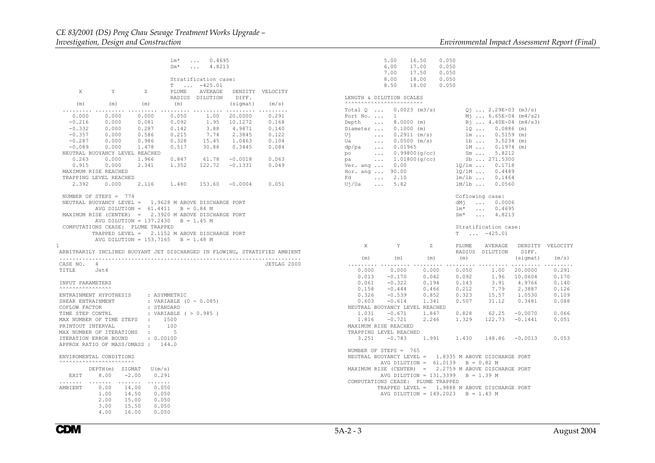|                                                                                                                                                                                                                                                         |                                                                                                                                                                                                                                                                                                                                                                                                                                                       |                                         | $Sm^{\star}$                                                           | $lm*$ 0.4695<br>4.8213<br>$\cdots$                                 |                                          |                                                                                           |
|---------------------------------------------------------------------------------------------------------------------------------------------------------------------------------------------------------------------------------------------------------|-------------------------------------------------------------------------------------------------------------------------------------------------------------------------------------------------------------------------------------------------------------------------------------------------------------------------------------------------------------------------------------------------------------------------------------------------------|-----------------------------------------|------------------------------------------------------------------------|--------------------------------------------------------------------|------------------------------------------|-------------------------------------------------------------------------------------------|
| X                                                                                                                                                                                                                                                       | Y                                                                                                                                                                                                                                                                                                                                                                                                                                                     | Z                                       | PLUME                                                                  | Stratification case:<br>$T \dots -425.01$<br>RADIUS DILUTION DIFF. | AVERAGE DENSITY VELOCITY                 |                                                                                           |
|                                                                                                                                                                                                                                                         | $(m)$ $(m)$ $(m)$                                                                                                                                                                                                                                                                                                                                                                                                                                     |                                         | (m)                                                                    |                                                                    | (sigmat)                                 | (m/s)                                                                                     |
| 0.000<br>$-0.216$<br>$-0.332$                                                                                                                                                                                                                           | 0.000<br>0.000<br>0.000<br>$\begin{array}{cccccccc} -0.357 & 0.000 & 0.586 & 0.215 & 7.74 & 2.3845 & 0.122 \\ -0.287 & 0.000 & 0.986 & 0.328 & 15.45 & 1.0463 & 0.104 \\ -0.089 & 0.000 & 1.478 & 0.517 & 30.88 & 0.3445 & 0.084 \end{array}$<br>0.000<br>NEUTRAL BUOYANCY LEVEL REACHED<br>$\begin{array}{cccccccc} 0.263 & 0.000 & 1.966 & 0.847 & 61.78 & -0.0018 & 0.063 \\ 0.915 & 0.000 & 2.341 & 1.352 & 122.72 & -0.1331 & 0.049 \end{array}$ | 0.000<br>$0.081$ $0.092$<br>0.287 0.142 | 0.050                                                                  | 3.88                                                               | 1.00  20.0000<br>1.95  10.1272<br>4.9871 | 0.291<br>0.168<br>0.140                                                                   |
| MAXIMUM RISE REACHED                                                                                                                                                                                                                                    |                                                                                                                                                                                                                                                                                                                                                                                                                                                       |                                         |                                                                        |                                                                    |                                          |                                                                                           |
|                                                                                                                                                                                                                                                         | TRAPPING LEVEL REACHED<br>2.392  0.000  2.116  1.480  153.60  -0.0004  0.051                                                                                                                                                                                                                                                                                                                                                                          |                                         |                                                                        |                                                                    |                                          |                                                                                           |
| 1<br>CASE NO. 4<br>TITLE Jet4                                                                                                                                                                                                                           | NUMBER OF STEPS $= 774$<br>NEUTRAL BUOYANCY LEVEL = 1.9628 M ABOVE DISCHARGE PORT<br>AVG DILUTION = $61.4411$ B = 0.84 M<br>MAXIMUM RISE (CENTER) = 2.3920 M ABOVE DISCHARGE PORT<br>AVG DILUTION = $137.2430$ B = 1.45 M<br>COMPUTATIONS CEASE: PLUME TRAPPED<br>TRAPPED LEVEL = 2.1152 M ABOVE DISCHARGE PORT<br>AVG DILUTION = $153.7165$ B = 1.48 M                                                                                               |                                         |                                                                        |                                                                    |                                          | ARBITRARILY INCLINED BUOYANT JET DISCHARGED IN FLOWING, STRATIFIED AMBIENT<br>JETLAG 2000 |
| INPUT PARAMETERS                                                                                                                                                                                                                                        |                                                                                                                                                                                                                                                                                                                                                                                                                                                       |                                         |                                                                        |                                                                    |                                          |                                                                                           |
| ENTRAINMENT HYPOTHESIS : ASYMMETRIC<br>SHEAR ENTRAINMENT<br>COFLOW FACTOR<br>TIME STEP CONTRL<br>MAX NUMBER OF TIME STEPS :<br>PRINTOUT INTERVAL<br>MAX NUMBER OF ITERATIONS :<br>ITERATION ERROR BOUND : 0.00100<br>APPROX RATIO OF MASS/DMASS : 144.0 |                                                                                                                                                                                                                                                                                                                                                                                                                                                       | : STANDARD<br>1500<br>$\sim$ 100 $\sim$ | : VARIABLE (0 - 0.085)<br>: VARIABLE ( > 0.985 )<br>100<br>$5^{\circ}$ |                                                                    |                                          |                                                                                           |
| ENVIROMENTAL CONDITIONS<br><b>^^^^^^^^^^^^^^^^^^^^^^^^^^^^</b>                                                                                                                                                                                          |                                                                                                                                                                                                                                                                                                                                                                                                                                                       |                                         |                                                                        |                                                                    |                                          |                                                                                           |
|                                                                                                                                                                                                                                                         | DEPTH(m) SIGMAT U(m/s)<br>EXIT 8.00 -2.00                                                                                                                                                                                                                                                                                                                                                                                                             | 0.291                                   |                                                                        |                                                                    |                                          |                                                                                           |
| AMBIENT                                                                                                                                                                                                                                                 | 0.00 14.00<br>1.00<br>14.50<br>$\begin{array}{cccc} 2.00 & 15.00 & 0.050 \\ 3.00 & 15.50 & 0.050 \end{array}$<br>4.00<br>16.00                                                                                                                                                                                                                                                                                                                        | 0.050<br>0.050<br>0.050                 |                                                                        |                                                                    |                                          |                                                                                           |

|                                                        | 5.00 16.50 0.050<br>6.00<br>7.00 17.50 0.050<br>8.00 18.00 0.050<br>8.50 18.00 0.050                                                                                                                                                                                             | 17.00 | 0.050 |                                                                                                                                                                                                                                   |  |
|--------------------------------------------------------|----------------------------------------------------------------------------------------------------------------------------------------------------------------------------------------------------------------------------------------------------------------------------------|-------|-------|-----------------------------------------------------------------------------------------------------------------------------------------------------------------------------------------------------------------------------------|--|
|                                                        | LENGTH & DILUTION SCALES<br><b>AAAAAAAAAAAAAAAAAAAAAAA</b>                                                                                                                                                                                                                       |       |       |                                                                                                                                                                                                                                   |  |
| Ui<br>Ua<br>Hor. ang  90.00<br>Fd  2.10<br>Uj/Ua  5.82 | Total $Q \dots 0.0023$ (m3/s)<br>Port No.  1<br>Depth  8.0000 (m)<br>Diameter  0.1000 (m)<br>$0.2911 \text{ (m/s)}$<br>$0.0500 \text{ (m/s)}$                                                                                                                                    |       |       | $Q_1$ 2.29E-03 (m3/s)<br>$M_1$ 6.65E-04 (m4/s2)<br>Bj  4.40E-04 (m4/s3)<br>$1Q$ 0.0886 (m)<br>$1m$ 0.5159 (m)<br>$1b$ 3.5234 (m)<br>$1M$ 0.1974 (m)<br>$\frac{10}{10}$ 0.4489<br>$\frac{1m}{10}$ 0.1464<br>$\frac{1M}{10}$ 0.0560 |  |
|                                                        |                                                                                                                                                                                                                                                                                  |       |       | Coflowing case:<br>dMj  0.0006<br>1m*  0.4695<br>Sm*  4.8213                                                                                                                                                                      |  |
|                                                        |                                                                                                                                                                                                                                                                                  |       |       | Stratification case:<br>$T \dots -425.01$                                                                                                                                                                                         |  |
| X                                                      | Y                                                                                                                                                                                                                                                                                |       |       | Z PLUME AVERAGE DENSITY VELOCITY<br>RADIUS DILUTION DIFF.                                                                                                                                                                         |  |
|                                                        | $(\textnormal{\texttt{m}}) \qquad \qquad (\textnormal{\texttt{m}}) \qquad \qquad (\textnormal{\texttt{m}}) \qquad \qquad (\textnormal{\texttt{sigmat}}) \qquad \qquad (\textnormal{\texttt{m}}/\textnormal{s})$                                                                  |       |       |                                                                                                                                                                                                                                   |  |
| 0.000                                                  | $\begin{array}{cccccccc} 0.000 & 0.000 & 0.000 & 0.000 & 0.050 & 1.00 & 20.0000 & 0.291 \\ 0.000 & 0.000 & 0.000 & 0.050 & 1.00 & 20.0000 & 0.291 \\ 0.013 & -0.170 & 0.042 & 0.092 & 1.96 & 10.0604 & 0.170 \\ 0.061 & -0.322 & 0.194 & 0.143 & 3.91 & 4.9766 & 0.140 \\ 0.158$ |       |       |                                                                                                                                                                                                                                   |  |
|                                                        |                                                                                                                                                                                                                                                                                  |       |       |                                                                                                                                                                                                                                   |  |
|                                                        | NEUTRAL BUOYANCY LEVEL REACHED<br>1.031 -0.671 1.847 0.828 62.25 -0.0070 0.066<br>1.816 -0.721 2.246 1.329 122.73 -0.1441 0.051<br>MAXIMUM RISE REACHED<br>TRAPPING LEVEL REACHED                                                                                                |       |       |                                                                                                                                                                                                                                   |  |
|                                                        | $3.251$ -0.783 1.991 1.430 148.86 -0.0013 0.053                                                                                                                                                                                                                                  |       |       |                                                                                                                                                                                                                                   |  |
|                                                        | NUMBER OF STEPS = 765<br>NEUTRAL BUOYANCY LEVEL = 1.8335 M ABOVE DISCHARGE PORT<br>AVG DILUTION = $61.0139$ B = 0.82 M<br>MAXIMUM RISE (CENTER) = 2.2759 M ABOVE DISCHARGE PORT<br>AVG DILUTION = 131.3399 B = 1.39 M<br>COMPUTATIONS CEASE: PLUME TRAPPED                       |       |       |                                                                                                                                                                                                                                   |  |
|                                                        | TRAPPED LEVEL = 1.9888 M ABOVE DISCHARGE PORT<br>AVG DILUTION = $149.2023$ B = 1.43 M                                                                                                                                                                                            |       |       |                                                                                                                                                                                                                                   |  |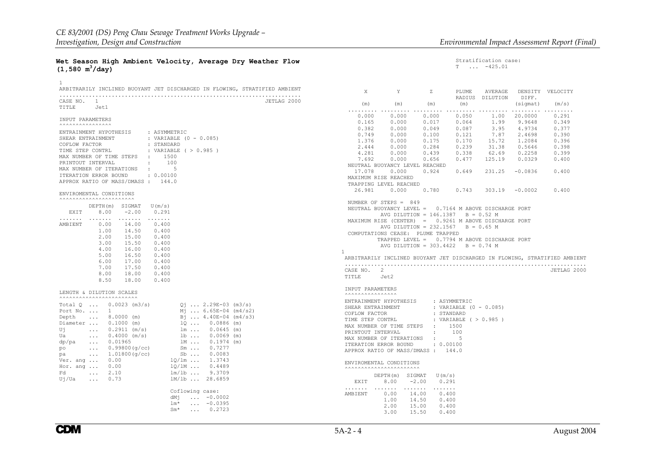#### Stratification case: T ... -425.01

|                                  |  | Wet Season High Ambient Velocity, Average Dry Weather Flow |  |  |
|----------------------------------|--|------------------------------------------------------------|--|--|
| $(1,580 \text{ m}^3/\text{day})$ |  |                                                            |  |  |

| 1<br>ARBITRARILY INCLINED BUOYANT JET DISCHARGED IN FLOWING, STRATIFIED AMBIENT                                                                                                                                                                                                                                                                                                                                                                                                                                                                                                                                                                                                                            |                                                                                                                                                                                                                                                                                                                                                                                                                                               |                                                                                                                 |                                                                                                                                                                                                                |             |
|------------------------------------------------------------------------------------------------------------------------------------------------------------------------------------------------------------------------------------------------------------------------------------------------------------------------------------------------------------------------------------------------------------------------------------------------------------------------------------------------------------------------------------------------------------------------------------------------------------------------------------------------------------------------------------------------------------|-----------------------------------------------------------------------------------------------------------------------------------------------------------------------------------------------------------------------------------------------------------------------------------------------------------------------------------------------------------------------------------------------------------------------------------------------|-----------------------------------------------------------------------------------------------------------------|----------------------------------------------------------------------------------------------------------------------------------------------------------------------------------------------------------------|-------------|
| CASE NO. 1<br>TITLE Jet1                                                                                                                                                                                                                                                                                                                                                                                                                                                                                                                                                                                                                                                                                   |                                                                                                                                                                                                                                                                                                                                                                                                                                               |                                                                                                                 |                                                                                                                                                                                                                | JETLAG 2000 |
| INPUT PARAMETERS<br><b>AAAAAAAAAAAAAAA</b>                                                                                                                                                                                                                                                                                                                                                                                                                                                                                                                                                                                                                                                                 |                                                                                                                                                                                                                                                                                                                                                                                                                                               |                                                                                                                 |                                                                                                                                                                                                                |             |
| ENTRAINMENT HYPOTHESIS : ASYMMETRIC<br>SHEAR ENTRAINMENT<br>COFLOW FACTOR<br>TIME STEP CONTRL<br>$\begin{tabular}{lllllllll} & & & & & & & & & & \\ \hline & & & & & & & & & \\ \hline MAX NUMBER OF TIME STEPS & : & & & & & & \\ \hline \end{tabular} \begin{tabular}{lllllllllll} & & & & & & & & \\ \hline \multicolumn{3}{lllllll} & & & & & & \\ \multicolumn{3}{lllllllll} & & & & & & \\ \multicolumn{3}{lllllllll} & & & & & & \\ \multicolumn{3}{lllllllll} & & & & & & \\ \multicolumn{3}{lllllllll} & & & & & & \\ \multicolumn{3}{lllllllll} & & & & & & \\ \multicolumn{3}{lllllllll}$<br>MAX NUMBER OF ITERATIONS :<br>ITERATION ERROR BOUND : 0.00100<br>APPROX RATIO OF MASS/DMASS: 144.0 | : STANDARD                                                                                                                                                                                                                                                                                                                                                                                                                                    | : VARIABLE (0 - 0.085)<br>$5^{\circ}$                                                                           |                                                                                                                                                                                                                |             |
| ENVIROMENTAL CONDITIONS<br><b>^^^^^^^^^^^^^^^^^^^^^^^^^^^</b> ^                                                                                                                                                                                                                                                                                                                                                                                                                                                                                                                                                                                                                                            |                                                                                                                                                                                                                                                                                                                                                                                                                                               |                                                                                                                 |                                                                                                                                                                                                                |             |
| EXIT 8.00 -2.00 0.291                                                                                                                                                                                                                                                                                                                                                                                                                                                                                                                                                                                                                                                                                      | $\mathtt{DEPTH}\left( \mathfrak{m}\right) \quad \mathtt{SIGMAT} \quad \mathtt{U}\left( \mathfrak{m}/\mathtt{s}\right)$                                                                                                                                                                                                                                                                                                                        |                                                                                                                 |                                                                                                                                                                                                                |             |
| AMBIENT<br>1.00                                                                                                                                                                                                                                                                                                                                                                                                                                                                                                                                                                                                                                                                                            | $0.00$ $14.00$ $0.400$<br>14.50<br>0.400<br>$\begin{array}{cccc} 2.00 & \quad 15.00 & \quad 0.400 \\ 3.00 & \quad 15.50 & \quad 0.400 \end{array}$<br>$\begin{array}{cccc} 4\,.\,00 & \quad 16\,.\,00 & \quad 0\,.4\,00 \\ 5\,.\,00 & \quad 16\,.\,50 & \quad 0\,.4\,00 \\ 6\,.\,00 & \quad 17\,.\,00 & \quad 0\,.4\,00 \\ \end{array}$<br>$\begin{array}{cccc} 7.00 & 17.50 & 0.400 \\ 8.00 & 18.00 & 0.400 \end{array}$<br>8.50 18.00 0.400 |                                                                                                                 |                                                                                                                                                                                                                |             |
| LENGTH & DILUTION SCALES<br><b>^^^^^^^^^^^^^^^^^^^^^^^^^^^^</b> ^                                                                                                                                                                                                                                                                                                                                                                                                                                                                                                                                                                                                                                          |                                                                                                                                                                                                                                                                                                                                                                                                                                               |                                                                                                                 |                                                                                                                                                                                                                |             |
| Total Q $0.0023$ (m3/s) $Qj$ $2.29E-03$ (m3/s)<br>Port No. $1$<br>Depth  8.0000 (m)<br>Diameter $0.1000$ (m)<br>Uj $0.2911 \text{ (m/s)}$<br>Ua $0.4000 \text{ (m/s)}$<br>$\ldots$ 0.01965<br>dp/pa<br>po<br>$\ldots$ 1.01800(g/cc)<br>pa<br>Ver. ang  0.00<br>Hor. ang  0.00<br>Fd  2.10<br>$U_1/Ua$ 0.73                                                                                                                                                                                                                                                                                                                                                                                                 | $\ldots$ 0.99800 (g/cc)                                                                                                                                                                                                                                                                                                                                                                                                                       | $Sm$ 0.7277<br>Sb  0.0083<br>$10/1m$ $1.3743$<br>$1Q/1M$ 0.4489<br>$9.3709$<br>$lm/1b$ 9.3709<br>1M/1b  28.6859 | $M_1$ 6.65E-04 (m4/s2)<br>$B_1$ 4.40E-04 (m4/s3)<br>$1Q  0.0886$ (m)<br>$\begin{array}{cccc} \text{Im} & \dots & 0.0645 & \text{(m)} \\ \text{lb} & \dots & 0.0069 & \text{(m)} \end{array}$<br>1M  0.1974 (m) |             |
|                                                                                                                                                                                                                                                                                                                                                                                                                                                                                                                                                                                                                                                                                                            |                                                                                                                                                                                                                                                                                                                                                                                                                                               | Coflowing case:<br>dMj $ -0.0002$<br>lm*<br>$Sm*$<br>$\ldots$ 0.2723                                            | $\ldots -0.0395$                                                                                                                                                                                               |             |

| X                                          | Y                                                                                                                                                                                                                                                                                                                                                        | Ζ                                                      |                                                                    | PLUME AVERAGE<br>RADIUS DILUTION | DIFF.                                                | DENSITY VELOCITY                                                           |
|--------------------------------------------|----------------------------------------------------------------------------------------------------------------------------------------------------------------------------------------------------------------------------------------------------------------------------------------------------------------------------------------------------------|--------------------------------------------------------|--------------------------------------------------------------------|----------------------------------|------------------------------------------------------|----------------------------------------------------------------------------|
| (m)                                        | $(m)$ $(m)$                                                                                                                                                                                                                                                                                                                                              |                                                        | (m)                                                                |                                  | (sigmat)                                             | (m/s)                                                                      |
| 0.165                                      | $0.000$ $0.000$ $0.000$ $0.050$                                                                                                                                                                                                                                                                                                                          |                                                        |                                                                    |                                  | 1.00 20.0000<br>9.9648                               | 0.291<br>0.349                                                             |
| 0.382<br>0.749                             | 0.000<br>0.000<br>0.000                                                                                                                                                                                                                                                                                                                                  | 0.100                                                  | 0.121                                                              | 7.87                             | 1.99 9.9648<br>3.95 4.9734<br>2.4698                 | 0.377<br>0.390                                                             |
| 1.376<br>2.444                             | $0.000$<br>$0.000$                                                                                                                                                                                                                                                                                                                                       | 0.175<br>0.284                                         |                                                                    |                                  | $0.170$ $15.72$ $1.2084$<br>$0.239$ $31.38$ $0.5646$ | 0.396<br>0.398                                                             |
| 4.281                                      | $4.281$ 0.000 0.439 0.338 62.69 0.2258 0.399<br>7.692 0.000 0.656 0.477 125.19 0.0329 0.400                                                                                                                                                                                                                                                              |                                                        |                                                                    |                                  |                                                      |                                                                            |
|                                            | NEUTRAL BUOYANCY LEVEL REACHED<br>17.078  0.000  0.924  0.649  231.25  -0.0836  0.400<br>MAXIMUM RISE REACHED<br>TRAPPING LEVEL REACHED                                                                                                                                                                                                                  |                                                        |                                                                    |                                  |                                                      |                                                                            |
|                                            | 26.981  0.000  0.780  0.743  303.19  -0.0002  0.400                                                                                                                                                                                                                                                                                                      |                                                        |                                                                    |                                  |                                                      |                                                                            |
| 1                                          | NUMBER OF STEPS $= 849$<br>NEUTRAL BUOYANCY LEVEL = 0.7164 M ABOVE DISCHARGE PORT<br>AVG DILUTION = $146.1387$ B = 0.52 M<br>MAXIMUM RISE (CENTER) = 0.9261 M ABOVE DISCHARGE PORT<br>AVG DILUTION = $232.1567$ B = 0.65 M<br>COMPUTATIONS CEASE: PLUME TRAPPED<br>TRAPPED LEVEL = 0.7794 M ABOVE DISCHARGE PORT<br>AVG DILUTION = $303.4422$ B = 0.74 M |                                                        |                                                                    |                                  |                                                      |                                                                            |
|                                            |                                                                                                                                                                                                                                                                                                                                                          |                                                        |                                                                    |                                  |                                                      | ARBITRARILY INCLINED BUOYANT JET DISCHARGED IN FLOWING, STRATIFIED AMBIENT |
| CASE NO. 2<br>TITLE Jet2                   |                                                                                                                                                                                                                                                                                                                                                          |                                                        |                                                                    |                                  |                                                      | JETLAG 2000                                                                |
| INPUT PARAMETERS<br><b>AAAAAAAAAAAAAAA</b> |                                                                                                                                                                                                                                                                                                                                                          |                                                        |                                                                    |                                  |                                                      |                                                                            |
| COFLOW FACTOR<br>PRINTOUT INTERVAL         | ENTRAINMENT HYPOTHESIS : ASYMMETRIC<br>SHEAR ENTRAINMENT<br>TIME STEP CONTRL<br>MAX NUMBER OF TIME STEPS : 1500<br>MAX NUMBER OF ITERATIONS :<br>ITERATION ERROR BOUND : 0.00100<br>APPROX RATIO OF MASS/DMASS: 144.0                                                                                                                                    | : STANDARD<br>$\sim$ 100 $\sim$                        | : VARIABLE $(0 - 0.085)$<br>: VARIABLE ( $> 0.985$ )<br>100<br>- 5 |                                  |                                                      |                                                                            |
|                                            | ENVIROMENTAL CONDITIONS<br><b>AAAAAAAAAAAAAAAAAAAAAA</b>                                                                                                                                                                                                                                                                                                 |                                                        |                                                                    |                                  |                                                      |                                                                            |
| EXIT                                       | $DEFH(m)$ SIGMAT $U(m/s)$<br>8.00                                                                                                                                                                                                                                                                                                                        | $-2.00$<br>0.291                                       |                                                                    |                                  |                                                      |                                                                            |
| .<br>AMBIENT                               | $0.00$ 14.00 0.400<br>1.00                                                                                                                                                                                                                                                                                                                               | 14.50<br>0.400<br>2.00 15.00 0.400<br>3.00 15.50 0.400 |                                                                    |                                  |                                                      |                                                                            |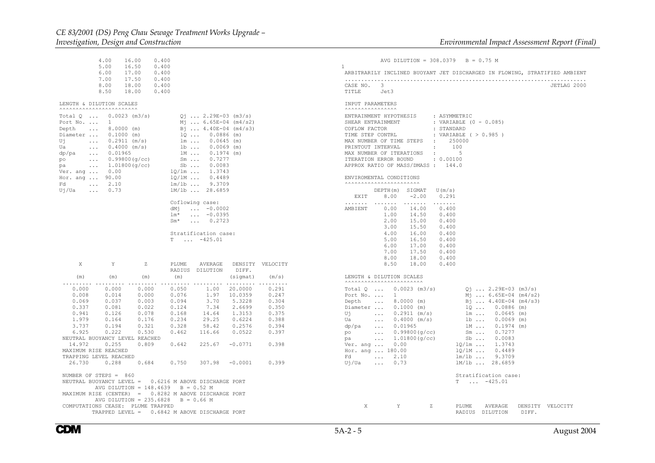Total Q ...  $0.0023$  (m3/s)  $Qj$  ... 2.29E-03 (m3/s) Port No. ... 1  $M_1^2$  ... 6.65E-04 (m4/s2)<br>Depth ... 8.0000 (m) <br>Bj ... 4.40E-04 (m4/s3)

Diameter ...  $0.1000$  (m)  $10$  ... 0.0886 (m) Uj ...  $0.2911 \text{ (m/s)}$   $1 \text{ m}$  ...  $0.0645 \text{ (m)}$ <br>Ua ...  $0.4000 \text{ (m/s)}$   $1 \text{ b}$  ...  $0.0069 \text{ (m)}$ Ua ... 0.4000 (m/s) lb ... 0.0069 (m)<br>dp/pa ... 0.01965 lM ... 0.1974 (m) dp/pa ...  $0.01965$   $1M$  ...  $0.1974$ <br>po ...  $0.99800(g/cc)$   $5m$  ...  $0.7277$ 

pa ... 1.01800(g/cc) Sb ... 0.0083<br>Ver. ang ... 0.00 10/1m ... 1.3743 Ver. ang ... 0.00 <br>Hor. ang ... 90.00 <br> $10/1M$  ... 0.4489 Hor. ang ...  $90.00$   $\frac{10}{10}$  ...  $0.4489$ <br>Fd ...  $2.10$   $\frac{10}{10}$  ...  $9.3709$ 

Sm\* ... 0.2723

T ... -425.01

NEUTRAL BUOYANCY LEVEL REACHED

 MAXIMUM RISE REACHEDTRAPPING LEVEL REACHED

 LENGTH & DILUTION SCALES^^^^^^^^^^^^^^^^^^^^^^^^

Depth ... 8.0000 (m)

 $Fd$  ... 2.10

 $U_1/Ua$  ... 0.73

| 4.00<br>5.00                                                                                                                                                                                                                                               | 16.00<br>16.50                                                                                                                                                                                                    | 0.400<br>0.400                                                                         |                                                                                                                                                                                                                                                      |                                                                                                          |                                                                                        | AVG DILUTION = $308.0379$ B = 0.75 M<br>$\mathbf{1}$                                                                                                                                                                                                                                                                                                                                                                                                                                                                                                                                                                                                                                                     |
|------------------------------------------------------------------------------------------------------------------------------------------------------------------------------------------------------------------------------------------------------------|-------------------------------------------------------------------------------------------------------------------------------------------------------------------------------------------------------------------|----------------------------------------------------------------------------------------|------------------------------------------------------------------------------------------------------------------------------------------------------------------------------------------------------------------------------------------------------|----------------------------------------------------------------------------------------------------------|----------------------------------------------------------------------------------------|----------------------------------------------------------------------------------------------------------------------------------------------------------------------------------------------------------------------------------------------------------------------------------------------------------------------------------------------------------------------------------------------------------------------------------------------------------------------------------------------------------------------------------------------------------------------------------------------------------------------------------------------------------------------------------------------------------|
| 6.00<br>7.00                                                                                                                                                                                                                                               | 17.00<br>17.50                                                                                                                                                                                                    | 0.400<br>0.400                                                                         |                                                                                                                                                                                                                                                      |                                                                                                          |                                                                                        | ARBITRARILY INCLINED BUOYANT JET DISCHARGED IN FLOWING, STRATIFIED AMBIENT                                                                                                                                                                                                                                                                                                                                                                                                                                                                                                                                                                                                                               |
| 8.00<br>8.50                                                                                                                                                                                                                                               | 18.00<br>18.00                                                                                                                                                                                                    | 0.400<br>0.400                                                                         |                                                                                                                                                                                                                                                      |                                                                                                          |                                                                                        | CASE NO. 3<br>JETLAG 2000<br>TITLE<br>Jet3                                                                                                                                                                                                                                                                                                                                                                                                                                                                                                                                                                                                                                                               |
| NGTH & DILUTION SCALES                                                                                                                                                                                                                                     |                                                                                                                                                                                                                   |                                                                                        |                                                                                                                                                                                                                                                      |                                                                                                          |                                                                                        | INPUT PARAMETERS<br><b>AAAAAAAAAAAAAAA</b> A                                                                                                                                                                                                                                                                                                                                                                                                                                                                                                                                                                                                                                                             |
| al 0<br>ct No.<br>⊃th<br>$\sim$ $\sim$ $\sim$ $\sim$<br>ameter<br>$\sim 100$<br>$\sim 100$<br>/pa<br>$\sim 100$ km s $^{-1}$<br>$\sim 100$<br>$\sim 100$<br>$\ldots$ and $\ldots$<br>c. ang<br>$\sim 100$ km $^{-1}$<br>/Ua<br>$\sim$ $\sim$ $\sim$ $\sim$ | $0.0023$ (m3/s)<br>1<br>$8.0000$ (m)<br>$0.1000$ (m)<br>$0.2911$ (m/s)<br>$0.4000$ (m/s)<br>0.01965<br>0.99800(q/cc)<br>1.01800(g/cc)<br>0.00<br>90.00<br>2.10<br>0.73                                            | $1b \ldots$<br>1M<br>$Sm \ldots$<br>$Sb$<br>$1Q/\text{lm}$<br>$10/1M$                  | $Q_1$ 2.29E-03 (m3/s)<br>$M_1$ 6.65E-04 (m4/s2)<br>$B_1$ 4.40E-04 (m4/s3)<br>$1Q 0.0886$ (m)<br>$lm \dots 0.0645 (m)$<br>$0.0069$ (m)<br>$0.1974$ (m)<br>0.7277<br>0.0083<br>1.3743<br>0.4489<br>$lm/1b$ 9.3709<br>1M/1b  28.6859<br>Coflowing case: |                                                                                                          |                                                                                        | ENTRAINMENT HYPOTHESIS<br>: ASYMMETRIC<br>SHEAR ENTRAINMENT<br>: VARIABLE $(0 - 0.085)$<br>COFLOW FACTOR<br>: STANDARD<br>TIME STEP CONTRL<br>: VARIABLE ( > 0.985 )<br>MAX NUMBER OF TIME STEPS<br>250000<br><b>Contract</b><br>100<br>PRINTOUT INTERVAL<br>$\ddot{\phantom{a}}$<br>MAX NUMBER OF ITERATIONS<br>5<br>$\sim$ 100<br>: 0.00100<br>ITERATION ERROR BOUND<br>APPROX RATIO OF MASS/DMASS : 144.0<br>ENVIROMENTAL CONDITIONS<br><b>AAAAAAAAAAAAAAAAAAAAAA</b> A<br>DEPTH(m) SIGMAT<br>U(m/s)<br>8.00<br>$-2.00$<br>0.291<br>EXIT<br>1.1.1.1.1.1<br>.<br>$\mathcal{L}$ . The second second second $\mathcal{L}$                                                                                |
|                                                                                                                                                                                                                                                            |                                                                                                                                                                                                                   | dMi<br>$lm*$<br>$Sm*$                                                                  | $\ldots -0.0002$<br>$\ldots -0.0395$<br>$\ldots$ 0.2723<br>Stratification case:<br>$T \dots -425.01$                                                                                                                                                 |                                                                                                          |                                                                                        | AMBIENT<br>0.00<br>14.00<br>0.400<br>1.00<br>14.50<br>0.400<br>2.00<br>15.00<br>0.400<br>3.00<br>0.400<br>15.50<br>4.00<br>16.00<br>0.400<br>5.00<br>16.50<br>0.400<br>6.00<br>17.00<br>0.400<br>7.00<br>17.50<br>0.400<br>18.00<br>8.00<br>0.400                                                                                                                                                                                                                                                                                                                                                                                                                                                        |
| X                                                                                                                                                                                                                                                          | Y<br>z                                                                                                                                                                                                            | PLUME<br>RADIUS                                                                        | AVERAGE<br>DILUTION                                                                                                                                                                                                                                  | DIFF.                                                                                                    | DENSITY VELOCITY                                                                       | 8.50<br>18.00<br>0.400                                                                                                                                                                                                                                                                                                                                                                                                                                                                                                                                                                                                                                                                                   |
| (m)                                                                                                                                                                                                                                                        | (m)<br>(m)<br>.                                                                                                                                                                                                   | (m)<br>.                                                                               |                                                                                                                                                                                                                                                      | (siqmat)<br>.                                                                                            | (m/s)<br>.                                                                             | LENGTH & DILUTION SCALES<br><b>AAAAAAAAAAAAAAAAAAAAAAA</b>                                                                                                                                                                                                                                                                                                                                                                                                                                                                                                                                                                                                                                               |
| 0.000<br>0.008<br>0.069<br>0.337<br>0.941<br>1.979<br>3.737<br>6.925<br>14.972<br><b>AXIMUM RISE REACHED</b><br>RAPPING LEVEL REACHED<br>26.730                                                                                                            | 0.000<br>0.000<br>0.014<br>0.000<br>0.037<br>0.003<br>0.081<br>0.022<br>0.126<br>0.078<br>0.164<br>0.176<br>0.194<br>0.321<br>0.222<br>0.530<br>EUTRAL BUOYANCY LEVEL REACHED<br>0.809<br>0.255<br>0.288<br>0.684 | 0.050<br>0.076<br>0.094<br>0.124<br>0.168<br>0.234<br>0.328<br>0.462<br>0.642<br>0.750 | 1.00<br>1.97<br>3.70<br>7.34<br>14.64<br>29.25<br>58.42<br>116.66<br>225.67<br>307.98                                                                                                                                                                | 20.0000<br>10.0359<br>5.3228<br>2.6699<br>1.3153<br>0.6224<br>0.2576<br>0.0522<br>$-0.0771$<br>$-0.0001$ | 0.291<br>0.247<br>0.304<br>0.350<br>0.375<br>0.388<br>0.394<br>0.397<br>0.398<br>0.399 | Total $Q$ 0.0023 (m3/s)<br>$Q_1$ 2.29E-03 (m3/s)<br>$M_1$ 6.65E-04 (m4/s2)<br>Port No. $\ldots$ 1<br>$B_1$ 4.40E-04 (m4/s3)<br>Depth<br>$\dots$ 8.0000 (m)<br>Diameter  0.1000 (m)<br>$1Q$ $0.0886$ (m)<br>Uj<br>$\ldots$ 0.2911 (m/s)<br>$lm \dots 0.0645 (m)$<br>$0.4000$ (m/s)<br>$1b$<br>Ua<br>$0.0069$ (m)<br>$\mathbf{1}$ , and $\mathbf{1}$<br>$\ldots$ 0.01965<br>1M<br>dp/pa<br>$0.1974$ (m)<br>0.99800(q/cc)<br>$Sm \t \t0.7277$<br>po<br>$\sim 100$<br>1.01800(q/cc)<br>$Sb$<br>$\sim 100$<br>0.0083<br>pa<br>$1Q/\text{lm}$ 1.3743<br>Ver. ang<br>0.00<br>Hor. ang  180.00<br>$10/1M$<br>0.4489<br>2.10<br>$lm/1b$ 9.3709<br>Fd<br>$\cdots$<br>0.73<br>Uj/Ua<br>$\sim 100$<br>1M/1b  28.6859 |
| JMBER OF STEPS = 860                                                                                                                                                                                                                                       |                                                                                                                                                                                                                   | EUTRAL BUOYANCY LEVEL = 0.6216 M ABOVE DISCHARGE PORT                                  |                                                                                                                                                                                                                                                      |                                                                                                          |                                                                                        | Stratification case:<br>$T \dots -425.01$                                                                                                                                                                                                                                                                                                                                                                                                                                                                                                                                                                                                                                                                |

X Y Z PLUME AVERAGE DENSITY VELOCITY

RADIUS DILUTION DIFF.

 NUMBER OF STEPS = 860 NEUTRAL BUOYANCY LEVEL = 0.6216 M ABOVE DISCHARGE PORTAVG DILUTION =  $148.4639$  B = 0.52 M MAXIMUM RISE (CENTER) = 0.8282 M ABOVE DISCHARGE PORT AVG DILUTION = 235.6828 B = 0.66 M COMPUTATIONS CEASE: PLUME TRAPPED

TRAPPED LEVEL = 0.6842 M ABOVE DISCHARGE PORT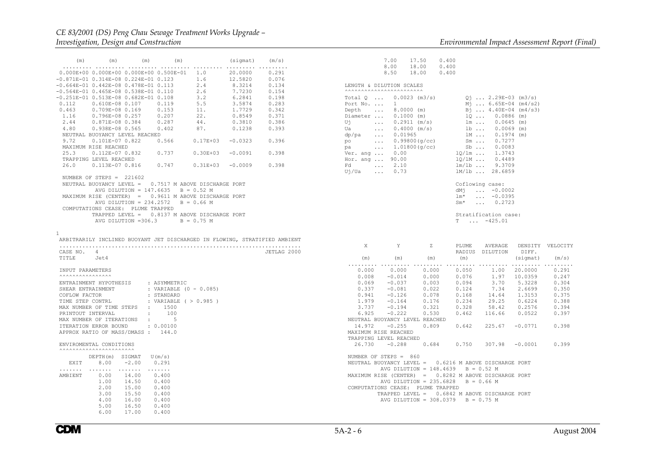# *CE 83/2001 (DS) Peng Chau Sewage Treatment Works Upgrade –*

| (m)                                                                                                                                                                                                                                                                                                        |                 | $(m)$ $(m)$                | (m)                                                                                                               |                                               | (sigmat) (m/s)               |                                                                            |
|------------------------------------------------------------------------------------------------------------------------------------------------------------------------------------------------------------------------------------------------------------------------------------------------------------|-----------------|----------------------------|-------------------------------------------------------------------------------------------------------------------|-----------------------------------------------|------------------------------|----------------------------------------------------------------------------|
| .<br>$0.000E+00$ $0.000E+00$ $0.000E+00$ $0.500E-01$ $1.0$ 20.0000 $0.291$<br>$-0.871E-01$ $0.314E-08$ $0.224E-01$ $0.123$<br>$-0.664E-01$ $0.442E-08$ $0.478E-01$ $0.113$ $2.4$ $8.3214$ $0.134$<br>$-0.564E-01$ 0.465E-08 0.538E-01 0.110                                                                | .               | .                          | $\cdots \cdots \cdots \cdots$                                                                                     | 1.6                                           | 12.5820<br>7.7230            | 0.076                                                                      |
| $-0.251E-01$ 0.513E-08 0.682E-01 0.108 3.2<br>0.112 0.610E-08 0.107 0.119 5.5<br>$0.112$ $0.610E-08$ 0.107  0.119                                                                                                                                                                                          |                 |                            |                                                                                                                   | 2.6<br>5.5                                    | 6.2841 0.198<br>3.5874       | 0.154<br>0.283                                                             |
| $0.463$ $0.709E-08$ $0.169$ $0.153$<br>1.16                                                                                                                                                                                                                                                                | 0.796E-08 0.257 |                            | 0.207                                                                                                             | $\frac{11}{22}$ .                             | 1.7729<br>0.8549             | 0.342<br>0.371                                                             |
| $2.44$ 0.871E-08 0.384 0.287<br>4.80 0.938E-08 0.565 0.402<br>NEUTRAL BUOYANCY LEVEL REACHED                                                                                                                                                                                                               |                 |                            |                                                                                                                   | $\frac{44}{87}$ .                             | 0.3810 0.386<br>0.1238 0.393 |                                                                            |
| 9.72  0.101E-07  0.822  0.566  0.17E+03  -0.0323  0.396<br>MAXIMUM RISE REACHED<br>25.3  0.112E-07  0.832  0.737  0.30E+03  -0.0091  0.398                                                                                                                                                                 |                 |                            |                                                                                                                   |                                               |                              |                                                                            |
| TRAPPING LEVEL REACHED<br>26.0  0.113E-07  0.816  0.747  0.31E+03  -0.0009  0.398                                                                                                                                                                                                                          |                 |                            |                                                                                                                   |                                               |                              |                                                                            |
| NUMBER OF STEPS = $221602$<br>NEUTRAL BUOYANCY LEVEL = 0.7517 M ABOVE DISCHARGE PORT<br>MAXIMUM RISE (CENTER) = 0.9611 M ABOVE DISCHARGE PORT<br>COMPUTATIONS CEASE: PLUME TRAPPED                                                                                                                         |                 |                            | AVG DILUTION = $147.6635$ B = 0.52 M<br>AVG DILUTION = $234.2572$ B = 0.66 M<br>AVG DILUTION = 306.3 $B = 0.75 M$ | TRAPPED LEVEL = 0.8137 M ABOVE DISCHARGE PORT |                              |                                                                            |
| 1                                                                                                                                                                                                                                                                                                          |                 |                            |                                                                                                                   |                                               |                              | ARBITRARILY INCLINED BUOYANT JET DISCHARGED IN FLOWING, STRATIFIED AMBIENT |
| CASE NO. 4<br>TITLE                                                                                                                                                                                                                                                                                        | Jet4            |                            |                                                                                                                   |                                               |                              | JETLAG 2000                                                                |
| INPUT PARAMETERS<br>ENTRAINMENT HYPOTHESIS : ASYMMETRIC<br>SHEAR ENTRAINMENT<br>COFLOW FACTOR<br>TIME STEP CONTRL<br>MAX NUMBER OF TIME STEPS : 1500<br>PRINTOUT INTERVAL<br>MAX NUMBER OF ITERATIONS :<br>ITERATION ERROR BOUND : 0.00100<br>APPROX RATIO OF MASS/DMASS: 144.0<br>ENVIROMENTAL CONDITIONS |                 | $\sim 100$                 | : VARIABLE $(0 - 0.085)$<br>: STANDARD<br>: VARIABLE ( $> 0.985$ )<br>100<br>$5 - 5$                              |                                               |                              |                                                                            |
| <b>AAAAAAAAAAAAAAAAAAAAAA</b>                                                                                                                                                                                                                                                                              |                 | $DEF H(m)$ SIGMAT $U(m/s)$ |                                                                                                                   |                                               |                              |                                                                            |
|                                                                                                                                                                                                                                                                                                            |                 | EXIT 8.00 -2.00 0.291      |                                                                                                                   |                                               |                              |                                                                            |

| EXIT    | DEPTH (M)<br>8.00                                    | SIGMAT<br>$-2.00$                                           | U (M/S)<br>0.291                                            |
|---------|------------------------------------------------------|-------------------------------------------------------------|-------------------------------------------------------------|
| AMBIENT | 0.00<br>1.00<br>2.00<br>3.00<br>4.00<br>5.00<br>6.00 | 14.00<br>14.50<br>15.00<br>15.50<br>16.00<br>16.50<br>17.00 | 0.400<br>0.400<br>0.400<br>0.400<br>0.400<br>0.400<br>0.400 |
|         |                                                      |                                                             |                                                             |

|              |                                                                                  | 7.00 17.50 0.400<br>8.00  18.00  0.400<br>8.50  18.00  0.400 |                                                                                                                      |                                                                                                                                                                                                                                                                                                                                                                                           |          |       |
|--------------|----------------------------------------------------------------------------------|--------------------------------------------------------------|----------------------------------------------------------------------------------------------------------------------|-------------------------------------------------------------------------------------------------------------------------------------------------------------------------------------------------------------------------------------------------------------------------------------------------------------------------------------------------------------------------------------------|----------|-------|
|              | LENGTH & DILUTION SCALES                                                         |                                                              |                                                                                                                      |                                                                                                                                                                                                                                                                                                                                                                                           |          |       |
|              | <b>AAAAAAAAAAAAAAAAAAAAAAA</b>                                                   |                                                              | $lm*$<br>$Sm^{\star}$                                                                                                | $Q_1$ 2.29E-03 (m3/s)<br>$M_1$ 6.65E-04 (m4/s2)<br>$B_1$ $4.40E-04$ (m4/s3)<br>1Q  0.0886 (m)<br>$\begin{array}{cccc} \ln & \ldots & 0.0645 & \text{(m)} \\ \text{lb} & \ldots & 0.0069 & \text{(m)} \end{array}$<br>lm 0.1974 (m)<br>Coflowing case:<br>$dM_1$ $-0.0002$<br>$\ldots -0.0395$<br>$\ldots$ 0.2723<br>Stratification case:<br>$T \dots -425.01$                             |          |       |
| $\mathbf{X}$ | Y<br>$(m)$ $(m)$ $(m)$                                                           |                                                              | (m)                                                                                                                  | Z PLUME AVERAGE DENSITY VELOCITY<br>RADIUS DILUTION DIFF.                                                                                                                                                                                                                                                                                                                                 | (sigmat) | (m/s) |
|              | NEUTRAL BUOYANCY LEVEL REACHED<br>MAXIMUM RISE REACHED<br>TRAPPING LEVEL REACHED | 0.000                                                        |                                                                                                                      | $\begin{array}{cccccccc} 0.000 & 0.000 & 0.000 & 0.000 & 0.050 & 1.00 & 20.0000 & 0.291 \\ 0.000 & -0.014 & 0.000 & 0.076 & 1.97 & 10.0359 & 0.247 \\ 0.069 & -0.037 & 0.003 & 0.094 & 3.70 & 5.3228 & 0.304 \\ 0.337 & -0.081 & 0.022 & 0.124 & 7.34 & 2.6699 & 0.350 \\ 0.949 &$<br>14.972 -0.255  0.809  0.642  225.67  -0.0771<br>26.730 -0.288  0.684  0.750  307.98  -0.0001  0.399 |          | 0.398 |
|              | NUMBER OF STEPS = 860<br>COMPUTATIONS CEASE: PLUME TRAPPED                       |                                                              | AVG DILUTION = $148.4639$ B = 0.52 M<br>AVG DILUTION = $235.6828$ B = 0.66 M<br>AVG DILUTION = $308.0379$ B = 0.75 M | NEUTRAL BUOYANCY LEVEL = 0.6216 M ABOVE DISCHARGE PORT<br>MAXIMUM RISE (CENTER) = 0.8282 M ABOVE DISCHARGE PORT<br>TRAPPED LEVEL = 0.6842 M ABOVE DISCHARGE PORT                                                                                                                                                                                                                          |          |       |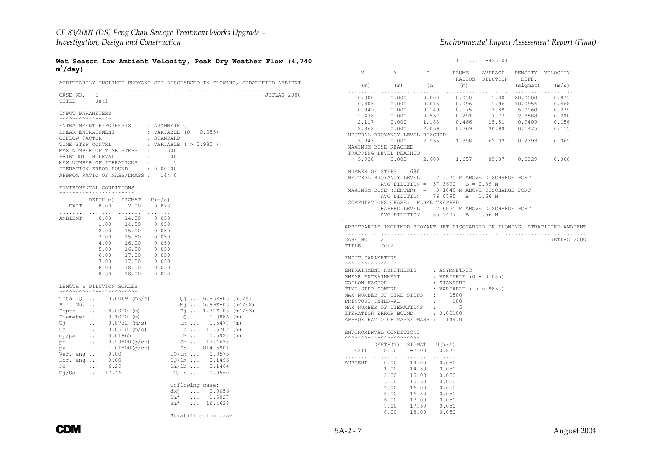#### **Wet Season Low Ambient Velocity, Peak Dry Weather Flow (4,740 <sup>m</sup>3/day)**

| ARBITRARILY INCLINED BUOYANT JET DISCHARGED IN FLOWING, STRATIFIED AMBIENT                                                                                                                                                                                                                                                                                                                                                                                                                                                                                                                                                  |             |
|-----------------------------------------------------------------------------------------------------------------------------------------------------------------------------------------------------------------------------------------------------------------------------------------------------------------------------------------------------------------------------------------------------------------------------------------------------------------------------------------------------------------------------------------------------------------------------------------------------------------------------|-------------|
| CASE NO. 1<br>TITLE Jet1                                                                                                                                                                                                                                                                                                                                                                                                                                                                                                                                                                                                    | JETLAG 2000 |
| INPUT PARAMETERS<br><b>^^^^^^^^^^^^^^^^^^^</b>                                                                                                                                                                                                                                                                                                                                                                                                                                                                                                                                                                              |             |
| ENTRAINMENT HYPOTHESIS : ASYMMETRIC<br>SHEAR ENTRAINMENT<br>: VARIABLE $(0 - 0.085)$<br>: STANDARD<br>COFLOW FACTOR<br>TIME STEP CONTRL<br>: VARIABLE ( $> 0.985$ )<br>MAX NUMBER OF TIME STEPS : 1500<br>PRINTOUT INTERVAL<br>100<br>$\sim$ 100 $\sim$<br>MAX NUMBER OF ITERATIONS :<br>5<br>ITERATION ERROR BOUND : 0.00100<br>APPROX RATIO OF MASS/DMASS: 144.0                                                                                                                                                                                                                                                          |             |
| ENVIROMENTAL CONDITIONS<br><b>^^^^^^^^^^^^^^^^^^^^^^^^^^^</b>                                                                                                                                                                                                                                                                                                                                                                                                                                                                                                                                                               |             |
| U(m/s)<br>DEPTH(m) SIGMAT<br>$8.00 -2.00$<br>0.873<br>EXIT<br>.<br>.<br>.<br>.<br><b>AMBIENT</b><br>0.00<br>14.00<br>0.050<br>$14.50$<br>$15.00$<br>1.00<br>0.050<br>2.00<br>0.050<br>15.50<br>3.00<br>0.050<br>$16.00$ 0.050<br>16.00 0.050<br>16.50 0.050<br>4.00<br>5.00<br>$\begin{array}{ccc} 17.00 & 0.050 \\ 17.50 & 0.050 \\ 18.00 & 0.050 \end{array}$<br>6.00<br>7.00<br>8.00<br>18.00 0.050<br>8.50                                                                                                                                                                                                              |             |
| LENGTH & DILUTION SCALES<br><b>AAAAAAAAAAAAAAAAAAAAAAA</b>                                                                                                                                                                                                                                                                                                                                                                                                                                                                                                                                                                  |             |
| Total $Q$ 0.0069 (m3/s)<br>$Q_1$ 6.86E-03 (m3/s)<br>Port No. $\ldots$ 1<br>$M_1$ 5.99E-03 (m4/s2)<br>Depth  8.0000 (m)<br>Bj  1.32E-03 (m4/s3)<br>Diameter  0.1000 (m)<br>$1Q \ldots 0.0886$ (m)<br>$\ldots$ 0.8732 (m/s)<br>lm  1.5477 (m)<br>Uj<br>$0.0500$ (m/s)<br>Ua<br>$1b  10.5702$ (m)<br>$0.01965$<br>$0.99800(g/cc)$<br>1.01800(g/cc)<br>1M  0.5922 (m)<br>dp/pa<br>Sm  17.4638<br>po<br>Sb  814.5901<br>pa<br>1Q/1m  0.0573<br>Ver. ang  0.00<br>Hor. ang $\ldots$ 0.00<br>10/1M  0.1496<br>6.29<br>$lm/lb$<br>0.1464<br>Fd<br>$\sim 100$ km s $^{-1}$<br>$1M/1b$<br>$U_1/Ua$ 17.46<br>0.0560<br>Coflowing case: |             |
| $dM_1$ 0.0056<br>$\ldots$ 1.5027<br>lm*<br>$Sm^*$ 16.4638<br>Stratification case:                                                                                                                                                                                                                                                                                                                                                                                                                                                                                                                                           |             |

| X<br>Y<br>Z PLUME AVERAGE DENSITY VELOCITY<br>RADIUS DILUTION DIFF.<br>$(m)$ (m) $(m)$<br>$(s\texttt{igmat})$<br>(m)<br>(m/s)<br>$\begin{array}{cccccccc} 0.000 & 0.000 & 0.000 & 0.000 & 0.050 & 1.00 & 20.0000 & 0.873 \\ 0.305 & 0.000 & 0.015 & 0.096 & 1.96 & 10.0956 & 0.468 \\ 0.89 & 0.000 & 0.149 & 0.175 & 3.89 & 5.0060 & 0.279 \\ 1.478 & 0.000 & 0.537 & 0.291 & 7.77 & 2.3588 & 0.200 \\ 2.117 & $<br>NEUTRAL BUOYANCY LEVEL REACHED<br>3.943 0.000 2.965 1.398 62.02 -0.2393 0.069<br>MAXIMUM RISE REACHED<br>TRAPPING LEVEL REACHED<br>5.930  0.000  2.609  1.657  85.07  -0.0029  0.068<br>NUMBER OF STEPS $= 686$<br>NEUTRAL BUOYANCY LEVEL = 2.3375 M ABOVE DISCHARGE PORT<br>AVG DILUTION = $37.3690$ B = 0.89 M<br>MAXIMUM RISE (CENTER) = 3.1049 M ABOVE DISCHARGE PORT<br>AVG DILUTION = $76.0795$ B = 1.66 M<br>COMPUTATIONS CEASE: PLUME TRAPPED<br>TRAPPED LEVEL = 2.6035 M ABOVE DISCHARGE PORT<br>AVG DILUTION = $85.3407$ B = 1.66 M<br>1<br>ARBITRARILY INCLINED BUOYANT JET DISCHARGED IN FLOWING, STRATIFIED AMBIENT<br>CASE NO. 2<br>JETLAG 2000<br>TITLE Jet2<br>INPUT PARAMETERS<br><b>AAAAAAAAAAAAAAA</b><br>ENTRAINMENT HYPOTHESIS : ASYMMETRIC<br>SHEAR ENTRAINMENT<br>: VARIABLE $(0 - 0.085)$<br>COFLOW FACTOR<br>: STANDARD<br>TIME STEP CONTRL<br>: VARIABLE ( > 0.985 )<br>MAX NUMBER OF TIME STEPS : 1500<br>PRINTOUT INTERVAL<br>$\sim 100$<br>100<br>MAX NUMBER OF ITERATIONS : 5<br>ITERATION ERROR BOUND : 0.00100<br>APPROX RATIO OF MASS/DMASS: 144.0<br>ENVIROMENTAL CONDITIONS<br><b>^^^^^^^^^^^^^^^^^^^^^^^^^^^</b><br>DEPTH(m) SIGMAT U(m/s)<br>EXIT 8.00 -2.00 0.873<br>AMBIENT<br>$0.00$ $14.00$ $0.050$<br>$1.00$ $14.50$ $0.050$<br>0.050<br>2.00<br>15.00<br>$2.00$ 15.50 .<br>$4.00$ 16.00 0.050<br>$5.00$ 16.50 0.050<br>$5.00$ 16.50 0.050 |  | Т | $\ldots$ -425.01 |  |
|----------------------------------------------------------------------------------------------------------------------------------------------------------------------------------------------------------------------------------------------------------------------------------------------------------------------------------------------------------------------------------------------------------------------------------------------------------------------------------------------------------------------------------------------------------------------------------------------------------------------------------------------------------------------------------------------------------------------------------------------------------------------------------------------------------------------------------------------------------------------------------------------------------------------------------------------------------------------------------------------------------------------------------------------------------------------------------------------------------------------------------------------------------------------------------------------------------------------------------------------------------------------------------------------------------------------------------------------------------------------------------------------------------------------------------------------------------------------------------------------------------------------------------------------------------------------------------------------------------------------------------------------------------------------------------------------------------------------------------------------------------------------------------------------------------|--|---|------------------|--|
|                                                                                                                                                                                                                                                                                                                                                                                                                                                                                                                                                                                                                                                                                                                                                                                                                                                                                                                                                                                                                                                                                                                                                                                                                                                                                                                                                                                                                                                                                                                                                                                                                                                                                                                                                                                                          |  |   |                  |  |
|                                                                                                                                                                                                                                                                                                                                                                                                                                                                                                                                                                                                                                                                                                                                                                                                                                                                                                                                                                                                                                                                                                                                                                                                                                                                                                                                                                                                                                                                                                                                                                                                                                                                                                                                                                                                          |  |   |                  |  |
|                                                                                                                                                                                                                                                                                                                                                                                                                                                                                                                                                                                                                                                                                                                                                                                                                                                                                                                                                                                                                                                                                                                                                                                                                                                                                                                                                                                                                                                                                                                                                                                                                                                                                                                                                                                                          |  |   |                  |  |
|                                                                                                                                                                                                                                                                                                                                                                                                                                                                                                                                                                                                                                                                                                                                                                                                                                                                                                                                                                                                                                                                                                                                                                                                                                                                                                                                                                                                                                                                                                                                                                                                                                                                                                                                                                                                          |  |   |                  |  |
|                                                                                                                                                                                                                                                                                                                                                                                                                                                                                                                                                                                                                                                                                                                                                                                                                                                                                                                                                                                                                                                                                                                                                                                                                                                                                                                                                                                                                                                                                                                                                                                                                                                                                                                                                                                                          |  |   |                  |  |
|                                                                                                                                                                                                                                                                                                                                                                                                                                                                                                                                                                                                                                                                                                                                                                                                                                                                                                                                                                                                                                                                                                                                                                                                                                                                                                                                                                                                                                                                                                                                                                                                                                                                                                                                                                                                          |  |   |                  |  |
|                                                                                                                                                                                                                                                                                                                                                                                                                                                                                                                                                                                                                                                                                                                                                                                                                                                                                                                                                                                                                                                                                                                                                                                                                                                                                                                                                                                                                                                                                                                                                                                                                                                                                                                                                                                                          |  |   |                  |  |
|                                                                                                                                                                                                                                                                                                                                                                                                                                                                                                                                                                                                                                                                                                                                                                                                                                                                                                                                                                                                                                                                                                                                                                                                                                                                                                                                                                                                                                                                                                                                                                                                                                                                                                                                                                                                          |  |   |                  |  |
|                                                                                                                                                                                                                                                                                                                                                                                                                                                                                                                                                                                                                                                                                                                                                                                                                                                                                                                                                                                                                                                                                                                                                                                                                                                                                                                                                                                                                                                                                                                                                                                                                                                                                                                                                                                                          |  |   |                  |  |
|                                                                                                                                                                                                                                                                                                                                                                                                                                                                                                                                                                                                                                                                                                                                                                                                                                                                                                                                                                                                                                                                                                                                                                                                                                                                                                                                                                                                                                                                                                                                                                                                                                                                                                                                                                                                          |  |   |                  |  |
|                                                                                                                                                                                                                                                                                                                                                                                                                                                                                                                                                                                                                                                                                                                                                                                                                                                                                                                                                                                                                                                                                                                                                                                                                                                                                                                                                                                                                                                                                                                                                                                                                                                                                                                                                                                                          |  |   |                  |  |
|                                                                                                                                                                                                                                                                                                                                                                                                                                                                                                                                                                                                                                                                                                                                                                                                                                                                                                                                                                                                                                                                                                                                                                                                                                                                                                                                                                                                                                                                                                                                                                                                                                                                                                                                                                                                          |  |   |                  |  |
|                                                                                                                                                                                                                                                                                                                                                                                                                                                                                                                                                                                                                                                                                                                                                                                                                                                                                                                                                                                                                                                                                                                                                                                                                                                                                                                                                                                                                                                                                                                                                                                                                                                                                                                                                                                                          |  |   |                  |  |
|                                                                                                                                                                                                                                                                                                                                                                                                                                                                                                                                                                                                                                                                                                                                                                                                                                                                                                                                                                                                                                                                                                                                                                                                                                                                                                                                                                                                                                                                                                                                                                                                                                                                                                                                                                                                          |  |   |                  |  |
|                                                                                                                                                                                                                                                                                                                                                                                                                                                                                                                                                                                                                                                                                                                                                                                                                                                                                                                                                                                                                                                                                                                                                                                                                                                                                                                                                                                                                                                                                                                                                                                                                                                                                                                                                                                                          |  |   |                  |  |
|                                                                                                                                                                                                                                                                                                                                                                                                                                                                                                                                                                                                                                                                                                                                                                                                                                                                                                                                                                                                                                                                                                                                                                                                                                                                                                                                                                                                                                                                                                                                                                                                                                                                                                                                                                                                          |  |   |                  |  |
|                                                                                                                                                                                                                                                                                                                                                                                                                                                                                                                                                                                                                                                                                                                                                                                                                                                                                                                                                                                                                                                                                                                                                                                                                                                                                                                                                                                                                                                                                                                                                                                                                                                                                                                                                                                                          |  |   |                  |  |
|                                                                                                                                                                                                                                                                                                                                                                                                                                                                                                                                                                                                                                                                                                                                                                                                                                                                                                                                                                                                                                                                                                                                                                                                                                                                                                                                                                                                                                                                                                                                                                                                                                                                                                                                                                                                          |  |   |                  |  |
|                                                                                                                                                                                                                                                                                                                                                                                                                                                                                                                                                                                                                                                                                                                                                                                                                                                                                                                                                                                                                                                                                                                                                                                                                                                                                                                                                                                                                                                                                                                                                                                                                                                                                                                                                                                                          |  |   |                  |  |
|                                                                                                                                                                                                                                                                                                                                                                                                                                                                                                                                                                                                                                                                                                                                                                                                                                                                                                                                                                                                                                                                                                                                                                                                                                                                                                                                                                                                                                                                                                                                                                                                                                                                                                                                                                                                          |  |   |                  |  |
|                                                                                                                                                                                                                                                                                                                                                                                                                                                                                                                                                                                                                                                                                                                                                                                                                                                                                                                                                                                                                                                                                                                                                                                                                                                                                                                                                                                                                                                                                                                                                                                                                                                                                                                                                                                                          |  |   |                  |  |
|                                                                                                                                                                                                                                                                                                                                                                                                                                                                                                                                                                                                                                                                                                                                                                                                                                                                                                                                                                                                                                                                                                                                                                                                                                                                                                                                                                                                                                                                                                                                                                                                                                                                                                                                                                                                          |  |   |                  |  |
|                                                                                                                                                                                                                                                                                                                                                                                                                                                                                                                                                                                                                                                                                                                                                                                                                                                                                                                                                                                                                                                                                                                                                                                                                                                                                                                                                                                                                                                                                                                                                                                                                                                                                                                                                                                                          |  |   |                  |  |
|                                                                                                                                                                                                                                                                                                                                                                                                                                                                                                                                                                                                                                                                                                                                                                                                                                                                                                                                                                                                                                                                                                                                                                                                                                                                                                                                                                                                                                                                                                                                                                                                                                                                                                                                                                                                          |  |   |                  |  |
|                                                                                                                                                                                                                                                                                                                                                                                                                                                                                                                                                                                                                                                                                                                                                                                                                                                                                                                                                                                                                                                                                                                                                                                                                                                                                                                                                                                                                                                                                                                                                                                                                                                                                                                                                                                                          |  |   |                  |  |
|                                                                                                                                                                                                                                                                                                                                                                                                                                                                                                                                                                                                                                                                                                                                                                                                                                                                                                                                                                                                                                                                                                                                                                                                                                                                                                                                                                                                                                                                                                                                                                                                                                                                                                                                                                                                          |  |   |                  |  |
|                                                                                                                                                                                                                                                                                                                                                                                                                                                                                                                                                                                                                                                                                                                                                                                                                                                                                                                                                                                                                                                                                                                                                                                                                                                                                                                                                                                                                                                                                                                                                                                                                                                                                                                                                                                                          |  |   |                  |  |
|                                                                                                                                                                                                                                                                                                                                                                                                                                                                                                                                                                                                                                                                                                                                                                                                                                                                                                                                                                                                                                                                                                                                                                                                                                                                                                                                                                                                                                                                                                                                                                                                                                                                                                                                                                                                          |  |   |                  |  |
|                                                                                                                                                                                                                                                                                                                                                                                                                                                                                                                                                                                                                                                                                                                                                                                                                                                                                                                                                                                                                                                                                                                                                                                                                                                                                                                                                                                                                                                                                                                                                                                                                                                                                                                                                                                                          |  |   |                  |  |
|                                                                                                                                                                                                                                                                                                                                                                                                                                                                                                                                                                                                                                                                                                                                                                                                                                                                                                                                                                                                                                                                                                                                                                                                                                                                                                                                                                                                                                                                                                                                                                                                                                                                                                                                                                                                          |  |   |                  |  |
|                                                                                                                                                                                                                                                                                                                                                                                                                                                                                                                                                                                                                                                                                                                                                                                                                                                                                                                                                                                                                                                                                                                                                                                                                                                                                                                                                                                                                                                                                                                                                                                                                                                                                                                                                                                                          |  |   |                  |  |
|                                                                                                                                                                                                                                                                                                                                                                                                                                                                                                                                                                                                                                                                                                                                                                                                                                                                                                                                                                                                                                                                                                                                                                                                                                                                                                                                                                                                                                                                                                                                                                                                                                                                                                                                                                                                          |  |   |                  |  |
|                                                                                                                                                                                                                                                                                                                                                                                                                                                                                                                                                                                                                                                                                                                                                                                                                                                                                                                                                                                                                                                                                                                                                                                                                                                                                                                                                                                                                                                                                                                                                                                                                                                                                                                                                                                                          |  |   |                  |  |
|                                                                                                                                                                                                                                                                                                                                                                                                                                                                                                                                                                                                                                                                                                                                                                                                                                                                                                                                                                                                                                                                                                                                                                                                                                                                                                                                                                                                                                                                                                                                                                                                                                                                                                                                                                                                          |  |   |                  |  |
|                                                                                                                                                                                                                                                                                                                                                                                                                                                                                                                                                                                                                                                                                                                                                                                                                                                                                                                                                                                                                                                                                                                                                                                                                                                                                                                                                                                                                                                                                                                                                                                                                                                                                                                                                                                                          |  |   |                  |  |
|                                                                                                                                                                                                                                                                                                                                                                                                                                                                                                                                                                                                                                                                                                                                                                                                                                                                                                                                                                                                                                                                                                                                                                                                                                                                                                                                                                                                                                                                                                                                                                                                                                                                                                                                                                                                          |  |   |                  |  |
|                                                                                                                                                                                                                                                                                                                                                                                                                                                                                                                                                                                                                                                                                                                                                                                                                                                                                                                                                                                                                                                                                                                                                                                                                                                                                                                                                                                                                                                                                                                                                                                                                                                                                                                                                                                                          |  |   |                  |  |
|                                                                                                                                                                                                                                                                                                                                                                                                                                                                                                                                                                                                                                                                                                                                                                                                                                                                                                                                                                                                                                                                                                                                                                                                                                                                                                                                                                                                                                                                                                                                                                                                                                                                                                                                                                                                          |  |   |                  |  |
| $\begin{array}{cccc} 6.00 & 17.00 & 0.050 \\ 7.00 & 17.50 & 0.050 \end{array}$                                                                                                                                                                                                                                                                                                                                                                                                                                                                                                                                                                                                                                                                                                                                                                                                                                                                                                                                                                                                                                                                                                                                                                                                                                                                                                                                                                                                                                                                                                                                                                                                                                                                                                                           |  |   |                  |  |
| 8.00<br>18.00<br>0.050                                                                                                                                                                                                                                                                                                                                                                                                                                                                                                                                                                                                                                                                                                                                                                                                                                                                                                                                                                                                                                                                                                                                                                                                                                                                                                                                                                                                                                                                                                                                                                                                                                                                                                                                                                                   |  |   |                  |  |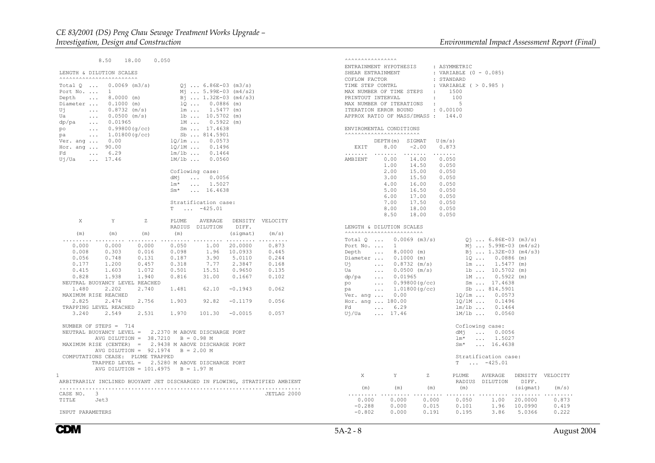$8.50 18.00$  $0.050$ 

```
 LENGTH & DILUTION SCALES
```

| <b>^^^^^^^^^^^^^^^^^^^^^^^^^^^^</b>                                                                                                                                             |              |                                                                            |                                                                                                                                                                                             |                                                                                                                                                                                                                                                                                |             |
|---------------------------------------------------------------------------------------------------------------------------------------------------------------------------------|--------------|----------------------------------------------------------------------------|---------------------------------------------------------------------------------------------------------------------------------------------------------------------------------------------|--------------------------------------------------------------------------------------------------------------------------------------------------------------------------------------------------------------------------------------------------------------------------------|-------------|
| Total $Q \ldots 0.0069$ (m3/s)<br>Fd  6.29<br>$Uj/Ua$ 17.46                                                                                                                     |              |                                                                            | $Q_1$ 6.86E-03 (m3/s)<br>$M_1$ 5.99E-03 (m4/s2)<br>$Bj$ 1.32E-03 (m4/s3)<br>$1Q  0.0886$ (m)<br>$1m  1.5477$ (m)<br>$1b  10.5702$ (m)<br>1M 0.5922 (m)<br>$lm/lb$ $0.1464$<br>1M/1b  0.0560 |                                                                                                                                                                                                                                                                                |             |
|                                                                                                                                                                                 |              |                                                                            | Coflowing case:                                                                                                                                                                             |                                                                                                                                                                                                                                                                                |             |
|                                                                                                                                                                                 |              |                                                                            |                                                                                                                                                                                             |                                                                                                                                                                                                                                                                                |             |
|                                                                                                                                                                                 |              |                                                                            | dMj  0.0056<br>$lm^*$ 1.5027                                                                                                                                                                |                                                                                                                                                                                                                                                                                |             |
|                                                                                                                                                                                 |              |                                                                            | $Sm*$ 16.4638                                                                                                                                                                               |                                                                                                                                                                                                                                                                                |             |
|                                                                                                                                                                                 |              |                                                                            |                                                                                                                                                                                             |                                                                                                                                                                                                                                                                                |             |
|                                                                                                                                                                                 |              |                                                                            | Stratification case:                                                                                                                                                                        |                                                                                                                                                                                                                                                                                |             |
|                                                                                                                                                                                 |              |                                                                            | $T \dots -425.01$                                                                                                                                                                           |                                                                                                                                                                                                                                                                                |             |
|                                                                                                                                                                                 |              |                                                                            |                                                                                                                                                                                             |                                                                                                                                                                                                                                                                                |             |
| X.                                                                                                                                                                              | $\mathbf{Y}$ |                                                                            |                                                                                                                                                                                             | Z PLUME AVERAGE DENSITY VELOCITY                                                                                                                                                                                                                                               |             |
|                                                                                                                                                                                 |              |                                                                            |                                                                                                                                                                                             | RADIUS DILUTION DIFF.                                                                                                                                                                                                                                                          |             |
|                                                                                                                                                                                 |              |                                                                            |                                                                                                                                                                                             |                                                                                                                                                                                                                                                                                |             |
| (m) (m) (m) $\text{(m)}$ (m) (m) (m) (m) (sigmat) (m/s)                                                                                                                         |              |                                                                            |                                                                                                                                                                                             |                                                                                                                                                                                                                                                                                |             |
|                                                                                                                                                                                 |              |                                                                            |                                                                                                                                                                                             | $\begin{array}{cccccccc} 0.000 & 0.000 & 0.000 & 0.000 & 0.050 & 1.00 & 20.0000 & 0.873 \\ 0.000 & 0.000 & 0.000 & 0.050 & 1.96 & 10.0933 & 0.445 \\ 0.008 & 0.303 & 0.016 & 0.098 & 1.96 & 10.0933 & 0.445 \\ 0.056 & 0.748 & 0.131 & 0.187 & 3.90 & 5.0110 & 0.244 \\ 0.177$ |             |
|                                                                                                                                                                                 |              |                                                                            |                                                                                                                                                                                             |                                                                                                                                                                                                                                                                                |             |
|                                                                                                                                                                                 |              |                                                                            |                                                                                                                                                                                             |                                                                                                                                                                                                                                                                                |             |
|                                                                                                                                                                                 |              |                                                                            |                                                                                                                                                                                             |                                                                                                                                                                                                                                                                                |             |
|                                                                                                                                                                                 |              |                                                                            |                                                                                                                                                                                             |                                                                                                                                                                                                                                                                                |             |
|                                                                                                                                                                                 |              |                                                                            |                                                                                                                                                                                             |                                                                                                                                                                                                                                                                                |             |
| NEUTRAL BUOYANCY LEVEL REACHED                                                                                                                                                  |              |                                                                            |                                                                                                                                                                                             |                                                                                                                                                                                                                                                                                |             |
|                                                                                                                                                                                 |              |                                                                            |                                                                                                                                                                                             | $1.480 \qquad 2.202 \qquad 2.740 \qquad 1.481 \qquad 62.10 \quad -0.1943 \qquad 0.062$                                                                                                                                                                                         |             |
|                                                                                                                                                                                 |              |                                                                            |                                                                                                                                                                                             |                                                                                                                                                                                                                                                                                |             |
| MAXIMUM RISE REACHED<br>2.825 2.474 2.756 1.903 92.82 -0.1179 0.056                                                                                                             |              |                                                                            |                                                                                                                                                                                             |                                                                                                                                                                                                                                                                                |             |
| TRAPPING LEVEL REACHED                                                                                                                                                          |              |                                                                            |                                                                                                                                                                                             |                                                                                                                                                                                                                                                                                |             |
|                                                                                                                                                                                 |              |                                                                            |                                                                                                                                                                                             | $3.240$ $2.549$ $2.531$ $1.970$ $101.30$ $-0.0015$ $0.057$                                                                                                                                                                                                                     |             |
|                                                                                                                                                                                 |              |                                                                            |                                                                                                                                                                                             |                                                                                                                                                                                                                                                                                |             |
| NUMBER OF STEPS $= 714$<br>NEUTRAL BUOYANCY LEVEL = 2.2370 M ABOVE DISCHARGE PORT<br>MAXIMUM RISE (CENTER) = 2.9438 M ABOVE DISCHARGE PORT<br>COMPUTATIONS CEASE: PLUME TRAPPED |              | AVG DILUTION = $38.7210$ B = 0.98 M<br>AVG DILUTION = $92.1974$ B = 2.00 M |                                                                                                                                                                                             |                                                                                                                                                                                                                                                                                |             |
|                                                                                                                                                                                 |              | TRAPPED LEVEL = 2.5280 M ABOVE DISCHARGE PORT                              |                                                                                                                                                                                             |                                                                                                                                                                                                                                                                                |             |
|                                                                                                                                                                                 |              | AVG DILUTION = $101.4975$ B = 1.97 M                                       |                                                                                                                                                                                             |                                                                                                                                                                                                                                                                                |             |
| $\mathbf{1}$                                                                                                                                                                    |              |                                                                            |                                                                                                                                                                                             |                                                                                                                                                                                                                                                                                |             |
| ARBITRARILY INCLINED BUOYANT JET DISCHARGED IN FLOWING, STRATIFIED AMBIENT                                                                                                      |              |                                                                            |                                                                                                                                                                                             |                                                                                                                                                                                                                                                                                |             |
|                                                                                                                                                                                 |              |                                                                            |                                                                                                                                                                                             |                                                                                                                                                                                                                                                                                |             |
|                                                                                                                                                                                 |              |                                                                            |                                                                                                                                                                                             |                                                                                                                                                                                                                                                                                | JETLAG 2000 |
| CASE NO. 3<br>TITLE Jet3                                                                                                                                                        |              |                                                                            |                                                                                                                                                                                             |                                                                                                                                                                                                                                                                                |             |
|                                                                                                                                                                                 |              |                                                                            |                                                                                                                                                                                             |                                                                                                                                                                                                                                                                                |             |
| INPUT PARAMETERS                                                                                                                                                                |              |                                                                            |                                                                                                                                                                                             |                                                                                                                                                                                                                                                                                |             |

| <b>AAAAAAAAAAAAAAA</b>                                                                                                                                                                                                                                                                                                                                                                                                             |                                                                                                                                                                                                                                                                                      |            |                                                                                                                                         |                                                                                                                                                                                                                                                                          |             |                |
|------------------------------------------------------------------------------------------------------------------------------------------------------------------------------------------------------------------------------------------------------------------------------------------------------------------------------------------------------------------------------------------------------------------------------------|--------------------------------------------------------------------------------------------------------------------------------------------------------------------------------------------------------------------------------------------------------------------------------------|------------|-----------------------------------------------------------------------------------------------------------------------------------------|--------------------------------------------------------------------------------------------------------------------------------------------------------------------------------------------------------------------------------------------------------------------------|-------------|----------------|
| ENTRAINMENT HYPOTHESIS : ASYMMETRIC<br>SHEAR ENTRAINMENT<br>COFLOW FACTOR : STANDARD<br>TIME STEP CONTRL : VARIABLE ( > 0.985 )<br>MAX NUMBER OF TIME STEPS : 1500<br>THE STEP TIME STEPS : 1900<br>PRINTOUT INTERVAL<br>MAX NUMBER OF ITERATIONS : 5<br>ITERATION ERROR BOUND : 0.00100<br>APPROX RATIO OF MASS/DMASS : 144.0                                                                                                     |                                                                                                                                                                                                                                                                                      | $\sim 100$ | : VARIABLE $(0 - 0.085)$<br>100                                                                                                         |                                                                                                                                                                                                                                                                          |             |                |
| ENVIROMENTAL CONDITIONS<br><b>^^^^^^^^^^^^^^^^^^^^^^^^^^^</b>                                                                                                                                                                                                                                                                                                                                                                      |                                                                                                                                                                                                                                                                                      |            |                                                                                                                                         |                                                                                                                                                                                                                                                                          |             |                |
|                                                                                                                                                                                                                                                                                                                                                                                                                                    | $DEPTH(m)$ SIGMAT $U(m/s)$<br>EXIT 8.00 -2.00 0.873                                                                                                                                                                                                                                  |            |                                                                                                                                         |                                                                                                                                                                                                                                                                          |             |                |
| <br>AMBIENT 0.00 14.00 0.050                                                                                                                                                                                                                                                                                                                                                                                                       | $\begin{array}{cccc} 1.00 & 14.50 & 0.050 \\ 2.00 & 15.00 & 0.050 \\ 3.00 & 15.50 & 0.050 \\ 4.00 & 16.00 & 0.050 \end{array}$<br>$\begin{bmatrix} 1.00 & 16.50 & 0.050 \ 6.00 & 17.00 & 0.050 \ 7.00 & 17.50 & 0.050 \ 8.00 & 18.00 & 0.050 \ 8.50 & 18.00 & 0.050 \ \end{bmatrix}$ |            |                                                                                                                                         |                                                                                                                                                                                                                                                                          |             |                |
| LENGTH & DILUTION SCALES<br><b>^^^^^^^^^^^^^^^^^^^^^^^^^^^^^</b>                                                                                                                                                                                                                                                                                                                                                                   |                                                                                                                                                                                                                                                                                      |            |                                                                                                                                         |                                                                                                                                                                                                                                                                          |             |                |
| Total $Q \ldots 0.0069$ (m3/s)<br>Port No.<br>Depth  8.0000 (m)<br>Diameter  0.1000 (m)<br>Uj  0.8732 (m/s)<br>$\begin{tabular}{lllllllllll} \hline \mbox{Ua} & \mbox{} & \mbox{0.0500 (m/s)} \\ \mbox{dp/pa} & \mbox{} & \mbox{0.01965} \\ \mbox{po} & \mbox{} & \mbox{0.99800 (g/cc)} \\ \mbox{pa} & \mbox{} & \mbox{1.01800 (g/cc)} \\ \hline \end{tabular}$<br>Ver. ang $0.00$<br>Hor. ang  180.00<br>Fd  6.29<br>Uj/Ua  17.46 | $\mathbf{1}$                                                                                                                                                                                                                                                                         |            | $lm \ldots$                                                                                                                             | $Qj$ $6.86E-03$ (m3/s)<br>$M_1$ 5.99E-03 (m4/s2)<br>Bj  1.32E-03 (m4/s3)<br>$1Q  0.0886 (m)$<br>$1m  1.5477 (m)$<br>1b  10.5702 (m)<br>1M  0.5922 (m)<br>Sm 17.4638<br>$Sm$ 17.4638<br>Sb  814.5901<br>1Q/lm 0.0573<br>$1Q/1M$ 0.1496<br>$1m/1b$ 0.1464<br>1M/1b  0.0560 |             |                |
|                                                                                                                                                                                                                                                                                                                                                                                                                                    |                                                                                                                                                                                                                                                                                      |            | lm*<br>$Sm*$                                                                                                                            | Coflowing case:<br>dMj  0.0056<br>$\ldots$ 1.5027<br>$\ldots$ 16.4638                                                                                                                                                                                                    |             |                |
|                                                                                                                                                                                                                                                                                                                                                                                                                                    |                                                                                                                                                                                                                                                                                      |            |                                                                                                                                         | Stratification case:<br>$T \dots -425.01$                                                                                                                                                                                                                                |             |                |
| X                                                                                                                                                                                                                                                                                                                                                                                                                                  | Y                                                                                                                                                                                                                                                                                    |            | Z PLUME AVERAGE DENSITY VELOCITY                                                                                                        | RADIUS DILUTION DIFF.                                                                                                                                                                                                                                                    |             |                |
| (m)<br>.                                                                                                                                                                                                                                                                                                                                                                                                                           | $(m)$ $(m)$                                                                                                                                                                                                                                                                          |            | (m)                                                                                                                                     |                                                                                                                                                                                                                                                                          |             | (sigmat) (m/s) |
| $-0.288$<br>$-0.802$                                                                                                                                                                                                                                                                                                                                                                                                               | 0.000                                                                                                                                                                                                                                                                                | 0.191      | $-0.288$ $0.000$ $0.000$ $0.000$ $0.050$ $1.00$ $20.0000$ $0.873$<br>$-0.288$ $0.000$ $0.115$ $0.101$ $1.96$ $10.0990$ $0.419$<br>0.195 |                                                                                                                                                                                                                                                                          | 3.86 5.0366 | 0.222          |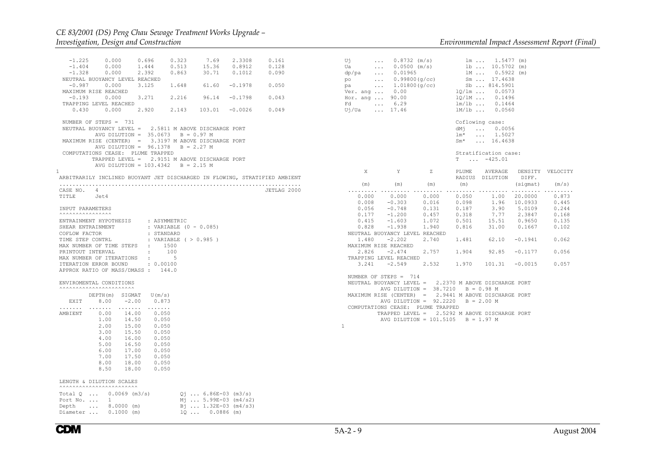-1.225 0.000 0.696 0.323 7.69 2.3308 0.161 -1.404 0.000 1.444 0.513 15.36 0.8912 0.128 $-1.328$  0.000 2.392 0.863 30.71 0.1012 0.090 NEUTRAL BUOYANCY LEVEL REACHED -0.987 0.000 3.125 1.648 61.60 -0.1978 0.050 MAXIMUM RISE REACHED -0.193 0.000 3.271 2.216 96.14 -0.1798 0.043 TRAPPING LEVEL REACHED 0.430 0.000 2.920 2.143 103.01 -0.0026 0.049 NUMBER OF STEPS = 731 NEUTRAL BUOYANCY LEVEL = 2.5811 M ABOVE DISCHARGE PORT AVG DILUTION = 35.0673 B = 0.97 M MAXIMUM RISE (CENTER) = 3.3197 M ABOVE DISCHARGE PORT AVG DILUTION = 96.1378 B = 2.27 M COMPUTATIONS CEASE: PLUME TRAPPED TRAPPED LEVEL = 2.9151 M ABOVE DISCHARGE PORT AVG DILUTION = 103.4342 B = 2.15 M 1 ARBITRARILY INCLINED BUOYANT JET DISCHARGED IN FLOWING, STRATIFIED AMBIENT .......................................................................... CASE NO. 4 JETLAG 2000 TITLE Jet4 INPUT PARAMETERS $\overline{\phantom{a}}$   $\overline{\phantom{a}}$   $\overline{\phantom{a}}$   $\overline{\phantom{a}}$   $\overline{\phantom{a}}$   $\overline{\phantom{a}}$   $\overline{\phantom{a}}$   $\overline{\phantom{a}}$   $\overline{\phantom{a}}$   $\overline{\phantom{a}}$   $\overline{\phantom{a}}$   $\overline{\phantom{a}}$   $\overline{\phantom{a}}$   $\overline{\phantom{a}}$   $\overline{\phantom{a}}$   $\overline{\phantom{a}}$   $\overline{\phantom{a}}$   $\overline{\phantom{a}}$   $\overline{\$  ENTRAINMENT HYPOTHESIS : ASYMMETRIC SHEAR ENTRAINMENT : VARIABLE (0 - 0.085) COFLOW FACTOR : STANDARDTIME STEP CONTRL : VARIABLE ( > 0.985 ) MAX NUMBER OF TIME STEPS : 1500 PRINTOUT INTERVAL : 100 MAX NUMBER OF ITERATIONS : 5 ITERATION ERROR BOUND  $: 0.00100$  APPROX RATIO OF MASS/DMASS : 144.0 ENVIROMENTAL CONDITIONS ^^^^^^^^^^^^^^^^^^^^^^^ DEPTH(m) SIGMAT U(m/s) EXIT 8.00 -2.00 0.873 ....... ....... ....... ....... $0.050$  AMBIENT 0.00 14.00 0.050 1.00 14.50 0.0502.00 15.00  $0.050$  3.00 15.50 0.050 4.00 16.00 0.050 5.00 16.50 0.050 6.00 17.00 0.0507.00 17.50 0.050 8.00 18.00 0.050 8.50 18.00 0.050 LENGTH & DILUTION SCALES $\overline{\phantom{a}}$ Total Q ...  $0.0069$  (m3/s)  $Qj$  ... 6.86E-03 (m3/s) Port No. ... 1 Mj ... 5.99E-03 (m4/s2)

Depth ... 8.0000 (m)  $B_1$  ... 1.32E-03 (m4/s3)<br>Diameter ... 0.1000 (m)  $1Q$  ... 0.0886 (m)

| Uj<br>Ua<br>Fd<br>Uj/Ua  17.46                                                                                                                                                | $\ldots$ 0.8732 (m/s)<br>$0.0500 \text{ (m/s)}$ 1b  10.5702 (m)<br>$\cdots$ 6.29                                                                                                                                                                                                                                                                                                                                                                                                                             |   | $lm/1b$ $0.1464$<br>1M/1b  0.0560               | $lm \dots 1.5477$ (m)<br>1M  0.5922 (m)<br>Sm  17.4638 |                                |       |
|-------------------------------------------------------------------------------------------------------------------------------------------------------------------------------|--------------------------------------------------------------------------------------------------------------------------------------------------------------------------------------------------------------------------------------------------------------------------------------------------------------------------------------------------------------------------------------------------------------------------------------------------------------------------------------------------------------|---|-------------------------------------------------|--------------------------------------------------------|--------------------------------|-------|
|                                                                                                                                                                               |                                                                                                                                                                                                                                                                                                                                                                                                                                                                                                              |   | Coflowing case:<br>dMj  0.0056<br>$lm^*$ 1.5027 | $Sm*$ 16.4638                                          |                                |       |
|                                                                                                                                                                               |                                                                                                                                                                                                                                                                                                                                                                                                                                                                                                              |   | $T \dots -425.01$                               | Stratification case:                                   |                                |       |
| X                                                                                                                                                                             | Y                                                                                                                                                                                                                                                                                                                                                                                                                                                                                                            | Z | RADIUS DILUTION DIFF.                           |                                                        | PLUME AVERAGE DENSITY VELOCITY |       |
|                                                                                                                                                                               | $(m)$ $(m)$ $(m)$                                                                                                                                                                                                                                                                                                                                                                                                                                                                                            |   | (m)                                             |                                                        | $(sigmat)$ $(m/s)$             |       |
|                                                                                                                                                                               | $0.000$ $0.000$ $0.000$ $0.050$ $1.00$ $20.0000$ $0.873$<br>$\begin{array}{cccccccc} 0.008 & -0.303 & 0.016 & 0.098 & 1.96 & 10.0933 & 0.445 \\ 0.056 & -0.748 & 0.131 & 0.187 & 3.90 & 5.0109 & 0.244 \end{array}$<br>$0.177 \qquad -1.200 \qquad \qquad 0.457 \qquad \qquad 0.318 \qquad \qquad 7.77 \qquad \qquad 2.3847 \qquad \qquad 0.168$<br>$\begin{array}{cccccccc} 0.415 & -1.603 & 1.072 & 0.501 & 15.51 & 0.9650 & 0.135 \\ 0.828 & -1.938 & 1.940 & 0.816 & 31.00 & 0.1667 & 0.102 \end{array}$ |   | .                                               |                                                        |                                |       |
| NEUTRAL BUOYANCY LEVEL REACHED                                                                                                                                                |                                                                                                                                                                                                                                                                                                                                                                                                                                                                                                              |   |                                                 |                                                        |                                |       |
| MAXIMUM RISE REACHED                                                                                                                                                          | 1.480 -2.202 2.740 1.481 62.10 -0.1941                                                                                                                                                                                                                                                                                                                                                                                                                                                                       |   |                                                 |                                                        |                                | 0.062 |
| TRAPPING LEVEL REACHED                                                                                                                                                        | $2.826$ $-2.474$ $2.757$ $1.904$ $92.85$ $-0.1177$                                                                                                                                                                                                                                                                                                                                                                                                                                                           |   |                                                 |                                                        |                                | 0.056 |
|                                                                                                                                                                               | $3.241$ $-2.549$ $2.532$ $1.970$ $101.31$ $-0.0015$                                                                                                                                                                                                                                                                                                                                                                                                                                                          |   |                                                 |                                                        |                                | 0.057 |
| NUMBER OF STEPS = 714<br>NEUTRAL BUOYANCY LEVEL = 2.2370 M ABOVE DISCHARGE PORT<br>MAXIMUM RISE (CENTER) = 2.9441 M ABOVE DISCHARGE PORT<br>COMPUTATIONS CEASE: PLUME TRAPPED | AVG DILUTION = $38.7210$ B = 0.98 M<br>AVG DILUTION = $92.2220$ B = 2.00 M<br>TRAPPED LEVEL = 2.5292 M ABOVE DISCHARGE PORT                                                                                                                                                                                                                                                                                                                                                                                  |   |                                                 |                                                        |                                |       |
| 1                                                                                                                                                                             | AVG DILUTION = $101.5105$ B = 1.97 M                                                                                                                                                                                                                                                                                                                                                                                                                                                                         |   |                                                 |                                                        |                                |       |

 $Diameter$  ... 0.1000 (m)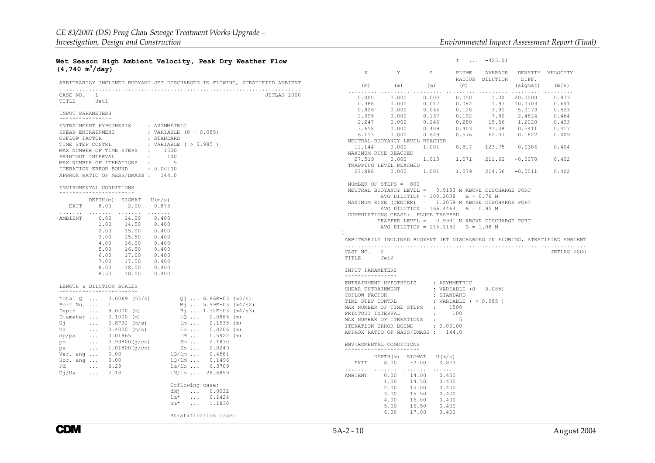## **Wet Season High Ambient Velocity, Peak Dry Weather Flow (4,740 m3/day)**

| ARBITRARILY INCLINED BUOYANT JET DISCHARGED IN FLOWING, STRATIFIED AMBIENT                                                                                                                                                                                                                                                                                                                                                                                                                                                                                                                                                                                          |             |
|---------------------------------------------------------------------------------------------------------------------------------------------------------------------------------------------------------------------------------------------------------------------------------------------------------------------------------------------------------------------------------------------------------------------------------------------------------------------------------------------------------------------------------------------------------------------------------------------------------------------------------------------------------------------|-------------|
| CASE NO. 1<br>TITLE Jet1                                                                                                                                                                                                                                                                                                                                                                                                                                                                                                                                                                                                                                            | JETLAG 2000 |
| INPUT PARAMETERS                                                                                                                                                                                                                                                                                                                                                                                                                                                                                                                                                                                                                                                    |             |
| ENTRAINMENT HYPOTHESIS : ASYMMETRIC<br>: VARIABLE $(0 - 0.085)$<br>SHEAR ENTRAINMENT<br>COFLOW FACTOR<br>: STANDARD<br>TIME STEP CONTRL<br>: VARIABLE ( > 0.985 )<br>MAX NUMBER OF TIME STEPS : 1500<br>PRINTOUT INTERVAL<br>$\pm$<br>100<br>MAX NUMBER OF ITERATIONS :<br>$5^{\circ}$<br>ITERATION ERROR BOUND : 0.00100<br>APPROX RATIO OF MASS/DMASS: 144.0                                                                                                                                                                                                                                                                                                      |             |
| ENVIROMENTAL CONDITIONS<br><b>^^^^^^^^^^^^^^^^^^^^^^^^^^^</b>                                                                                                                                                                                                                                                                                                                                                                                                                                                                                                                                                                                                       |             |
| DEPTH $(m)$ SIGMAT $U(m/s)$<br>EXIT 8.00 -2.00<br>0.873                                                                                                                                                                                                                                                                                                                                                                                                                                                                                                                                                                                                             |             |
| .<br>.<br>.<br>AMBIENT<br>0.00<br>14.00<br>0.400<br>1.00<br>14.50<br>0.400<br>0.400<br>2.00<br>15.00<br>3.00<br>15.50<br>0.400<br>$0.400$<br>$0.400$<br>4.00<br>16.00<br>$-0.00$<br>16.50<br>6.00<br>$\begin{array}{ccc} 17.00 & 0.400 \\ 17.50 & 0.400 \\ 18.00 & 0.400 \end{array}$<br>7.00<br>8.00<br>8.50<br>18.00<br>0.400                                                                                                                                                                                                                                                                                                                                     |             |
| LENGTH & DILUTION SCALES<br><b>^^^^^^^^^^^^^^^^^^^^^^^^^^^^</b> ^^                                                                                                                                                                                                                                                                                                                                                                                                                                                                                                                                                                                                  |             |
| Total $Q$ 0.0069 (m3/s)<br>$01$ 6.86E-03 (m3/s)<br>Port No.<br>$\mathbf{1}$<br>$M_1$ 5.99E-03 (m4/s2)<br>Depth  8.0000 (m)<br>$B_1$ 1.32E-03 (m4/s3)<br>Diameter  0.1000 (m)<br>$1Q  0.0886$ (m)<br>$lm \dots 0.1935 (m)$<br>Uj<br>$\ldots$ 0.8732 (m/s)<br>$1b  0.0206$ (m)<br>$\ldots$ 0.4000 (m/s)<br>Ua<br>$\ldots$ 0.01965<br>1M 0.5922 (m)<br>dp/pa<br>$\ldots$ 0.99800 (g/cc)<br>$Sm \tldots 2.1830$<br>po<br>$\ldots$ 1.01800 (g/cc)<br>Sb  0.0249<br>pa<br>Ver. and $\ldots$ 0.00<br>1Q/lm 0.4581<br>1Q/1M  0.1496<br>Hor. ang  0.00<br>$lm/lb$<br>Fd<br>$\ldots$ 6.29<br>9.3709<br>$lm/lb$<br>Uj/Ua<br>2.18<br>28.6859<br>$\mathbf{1}$ , and $\mathbf{1}$ |             |
| Coflowing case:<br>dMj  0.0032<br>lm*<br>$\ldots$ 0.1424<br>$Sm^*$<br>$\ldots$ 1.1830                                                                                                                                                                                                                                                                                                                                                                                                                                                                                                                                                                               |             |
| Stratification case:                                                                                                                                                                                                                                                                                                                                                                                                                                                                                                                                                                                                                                                |             |

|                          | X.<br>Y                    | $\mathbb Z$                                                                                                                                                                                                                                                                     |                          | PLUME AVERAGE DENSITY VELOCITY<br>RADIUS DILUTION DIFF. |          |                                                                            |  |
|--------------------------|----------------------------|---------------------------------------------------------------------------------------------------------------------------------------------------------------------------------------------------------------------------------------------------------------------------------|--------------------------|---------------------------------------------------------|----------|----------------------------------------------------------------------------|--|
|                          | $(m)$ $(m)$ $(m)$          |                                                                                                                                                                                                                                                                                 | (m)                      |                                                         | (sigmat) | (m/s)                                                                      |  |
| 0.000                    |                            | $\begin{array}{cccccccc} 0.000 & 0.000 & 0.050 & 1.00 & 20.0000 \\ 0.000 & 0.017 & 0.082 & 1.97 & 10.0703 \end{array}$                                                                                                                                                          |                          |                                                         |          | 0.873<br>0.641                                                             |  |
| 0.388                    |                            |                                                                                                                                                                                                                                                                                 |                          |                                                         |          |                                                                            |  |
|                          |                            | $\begin{array}{cccccccc} 0.3626 & 0.000 & 0.064 & 0.128 & 3.91 & 5.0173 & 0.523 \\ 0.826 & 0.000 & 0.064 & 0.128 & 3.91 & 5.0173 & 0.523 \\ 1.396 & 0.000 & 0.137 & 0.192 & 7.80 & 2.4824 & 0.464 \\ 2.247 & 0.000 & 0.246 & 0.280 & 15.56 & 1.2020 & 0.433 \\ 3.658 & 0.000 &$ |                          |                                                         |          |                                                                            |  |
|                          |                            |                                                                                                                                                                                                                                                                                 |                          |                                                         |          |                                                                            |  |
|                          |                            |                                                                                                                                                                                                                                                                                 |                          |                                                         |          |                                                                            |  |
|                          |                            |                                                                                                                                                                                                                                                                                 |                          |                                                         |          |                                                                            |  |
|                          |                            | NEUTRAL BUOYANCY LEVEL REACHED                                                                                                                                                                                                                                                  |                          |                                                         |          |                                                                            |  |
|                          |                            | $11.144$ 0.000 1.001 0.817 123.75 -0.0386 0.404                                                                                                                                                                                                                                 |                          |                                                         |          |                                                                            |  |
|                          | MAXIMUM RISE REACHED       |                                                                                                                                                                                                                                                                                 |                          |                                                         |          |                                                                            |  |
|                          |                            | $27.519 \qquad 0.000 \qquad 1.013 \qquad 1.071 \qquad 211.62 \qquad -0.0070 \qquad 0.402$                                                                                                                                                                                       |                          |                                                         |          |                                                                            |  |
|                          | TRAPPING LEVEL REACHED     |                                                                                                                                                                                                                                                                                 |                          |                                                         |          |                                                                            |  |
|                          |                            | 27.888  0.000  1.001  1.079  214.56  -0.0011  0.402                                                                                                                                                                                                                             |                          |                                                         |          |                                                                            |  |
|                          |                            |                                                                                                                                                                                                                                                                                 |                          |                                                         |          |                                                                            |  |
|                          | NUMBER OF STEPS $= 800$    |                                                                                                                                                                                                                                                                                 |                          |                                                         |          |                                                                            |  |
|                          |                            | NEUTRAL BUOYANCY LEVEL = 0.9183 M ABOVE DISCHARGE PORT<br>AVG DILUTION = $108.2038$ B = 0.76 M                                                                                                                                                                                  |                          |                                                         |          |                                                                            |  |
|                          |                            | MAXIMUM RISE (CENTER) = 1.2059 M ABOVE DISCHARGE PORT                                                                                                                                                                                                                           |                          |                                                         |          |                                                                            |  |
|                          |                            | AVG DILUTION = $166.4464$ B = 0.95 M<br>COMPUTATIONS CEASE: PLUME TRAPPED                                                                                                                                                                                                       |                          |                                                         |          |                                                                            |  |
|                          |                            | TRAPPED LEVEL = 0.9991 M ABOVE DISCHARGE PORT                                                                                                                                                                                                                                   |                          |                                                         |          |                                                                            |  |
|                          |                            | AVG DILUTION = $215.1182$ B = 1.08 M                                                                                                                                                                                                                                            |                          |                                                         |          |                                                                            |  |
| 1                        |                            |                                                                                                                                                                                                                                                                                 |                          |                                                         |          |                                                                            |  |
|                          |                            |                                                                                                                                                                                                                                                                                 |                          |                                                         |          | ARBITRARILY INCLINED BUOYANT JET DISCHARGED IN FLOWING, STRATIFIED AMBIENT |  |
| CASE NO. 2<br>TITLE Jet2 |                            |                                                                                                                                                                                                                                                                                 |                          |                                                         |          | JETLAG 2000                                                                |  |
|                          | INPUT PARAMETERS           |                                                                                                                                                                                                                                                                                 |                          |                                                         |          |                                                                            |  |
|                          | SHEAR ENTRAINMENT          | ${\tt ENTRAINMENT\: HYPOTHESIS \qquad : {\tt ASYMMETRIC}$                                                                                                                                                                                                                       | : VARIABLE $(0 - 0.085)$ |                                                         |          |                                                                            |  |
|                          | COFLOW FACTOR              |                                                                                                                                                                                                                                                                                 |                          |                                                         |          |                                                                            |  |
|                          |                            |                                                                                                                                                                                                                                                                                 | : STANDARD               |                                                         |          |                                                                            |  |
|                          |                            |                                                                                                                                                                                                                                                                                 |                          |                                                         |          |                                                                            |  |
|                          |                            | TIME STEP CONTRL : VARIABLE ( > 0.985 )                                                                                                                                                                                                                                         |                          |                                                         |          |                                                                            |  |
|                          | PRINTOUT INTERVAL          | MAX NUMBER OF TIME STEPS : 1500<br>$\sim 10^{-11}$                                                                                                                                                                                                                              | 100                      |                                                         |          |                                                                            |  |
|                          | MAX NUMBER OF ITERATIONS : |                                                                                                                                                                                                                                                                                 | $-5$                     |                                                         |          |                                                                            |  |
|                          |                            | ITERATION ERROR BOUND : 0.00100                                                                                                                                                                                                                                                 |                          |                                                         |          |                                                                            |  |
|                          |                            | APPROX RATIO OF MASS/DMASS: 144.0                                                                                                                                                                                                                                               |                          |                                                         |          |                                                                            |  |
|                          | ENVIROMENTAL CONDITIONS    |                                                                                                                                                                                                                                                                                 |                          |                                                         |          |                                                                            |  |
|                          |                            |                                                                                                                                                                                                                                                                                 |                          |                                                         |          |                                                                            |  |
|                          |                            | DEPTH(m) SIGMAT U(m/s)<br>EXIT 8.00 -2.00 0.873                                                                                                                                                                                                                                 |                          |                                                         |          |                                                                            |  |
| .<br>AMBIENT             | 0.00                       |                                                                                                                                                                                                                                                                                 |                          |                                                         |          |                                                                            |  |
|                          |                            | 14.00<br>0.400                                                                                                                                                                                                                                                                  |                          |                                                         |          |                                                                            |  |
|                          | 1.00                       | 14.50<br>0.400                                                                                                                                                                                                                                                                  |                          |                                                         |          |                                                                            |  |
|                          |                            |                                                                                                                                                                                                                                                                                 |                          |                                                         |          |                                                                            |  |
|                          | 4.00                       | $\begin{array}{cccc} 2.00 & 15.00 & 0.400 \\ 3.00 & 15.50 & 0.400 \end{array}$                                                                                                                                                                                                  |                          |                                                         |          |                                                                            |  |
|                          | 5.00                       |                                                                                                                                                                                                                                                                                 |                          |                                                         |          |                                                                            |  |
|                          |                            | $\begin{array}{cccc} 4\, .00 & \quad 16\, .00 & \quad 0\, .400 \\ 5\, .00 & \quad 16\, .50 & \quad 0\, .400 \\ 6\, .00 & \quad 17\, .00 & \quad 0\, .400 \end{array}$                                                                                                           |                          |                                                         |          |                                                                            |  |

T ... -425.01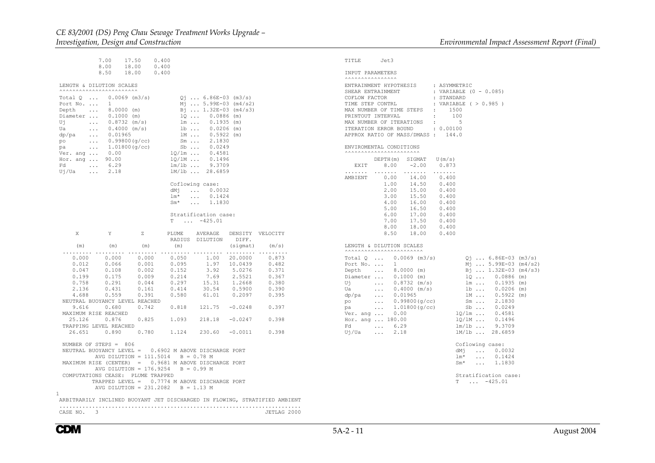..........................................................................

|                                                                                                                                                                                                                                                                                                                                | 7.00<br>17.50<br>8.00<br>18.00                                                                                                                                                    | 0.400<br>0.400                                                                              |                                                                                             |                                                                                                                                                                                                                                                                                                                                                                |                                                                                                                  |                                                                                             | TITLE                                                 | Jet3                                                                                                                                                                                                                                                                                                                                                                 |                                                                                                                       |                                                                                                                                                                                                                                                                                                                                  |  |
|--------------------------------------------------------------------------------------------------------------------------------------------------------------------------------------------------------------------------------------------------------------------------------------------------------------------------------|-----------------------------------------------------------------------------------------------------------------------------------------------------------------------------------|---------------------------------------------------------------------------------------------|---------------------------------------------------------------------------------------------|----------------------------------------------------------------------------------------------------------------------------------------------------------------------------------------------------------------------------------------------------------------------------------------------------------------------------------------------------------------|------------------------------------------------------------------------------------------------------------------|---------------------------------------------------------------------------------------------|-------------------------------------------------------|----------------------------------------------------------------------------------------------------------------------------------------------------------------------------------------------------------------------------------------------------------------------------------------------------------------------------------------------------------------------|-----------------------------------------------------------------------------------------------------------------------|----------------------------------------------------------------------------------------------------------------------------------------------------------------------------------------------------------------------------------------------------------------------------------------------------------------------------------|--|
|                                                                                                                                                                                                                                                                                                                                | 8.50<br>18.00                                                                                                                                                                     | 0.400                                                                                       |                                                                                             |                                                                                                                                                                                                                                                                                                                                                                |                                                                                                                  |                                                                                             |                                                       | INPUT PARAMETERS<br><b>AAAAAAAAAAAAAAA</b>                                                                                                                                                                                                                                                                                                                           |                                                                                                                       |                                                                                                                                                                                                                                                                                                                                  |  |
| LENGTH & DILUTION SCALES<br><b>^^^^^^^^^^^^^^^^^^^^^^^^^^^^</b><br>Total $Q \ldots$<br>Port No.<br>Depth<br>$\cdots$<br>Diameter<br>Uή<br>$\cdots$<br>Ua<br>$\sim 100$ km s $^{-1}$<br>dp/pa<br>$\sim 100$<br>po<br>$\sim 100$<br>pa<br>$\sim$ .<br>Ver. and<br>Hor. ang<br>Fd<br>$\sim 100$ km s $^{-1}$<br>Uj/Ua<br>$\cdots$ | $0.0069$ (m3/s)<br>$\mathbf{1}$<br>$8.0000$ (m)<br>$0.1000$ (m)<br>$0.8732$ (m/s)<br>$0.4000$ (m/s)<br>0.01965<br>0.99800(g/cc)<br>1.01800(q/cc)<br>0.00<br>90.00<br>6.29<br>2.18 |                                                                                             | $Sb$<br>$10/1m$<br>1Q/1M<br>$lm/lb$<br>dMi<br>$lm*$<br>$Sm*$                                | $01 6.86E-03$ (m3/s)<br>$M_1$ 5.99E-03 (m4/s2)<br>$B_1$ 1.32E-03 (m4/s3)<br>$100.0886$ (m)<br>$lm \ldots$<br>$0.1935$ (m)<br>$1b$<br>1M<br>$0.5922$ (m)<br>$Sm \ldots$<br>2.1830<br>0.0249<br>0.4581<br>0.1496<br>9.3709<br>1M/1b  28.6859<br>Coflowing case:<br>0.0032<br>$\cdots$<br>0.1424<br>$\mathbf{1}$ , $\mathbf{1}$ , $\mathbf{1}$<br>$\ldots$ 1.1830 | $0.0206$ (m)                                                                                                     |                                                                                             | EXIT<br>.<br>AMBIENT                                  | ENTRAINMENT HYPOTHESIS<br>SHEAR ENTRAINMENT<br>COFLOW FACTOR<br>TIME STEP CONTRL<br>MAX NUMBER OF TIME STEPS<br>PRINTOUT INTERVAL<br>MAX NUMBER OF ITERATIONS<br>ITERATION ERROR BOUND<br>APPROX RATIO OF MASS/DMASS: 144.0<br>ENVIROMENTAL CONDITIONS<br><b>^^^^^^^^^^^^^^^^^^^^^^^^^^^</b><br>DEPTH(m) SIGMAT<br>8.00<br>.<br>0.00<br>1.00<br>2.00<br>3.00<br>4.00 | $\ddot{\phantom{a}}$<br>$\ddot{\phantom{a}}$<br>$\cdot$<br>$-2.00$<br>.<br>14.00<br>14.50<br>15.00<br>15.50<br>16.00  | : ASYMMETRIC<br>: VARIABLE $(0 - 0.085)$<br>: STANDARD<br>: VARIABLE ( > 0.985 )<br>1500<br>100<br>5<br>: 0.00100<br>U(m/s)<br>0.873<br>0.400<br>0.400<br>0.400<br>0.400<br>0.400                                                                                                                                                |  |
| X                                                                                                                                                                                                                                                                                                                              | Y                                                                                                                                                                                 | $\mathbf{Z}$                                                                                | T.<br>PLUME                                                                                 | Stratification case:<br>$\ldots$ -425.01<br>AVERAGE<br>RADIUS DILUTION                                                                                                                                                                                                                                                                                         | DIFF.                                                                                                            | DENSITY VELOCITY                                                                            |                                                       | 5.00<br>6.00<br>7.00<br>8.00<br>8.50                                                                                                                                                                                                                                                                                                                                 | 16.50<br>17.00<br>17.50<br>18.00<br>18.00                                                                             | 0.400<br>0.400<br>0.400<br>0.400<br>0.400                                                                                                                                                                                                                                                                                        |  |
| (m)                                                                                                                                                                                                                                                                                                                            | (m)                                                                                                                                                                               | (m)                                                                                         | (m)                                                                                         |                                                                                                                                                                                                                                                                                                                                                                | (siamat)                                                                                                         | (m/s)                                                                                       |                                                       | LENGTH & DILUTION SCALES<br><b>AAAAAAAAAAAAAAAAAAAAAAA</b> A                                                                                                                                                                                                                                                                                                         |                                                                                                                       |                                                                                                                                                                                                                                                                                                                                  |  |
| .<br>0.000<br>0.012<br>0.047<br>0.199<br>0.758<br>2.136<br>4.688<br>NEUTRAL BUOYANCY LEVEL REACHED<br>9.616<br>MAXIMUM RISE REACHED<br>25.126<br>TRAPPING LEVEL REACHED<br>26.651<br>NUMBER OF STEPS = 806                                                                                                                     | .<br>0.000<br>0.066<br>0.108<br>0.175<br>0.291<br>0.431<br>0.559<br>0.680<br>0.876<br>0.890                                                                                       | .<br>0.000<br>0.001<br>0.002<br>0.009<br>0.044<br>0.161<br>0.391<br>0.742<br>0.825<br>0.780 | .<br>0.050<br>0.095<br>0.152<br>0.214<br>0.297<br>0.414<br>0.580<br>0.818<br>1.093<br>1.124 | 1.00<br>1.97<br>3.92<br>7.69<br>15.31<br>30.54<br>61.01<br>121.75<br>218.18<br>230.60                                                                                                                                                                                                                                                                          | .<br>20,0000<br>10.0439<br>5.0276<br>2.5521<br>1.2668<br>0.5900<br>0.2097<br>$-0.0248$<br>$-0.0247$<br>$-0.0011$ | .<br>0.873<br>0.482<br>0.371<br>0.367<br>0.380<br>0.390<br>0.395<br>0.397<br>0.398<br>0.398 | Depth<br>Ui<br>Ua<br>dp/pa<br>po<br>pa<br>Fd<br>Uj/Ua | Total $Q \ldots$<br>Port No.<br>$\mathbf{1}$<br>$\sim 10$ .<br>Diameter<br>$\sim 100$<br>$\sim 100$<br>0.01965<br>$\sim$ $\sim$ $\sim$<br>$\sim$ .<br>$\sim 10$ km $^{-1}$<br>0.00<br>Ver. ang<br>Hor. ang  180.00<br>$\sim 100$ km s $^{-1}$<br>6.29<br>$\sim 100$<br>2.18                                                                                          | $0.0069$ (m3/s)<br>$8.0000$ (m)<br>$0.1000$ (m)<br>$0.8732$ (m/s)<br>$0.4000$ (m/s)<br>0.99800(q/cc)<br>1.01800(g/cc) | $Q_1$ 6.86E-03 (m3/s)<br>$M_1$ 5.99E-03 (m4/s2)<br>Bj  1.32E-03 (m4/s3)<br>10<br>$0.0886$ (m)<br>$lm \ldots$<br>$0.1935$ (m)<br>$0.0206$ (m)<br>$1b \ldots$<br>1M<br>$0.5922$ (m)<br>$Sm \ldots$<br>2.1830<br>$Sb$<br>0.0249<br>$10/1m$<br>0.4581<br>$10/1M$<br>0.1496<br>$lm/lb$<br>9.3709<br>1M/1b  28.6859<br>Coflowing case: |  |
| NEUTRAL BUOYANCY LEVEL =<br>MAXIMUM RISE (CENTER) = 0.9681 M ABOVE DISCHARGE PORT<br>COMPUTATIONS CEASE: PLUME TRAPPED                                                                                                                                                                                                         | AVG DILUTION = $111.5014$<br>AVG DILUTION = $176.9254$<br>TRAPPED LEVEL = 0.7774 M ABOVE DISCHARGE PORT<br>AVG DILUTION = $231.2082$ B = 1.13 M                                   |                                                                                             |                                                                                             | 0.6902 M ABOVE DISCHARGE PORT<br>$B = 0.78$ M<br>$B = 0.99 M$                                                                                                                                                                                                                                                                                                  |                                                                                                                  |                                                                                             |                                                       |                                                                                                                                                                                                                                                                                                                                                                      |                                                                                                                       | dMi<br>$\ldots$<br>0.0032<br>$lm*$<br>$\ldots$<br>0.1424<br>1,1830<br>$Sm*$<br>$\sim 100$<br>Stratification case:<br>$T \dots -425.01$                                                                                                                                                                                           |  |
| ARBITRARILY INCLINED BUOYANT JET DISCHARGED IN FLOWING, STRATIFIED AMBIENT                                                                                                                                                                                                                                                     |                                                                                                                                                                                   |                                                                                             |                                                                                             |                                                                                                                                                                                                                                                                                                                                                                |                                                                                                                  |                                                                                             |                                                       |                                                                                                                                                                                                                                                                                                                                                                      |                                                                                                                       |                                                                                                                                                                                                                                                                                                                                  |  |

CASE NO. 3 JETLAG 2000

**CDM**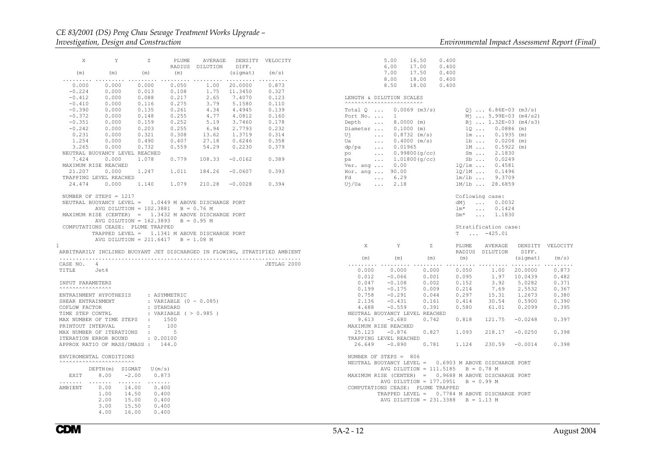#### *CE 83/2001 (DS) Peng Chau Sewage Treatment Works Upgrade – Investigation, Design and Construction Environmental Impact Assessment Report (Final)*

| X                                                                                                                                                                                                                                                                                                                                                                                                                                       | $\mathbf Y$ . The same $\mathbf Y$                                                                                                                                    | $\mathbb{Z}$   |                          | RADIUS DILUTION DIFF. | PLUME AVERAGE DENSITY VELOCITY                                                                                                                         |                |
|-----------------------------------------------------------------------------------------------------------------------------------------------------------------------------------------------------------------------------------------------------------------------------------------------------------------------------------------------------------------------------------------------------------------------------------------|-----------------------------------------------------------------------------------------------------------------------------------------------------------------------|----------------|--------------------------|-----------------------|--------------------------------------------------------------------------------------------------------------------------------------------------------|----------------|
| (m)                                                                                                                                                                                                                                                                                                                                                                                                                                     | $(m)$ $(m)$                                                                                                                                                           |                | (m)                      |                       | (sigmat)                                                                                                                                               | (m/s)          |
| $\begin{array}{cccccccc} 0.000 & 0.000 & 0.000 & 0.000 & 0.050 & 1.00 & 20.0000 \\ -0.224 & 0.000 & 0.013 & 0.108 & 1.75 & 11.3450 \end{array}$<br>$\begin{array}{cccccccc} -0.224 & 0.000 & 0.013 & 0.108 & 1.75 & 11.3450 & 0.524 \\ -0.224 & 0.000 & 0.088 & 0.217 & 2.65 & 7.4070 & 0.123 \\ -0.410 & 0.000 & 0.116 & 0.275 & 3.79 & 5.1580 & 0.110 \\ -0.390 & 0.000 & 0.135 & 0.261 & 4.34 & 4.4945 & 0.139 \\ -0.372 & 0.000 & $ |                                                                                                                                                                       |                |                          |                       | $\begin{array}{cccccccc} 1.254 & 0.000 & 0.490 & 0.407 & 27.18 & 0.6246 & 0.358 \\ 3.265 & 0.000 & 0.732 & 0.559 & 54.29 & 0.2230 & 0.379 \end{array}$ | 0.873<br>0.327 |
| NEUTRAL BUOYANCY LEVEL REACHED<br>MAXIMUM RISE REACHED                                                                                                                                                                                                                                                                                                                                                                                  |                                                                                                                                                                       |                |                          |                       | 7.424  0.000  1.078  0.779  108.33  -0.0162  0.389                                                                                                     |                |
| $21.207 \qquad 0.000 \qquad 1.247 \qquad 1.011 \qquad 184.26 \quad -0.0607 \qquad 0.393$                                                                                                                                                                                                                                                                                                                                                |                                                                                                                                                                       |                |                          |                       |                                                                                                                                                        |                |
| TRAPPING LEVEL REACHED<br>24.474  0.000  1.140  1.079  210.28  -0.0028  0.394                                                                                                                                                                                                                                                                                                                                                           |                                                                                                                                                                       |                |                          |                       |                                                                                                                                                        |                |
| NUMBER OF STEPS $= 1217$<br>NEUTRAL BUOYANCY LEVEL = 1.0449 M ABOVE DISCHARGE PORT<br>MAXIMUM RISE (CENTER) = 1.3432 M ABOVE DISCHARGE PORT<br>COMPUTATIONS CEASE: PLUME TRAPPED<br>$\mathbf{1}$<br>ARBITRARILY INCLINED BUOYANT JET DISCHARGED IN FLOWING, STRATIFIED AMBIENT<br>CASE NO. 4<br>TITLE Jet4                                                                                                                              | AVG DILUTION = $102.3881$ B = 0.76 M<br>AVG DILUTION = $162.3893$ B = 0.95 M<br>TRAPPED LEVEL = 1.1341 M ABOVE DISCHARGE PORT<br>AVG DILUTION = $211.6417$ B = 1.08 M |                |                          |                       |                                                                                                                                                        | JETLAG 2000    |
| INPUT PARAMETERS                                                                                                                                                                                                                                                                                                                                                                                                                        |                                                                                                                                                                       |                |                          |                       |                                                                                                                                                        |                |
| ENTRAINMENT HYPOTHESIS : ASYMMETRIC<br>SHEAR ENTRAINMENT<br>COFLOW FACTOR<br>PRINTOUT INTERVAL<br>PRINTOUT INTERVAL : 100<br>MAX NUMBER OF ITERATIONS : 5<br>ITERATION ERROR BOUND : 0.00100<br>APPROX RATIO OF MASS/DMASS : 144.0                                                                                                                                                                                                      |                                                                                                                                                                       | : STANDARD     | : VARIABLE $(0 - 0.085)$ |                       |                                                                                                                                                        |                |
| ENVIROMENTAL CONDITIONS                                                                                                                                                                                                                                                                                                                                                                                                                 |                                                                                                                                                                       |                |                          |                       |                                                                                                                                                        |                |
| EXIT 8.00 -2.00 0.873                                                                                                                                                                                                                                                                                                                                                                                                                   | $\begin{minipage}{.4\linewidth} \begin{tabular}{ll} \bf{DEPTH (m)} & \tt SIGMAT & \tt{U (m/s)} \end{tabular} \end{minipage}$                                          |                |                          |                       |                                                                                                                                                        |                |
| AMBIENT                                                                                                                                                                                                                                                                                                                                                                                                                                 | $0.00$ $14.00$<br>$1.00$ $14.50$<br>$\begin{array}{cccc} 2.00 & 15.00 & 0.400 \\ 3.00 & 15.50 & 0.400 \\ 4.00 & 16.00 & 0.400 \end{array}$                            | 0.400<br>0.400 |                          |                       |                                                                                                                                                        |                |

|                                                  | 5.00<br>6.00<br>7.00<br>8.00<br>8.50                                                                                                                                                                                                                                                                                                                     | 16.50 0.400<br>17.00<br>17.50<br>$18.00$ 0.400<br>18.00 0.400 | 0.400<br>0.400 |                 |                                                                                                                                                                                                                                                    |                                    |                                |
|--------------------------------------------------|----------------------------------------------------------------------------------------------------------------------------------------------------------------------------------------------------------------------------------------------------------------------------------------------------------------------------------------------------------|---------------------------------------------------------------|----------------|-----------------|----------------------------------------------------------------------------------------------------------------------------------------------------------------------------------------------------------------------------------------------------|------------------------------------|--------------------------------|
|                                                  | LENGTH & DILUTION SCALES<br><b>^^^^^^^^^^^^^^^^^^^^^^^^^^^^</b> ^                                                                                                                                                                                                                                                                                        |                                                               |                |                 |                                                                                                                                                                                                                                                    |                                    |                                |
| Port No.<br>Hor. ang  90.00<br>Fd<br>Uj/Ua  2.18 | Total $Q_{}, Q_{}$ 0.0069 (m3/s)<br>$\mathbf{1}$<br>0.000 (m)<br>Diameter  0.1000 (m)<br>Uj  0.8732 (m/s)<br>Ua  0.4000 (m/s)<br>dp/pa  0.01965<br>po  0.99800(g/cc)<br>pa  1.01800(g/cc)<br>Ver. ang  0.00<br>$\ldots$ 6.29                                                                                                                             |                                                               |                |                 | $Q_1$ 6.86E-03 (m3/s)<br>Mj  5.99E-03 (m4/s2)<br>Bj  1.32E-03 (m4/s3)<br>$1Q$ 0.0886 (m)<br>$1m$ 0.1935 (m)<br>1b  0.0206 (m)<br>$1M$ 0.5922 (m)<br>Sm  2.1830<br>Sb  0.0249<br>1Q/1m  0.4581<br>1Q/1M  0.1496<br>$lm/lb$ 9.3709<br>1M/1b  28.6859 |                                    |                                |
|                                                  |                                                                                                                                                                                                                                                                                                                                                          |                                                               |                | $lm*$<br>$Sm^*$ | Coflowing case:<br>dMj  0.0032<br>0.1424<br>$\ldots$ 1.1830                                                                                                                                                                                        |                                    |                                |
|                                                  |                                                                                                                                                                                                                                                                                                                                                          |                                                               |                | T.              | Stratification case:<br>$\ldots$ -425.01                                                                                                                                                                                                           |                                    |                                |
| X                                                | $\mathbb{Y}$<br>$(m)$ $(m)$ $(m)$                                                                                                                                                                                                                                                                                                                        | Z                                                             |                | (m)             | RADIUS DILUTION DIFF.                                                                                                                                                                                                                              | (sigmat) (m/s)                     | PLUME AVERAGE DENSITY VELOCITY |
|                                                  | $\begin{array}{cccccccc} 0.000 & 0.000 & 0.000 & 0.000 & 0.000 & 0.000 & 0.000 & 0.0000 & 0.0000 & 0.0000 \\ 0.000 & 0.000 & 0.000 & 0.000 & 0.055 & 1.97 & 10.0439 & 0.482 \\ 0.047 & -0.108 & 0.002 & 0.152 & 3.92 & 5.0282 & 0.371 \\ 0.19 & -0.108 & 0.002 & 0.152 & 3.92 &$<br>$0.012$ $-0.066$<br>0.047 $-0.108$<br>NEUTRAL BUOYANCY LEVEL REACHED |                                                               |                |                 |                                                                                                                                                                                                                                                    |                                    |                                |
|                                                  | 9.613 $-0.680$ 0.742 0.818 121.75 $-0.0248$<br>MAXIMUM RISE REACHED                                                                                                                                                                                                                                                                                      |                                                               |                |                 |                                                                                                                                                                                                                                                    |                                    | 0.397                          |
| 25.123                                           | $-0.876$<br>TRAPPING LEVEL REACHED                                                                                                                                                                                                                                                                                                                       |                                                               |                |                 |                                                                                                                                                                                                                                                    | $0.827$ 1.093 218.17 -0.0250 0.398 |                                |
|                                                  | 26.649 -0.890 0.781 1.124 230.59 -0.0014 0.398<br>NUMBER OF STEPS = 806                                                                                                                                                                                                                                                                                  |                                                               |                |                 |                                                                                                                                                                                                                                                    |                                    |                                |
|                                                  | NEUTRAL BUOYANCY LEVEL = 0.6903 M ABOVE DISCHARGE PORT<br>AVG DILUTION = $111.5185$ B = 0.78 M<br>MAXIMUM RISE (CENTER) = 0.9688 M ABOVE DISCHARGE PORT<br>AVG DILUTION = $177.0951$ B = 0.99 M<br>COMPUTATIONS CEASE: PLUME TRAPPED<br>TRAPPED LEVEL = 0.7784 M ABOVE DISCHARGE PORT                                                                    |                                                               |                |                 |                                                                                                                                                                                                                                                    |                                    |                                |
|                                                  | AVG DILUTION = $231.3388$ B = 1.13 M                                                                                                                                                                                                                                                                                                                     |                                                               |                |                 |                                                                                                                                                                                                                                                    |                                    |                                |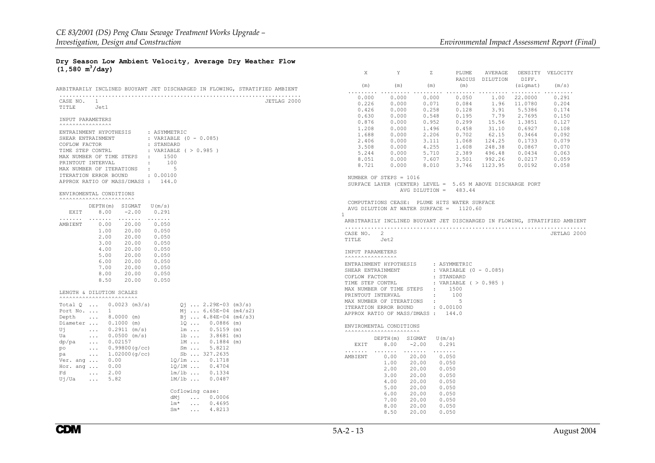X Y Z PLUME AVERAGE DENSITY VELOCITY

#### **Dry Season Low Ambient Velocity, Average Dry Weather Flow (1,580 m3/day)**

|                                                                            | RADIUS DILUTION<br>DIFF.                                                   |             |
|----------------------------------------------------------------------------|----------------------------------------------------------------------------|-------------|
| ARBITRARILY INCLINED BUOYANT JET DISCHARGED IN FLOWING, STRATIFIED AMBIENT | (m)<br>(m)<br>(m)<br>(m)<br>(sigmat)                                       | (m/s)       |
|                                                                            | 1.00<br>0.000<br>0.000<br>0.000<br>0.050<br>22,0000                        | .<br>0.291  |
| CASE NO. 1<br>JETLAG 2000                                                  | 0.226<br>0.000<br>0.084<br>1.96<br>0.071<br>11,0780                        | 0.204       |
| TITLE<br>Jet1                                                              | 0.000<br>0.258<br>0.128<br>3.91<br>5.5386<br>0.426                         | 0.174       |
|                                                                            | 0.630<br>0.000<br>0.195<br>7.79<br>2.7695<br>0.548                         | 0.150       |
| <b>INPUT PARAMETERS</b>                                                    | 0.876<br>0.299<br>0.000<br>0.952<br>15.56<br>1.3851                        | 0.127       |
| <b>^^^^^^^^^^^^^^^^^^^</b>                                                 | 1.208<br>31.10<br>0.000<br>1.496<br>0.458<br>0.6927                        | 0.108       |
| : ASYMMETRIC<br>ENTRAINMENT HYPOTHESIS                                     | 1.688<br>0.000<br>2,206<br>0.702<br>62.15<br>0.3464                        | 0.092       |
| SHEAR ENTRAINMENT<br>: VARIABLE (0 - 0.085)                                | 2.406<br>0.000<br>1.068<br>124.25<br>3.111<br>0.1733                       | 0.079       |
| COFLOW FACTOR<br>: STANDARD                                                | 3.508<br>0.000<br>4.255<br>1.608<br>248.38<br>0.0867                       | 0.070       |
| TIME STEP CONTRL<br>: VARIABLE $( > 0.985 )$                               | 5.244<br>0.000<br>2.389<br>496.48<br>5.710<br>0.0434                       | 0.063       |
| MAX NUMBER OF TIME STEPS : 1500                                            | 8.051<br>0.000<br>7.607<br>3.501<br>992.26<br>0.0217                       | 0.059       |
| $\sim$<br>100<br>PRINTOUT INTERVAL                                         | 8.721<br>0.000<br>8.010<br>3.746<br>1123.95<br>0.0192                      | 0.058       |
| $\sim 10^{-11}$<br>- 5<br>MAX NUMBER OF ITERATIONS                         |                                                                            |             |
| ITERATION ERROR BOUND<br>: 0.00100                                         | NUMBER OF STEPS = 1016                                                     |             |
| APPROX RATIO OF MASS/DMASS: 144.0                                          | SURFACE LAYER (CENTER) LEVEL = $5.65$ M ABOVE DISCHARGE PORT               |             |
| ENVIROMENTAL CONDITIONS                                                    | AVG DILUTION =<br>483.44                                                   |             |
| <b>^^^^^^^^^^^^^^^^^^^^^^^^^^^^</b>                                        |                                                                            |             |
| DEPTH(m) SIGMAT<br>U(m/s)                                                  | COMPUTATIONS CEASE: PLUME HITS WATER SURFACE                               |             |
| EXIT<br>8.00<br>$-2.00$<br>0.291                                           | AVG DILUTION AT WATER SURFACE =<br>1120.60<br>$\mathbf{1}$                 |             |
| .<br>.<br>.<br>.                                                           | ARBITRARILY INCLINED BUOYANT JET DISCHARGED IN FLOWING, STRATIFIED AMBIENT |             |
| 0.00<br>20.00<br>AMBIENT<br>0.050                                          |                                                                            |             |
| 1.00<br>20.00<br>0.050                                                     | CASE NO. 2                                                                 | JETLAG 2000 |
| 2.00<br>20.00<br>0.050                                                     | TITLE<br>Jet2                                                              |             |
| 3.00<br>20.00<br>0.050                                                     |                                                                            |             |
| 4.00<br>0.050<br>20.00                                                     | INPUT PARAMETERS                                                           |             |
| 5.00<br>20.00<br>0.050                                                     |                                                                            |             |
| 6.00<br>20.00<br>0.050                                                     | ENTRAINMENT HYPOTHESIS<br>: ASYMMETRIC                                     |             |
| 7.00<br>20.00<br>0.050                                                     | SHEAR ENTRAINMENT<br>: VARIABLE (0 - 0.085)                                |             |
| 8.00<br>20.00<br>0.050<br>8.50                                             | COFLOW FACTOR<br>: STANDARD                                                |             |
| 20.00<br>0.050                                                             | TIME STEP CONTRL<br>: VARIABLE ( > 0.985 )                                 |             |
| LENGTH & DILUTION SCALES                                                   | MAX NUMBER OF TIME STEPS : 1500                                            |             |
| <b>^^^^^^^^^^^^^^^^^^^^^^^^^^^^</b> ^^                                     | $\pm$ $\pm$<br>100<br>PRINTOUT INTERVAL                                    |             |
| Total $Q$ 0.0023 (m3/s)<br>$Q_1$ 2.29E-03 (m3/s)                           | MAX NUMBER OF ITERATIONS :<br>-5                                           |             |
| Port No.  1<br>$M_1$ 6.65E-04 (m4/s2)                                      | ITERATION ERROR BOUND<br>: 0.00100                                         |             |
| $B_1$ 4.84E-04 (m4/s3)<br>Depth<br>$\ldots$ 8.0000 (m)                     | APPROX RATIO OF MASS/DMASS: 144.0                                          |             |
| $1Q 0.0886$ (m)<br>Diameter  0.1000 (m)                                    |                                                                            |             |
| $lm \dots 0.5159 (m)$<br>Uj<br>$0.2911$ (m/s)<br>$\sim$ .                  | ENVIROMENTAL CONDITIONS                                                    |             |
| 1b  3.8681 (m)<br>Ua<br>$0.0500$ (m/s)<br>$\sim 100$ km s $^{-1}$          |                                                                            |             |
| lm 0.1884 (m)<br>dp/pa<br>$\ldots$ 0.02157                                 | DEPTH(m) SIGMAT<br>U(m/s)                                                  |             |
| $Sm \tldots \t 5.8212$<br>po<br>$0.99800$ (g/cc)<br>$\sim 100$             | 8.00<br>$-2.00$<br>0.291<br><b>EXTT</b>                                    |             |
| Sb  327.2635<br>1.02000(q/cc)<br>pa<br>$\sim 100$                          | .<br>$\sim$ $\sim$ $\sim$ $\sim$ $\sim$ $\sim$ $\sim$<br>$\sim$<br>.       |             |
| $10/1m$ $0.1718$<br>0.00<br>Ver. ang                                       | 0.050<br>AMBIENT<br>0.00<br>20.00                                          |             |
| 10/1M  0.4704<br>0.00<br>Hor. ang                                          | 1.00<br>20.00<br>0.050                                                     |             |
| 2.00<br>$lm/1b$ 0.1334<br>Fd<br>$\sim 100$                                 | 2.00<br>20.00<br>0.050                                                     |             |
| 5.82<br>$1M/lb$ 0.0487<br>Uj/Ua<br>$\mathbf{1}$ , $\mathbf{1}$             | 3.00<br>20.00<br>0.050                                                     |             |
|                                                                            | 4.00<br>20.00<br>0.050                                                     |             |
| Coflowing case:                                                            | 5.00<br>20.00<br>0.050                                                     |             |
| dMj<br>$\ldots$ 0.0006                                                     | 6.00<br>20.00<br>0.050                                                     |             |
| $lm*$<br>$\ldots$ 0.4695                                                   | 7.00<br>20.00<br>0.050                                                     |             |
| $Sm*$<br>$\ldots$ 4.8213                                                   | 0.050<br>8.00<br>20.00                                                     |             |
|                                                                            | 8.50<br>20.00<br>0.050                                                     |             |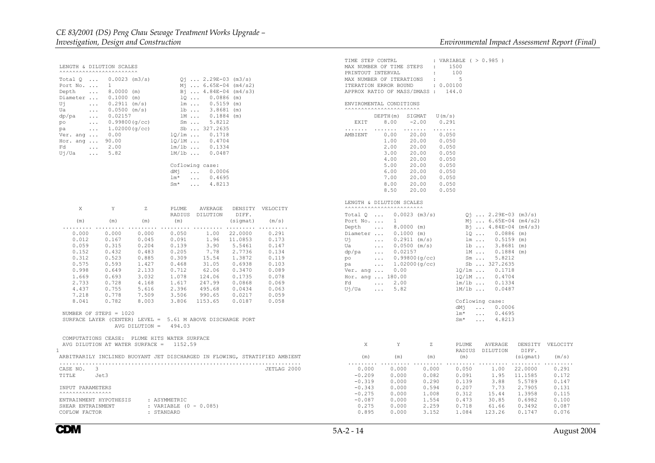LENGTH & DILUTION SCALES ^^^^^^^^^^^^^^^^^^^^^^^^Total Q ...  $0.0023$  (m3/s)  $Qj$  ... 2.29E-03 (m3/s) Port No. ...  $1$  Mj ... 6.65E-04 (m4/s2) Depth ... 8.0000 (m)  $B_1^2$  ... 4.84E-04 (m4/s3)<br>Diameter ... 0.1000 (m) 10 ... 0.0886 (m)  $Diameter$  ... 0.1000 (m)  $l\Omega$  ... 0.0886 (m)<br>Uj ... 0.2911 (m/s)  $lm$  ... 0.5159 (m) Uj ...  $0.2911 \text{ (m/s)}$   $\ln$  ...  $0.5159 \text{ (m)}$ <br>Ua ...  $0.0500 \text{ (m/s)}$   $\ln$  ...  $3.8681 \text{ (m)}$  $\frac{1}{2}$  ... 0.0500 (m/s) dp/pa ... 0.02157 1M ... 0.1884 (m)<br>po ... 0.99800(g/cc) 5m ... 5.8212 po ... 0.99800(g/cc) Sm ... 5.8212<br>pa ... 1.02000(g/cc) Sb ... 327.2635 pa  $... 1.02000 (q/cc)$ Ver. ang ... 0.00 <br>Hor. ang ... 90.00 <br> $10/\text{lm}$  ... 0.4704 Hor. ang  $\ldots$  90.00 Fd ... 2.00  $lm/Lb$  ... 0.1334<br> $lm/Lb$  ... 0.0487  $Uj/Ua$  ... 5.82 Coflowing case: dMj ... 0.0006 lm\* ... 0.4695 Sm\* ... 4.8213X Y Z PLUME AVERAGE DENSITY VELOCITY RADIUS DILUTION DIFF.(m)  $(m)$  (m)  $(m)$  (sigmat)  $(m/s)$  ......... ......... ......... ......... ......... ......... ......... 0.000 0.000 0.000 0.050 1.00 22.0000 0.2910.173 0.012 0.167 0.045 0.091 1.96 11.0853 0.059 0.315 0.204 0.139 3.90 5.5461 0.147 0.152 0.432 0.483 0.205 7.78 2.7736 0.134 0.312 0.523 0.885 0.309 15.54 1.3872 0.119 0.575 0.593 1.427 0.468 31.05 0.6938 0.103 0.998 0.649 2.133 0.712 62.06 0.3470 0.089 1.669 0.693 3.032 1.078 124.06 0.1735 0.078 2.733 0.728 4.168 1.617 247.99 0.0868 0.069 4.437 0.755 5.616 2.396 495.68 0.0434 0.063 7.218 0.778 7.509 3.506 990.65 0.0217 0.059 8.041 0.782 8.003 3.806 1153.65 0.0187 0.058 NUMBER OF STEPS = 1020 SURFACE LAYER (CENTER) LEVEL = 5.61 M ABOVE DISCHARGE PORT AVG DILUTION = 494.03 COMPUTATIONS CEASE: PLUME HITS WATER SURFACE AVG DILUTION AT WATER SURFACE = 1152.59 ARBITRARILY INCLINED BUOYANT JET DISCHARGED IN FLOWING, STRATIFIED AMBIENT .......................................................................... CASE NO. 3 JETLAG 2000 TITLE Jet3 INPUT PARAMETERS $\overline{\phantom{a}}$   $\overline{\phantom{a}}$   $\overline{\phantom{a}}$ 

#### ENTRAINMENT HYPOTHESIS : ASYMMETRIC SHEAR ENTRAINMENT : VARIABLE (0 - 0.085) COFLOW FACTOR : STANDARD

| TIME STEP CONTRL<br>MAX NUMBER OF TIME STEPS : 1500<br>PRINTOUT INTERVAL<br>$\sim 100$<br>MAX NUMBER OF ITERATIONS :<br>ITERATION ERROR BOUND : 0.00100<br>APPROX RATIO OF MASS/DMASS: 144.0                                                                                                                               | : VARIABLE ( $> 0.985$ )<br>100<br>$-5$                                                                                                                                                                                                                                                                                                                                                             |
|----------------------------------------------------------------------------------------------------------------------------------------------------------------------------------------------------------------------------------------------------------------------------------------------------------------------------|-----------------------------------------------------------------------------------------------------------------------------------------------------------------------------------------------------------------------------------------------------------------------------------------------------------------------------------------------------------------------------------------------------|
| ENVIROMENTAL CONDITIONS<br><b>AAAAAAAAAAAAAAAAAAAAAA</b>                                                                                                                                                                                                                                                                   |                                                                                                                                                                                                                                                                                                                                                                                                     |
| $DEFTH(m)$ SIGMAT $U(m/s)$<br>EXIT 8.00 -2.00                                                                                                                                                                                                                                                                              | 0.291                                                                                                                                                                                                                                                                                                                                                                                               |
| .<br>.<br>0.00 20.00<br>AMBIENT<br>1.00<br>20.00<br>$2.00$ $20.00$ $0.050$<br>3.00 $20.00$ 0.050<br>$\begin{array}{cccc} 5\,.\,00 & \quad 20\,.\,00 & \quad 0\,.\,050 \\ 6\,.\,00 & \quad 20\,.\,00 & \quad 0\,.\,050 \\ 7\,.\,00 & \quad 20\,.\,00 & \quad 0\,.\,050 \\ \end{array}$<br>8.00<br>20.00<br>8.50 20.00 0.050 | 1.1.1.1.1.1<br>0.050<br>0.050<br>0.050                                                                                                                                                                                                                                                                                                                                                              |
| LENGTH & DILUTION SCALES<br><b>AAAAAAAAAAAAAAAAAAAAAAA</b>                                                                                                                                                                                                                                                                 |                                                                                                                                                                                                                                                                                                                                                                                                     |
| Total $Q$ 0.0023 (m3/s)<br>Port No.<br>$\mathbf{1}$<br>Depth  8.0000 (m)<br>Diameter  0.1000 (m)<br>U <sub>1</sub> 0.2911 (m/s)<br>$0.0500$ (m/s)<br>$0.02157$<br>$0.99800$ (g/cc)<br>$1.02000$ (g/cc)<br>Ua<br>dp/pa<br>po<br>pa<br>Ver. ang $0.00$<br>Hor. ang  180.00<br>Fd<br>$\ldots$ 2.00<br>$U_1/Ua$ 5.82           | $Q_1$ 2.29E-03 (m3/s)<br>$M_1$ 6.65E-04 (m4/s2)<br>Bj  4.84E-04 (m4/s3)<br>$1Q  0.0886$ (m)<br>lm  0.5159 (m)<br>1b  3.8681 (m)<br>1M  0.1884 (m)<br>5m  5.8212<br>Sb  327.2635<br>1Q/lm 0.1718<br>1Q/1M  0.4704<br>lm/1b  0.1334<br>1M/1b  0.0487<br>Coflowing case:<br>dMj  0.0006<br>$\ldots$ 0.4695<br>lm*<br>$Sm*$<br>$\ldots$ 4.8213                                                          |
|                                                                                                                                                                                                                                                                                                                            |                                                                                                                                                                                                                                                                                                                                                                                                     |
| X<br>$Y$ z<br>$(m)$ $(m)$<br>(m)                                                                                                                                                                                                                                                                                           | PLUME AVERAGE DENSITY VELOCITY<br>RADIUS DILUTION DIFF.<br>(sigmat) (m/s)<br>(m)                                                                                                                                                                                                                                                                                                                    |
| 0.000<br>0.082<br>$-0.209$<br>0.290<br>$-0.319$<br>0.000<br>$-0.343$<br>$0.000$<br>$0.000$<br>$-0.275$<br>0.000<br>$-0.087$<br>0.275<br>0.000<br>0.895<br>0.000<br>3.152                                                                                                                                                   | $0.000$ $0.000$ $0.000$ $0.050$ $1.00$ $22.0000$<br>0.291<br>$0.091$<br>$0.139$<br>1.95 11.1585<br>0.172<br>5.5789<br>3.88<br>0.147<br>$0.250$ $0.135$ $0.273$ $0.27905$<br>$1.008$ $0.312$ $15.44$ $1.3958$<br>$1.554$ $0.473$ $30.85$ $0.6982$<br>$2.259$ $0.718$ $61.66$ $0.3492$<br>$3.152$ $1.084$ $123.26$ $0.1747$<br>0.131<br>0.115<br>0.100<br>0.087<br>0.1747<br>1.084<br>123.26<br>0.076 |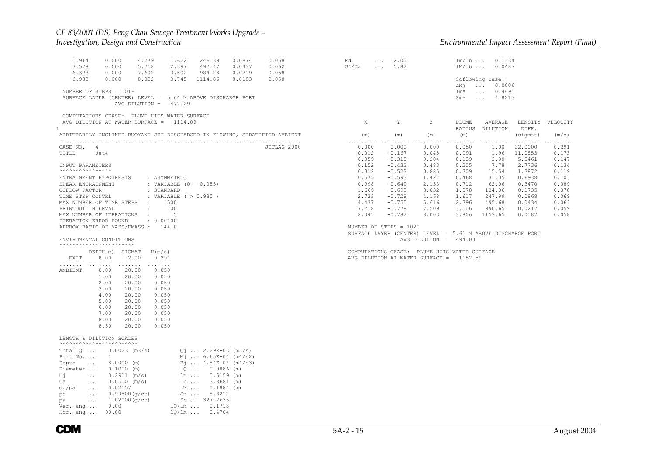#### *CE 83/2001 (DS) Peng Chau Sewage Treatment Works Upgrade – Investigation, Design and Construction Environmental Impact Assessment Report (Final)*

| 0.000<br>246.39<br>1.914<br>4.279<br>1.622<br>0.0874<br>3.578<br>2.397<br>492.47<br>0.000<br>5.718<br>0.0437<br>6.323<br>0.000<br>7.602<br>3.502<br>984.23<br>0.0219<br>6.983<br>0.000<br>8.002<br>3.745<br>1114.86<br>0.0193<br>NUMBER OF STEPS = 1016<br>SURFACE LAYER (CENTER) LEVEL = 5.64 M ABOVE DISCHARGE PORT                                                                                                                                                                                                                                                                                                                                                               | 0.068<br>0.062<br>0.058<br>0.058 | Fd<br>$\cdots$<br>Uj/Ua<br>$\sim 100$ | 2.00<br>5.82                       |                                                              | $lm/lb$<br>$lm/1b$<br>dMj<br>$lm*$<br>$Sm*$ | 0.1334<br>0.0487<br>Coflowing case:<br>0.0006<br>$\sim 100$<br>0.4695<br>$\sim 100$<br>4.8213<br>$\sim 100$ km s $^{-1}$ |                                   |                         |
|-------------------------------------------------------------------------------------------------------------------------------------------------------------------------------------------------------------------------------------------------------------------------------------------------------------------------------------------------------------------------------------------------------------------------------------------------------------------------------------------------------------------------------------------------------------------------------------------------------------------------------------------------------------------------------------|----------------------------------|---------------------------------------|------------------------------------|--------------------------------------------------------------|---------------------------------------------|--------------------------------------------------------------------------------------------------------------------------|-----------------------------------|-------------------------|
| AVG DILUTION = $477.29$<br>COMPUTATIONS CEASE: PLUME HITS WATER SURFACE                                                                                                                                                                                                                                                                                                                                                                                                                                                                                                                                                                                                             |                                  |                                       |                                    |                                                              |                                             |                                                                                                                          |                                   |                         |
| AVG DILUTION AT WATER SURFACE = 1114.09<br>1                                                                                                                                                                                                                                                                                                                                                                                                                                                                                                                                                                                                                                        |                                  | X                                     | Y                                  | Ζ                                                            | PLUME<br>RADIUS                             | AVERAGE<br>DILUTION                                                                                                      | DIFF.                             | DENSITY VELOCITY        |
| ARBITRARILY INCLINED BUOYANT JET DISCHARGED IN FLOWING, STRATIFIED AMBIENT                                                                                                                                                                                                                                                                                                                                                                                                                                                                                                                                                                                                          |                                  | (m)                                   | (m)                                | (m)                                                          | (m)                                         |                                                                                                                          | (sigmat)                          | (m/s)                   |
| CASE NO. 4<br>TITLE<br>Jet4                                                                                                                                                                                                                                                                                                                                                                                                                                                                                                                                                                                                                                                         | JETLAG 2000                      | .<br>0.000<br>0.012<br>0.059          | .<br>0.000<br>$-0.167$<br>$-0.315$ | .<br>0.000<br>0.045<br>0.204                                 | 0.050<br>0.091<br>0.139                     | .<br>1.00<br>1.96<br>3.90                                                                                                | .<br>22,0000<br>11.0853<br>5.5461 | 0.291<br>0.173<br>0.147 |
| INPUT PARAMETERS<br><b>^^^^^^^^^^^^^^^^^^^</b>                                                                                                                                                                                                                                                                                                                                                                                                                                                                                                                                                                                                                                      |                                  | 0.152<br>0.312                        | $-0.432$<br>$-0.523$               | 0.483<br>0.885                                               | 0.205<br>0.309                              | 7.78<br>15.54                                                                                                            | 2.7736<br>1.3872                  | 0.134<br>0.119          |
| ENTRAINMENT HYPOTHESIS<br>: ASYMMETRIC                                                                                                                                                                                                                                                                                                                                                                                                                                                                                                                                                                                                                                              |                                  | 0.575                                 | $-0.593$                           | 1.427                                                        | 0.468                                       | 31.05                                                                                                                    | 0.6938                            | 0.103                   |
| SHEAR ENTRAINMENT<br>: VARIABLE $(0 - 0.085)$                                                                                                                                                                                                                                                                                                                                                                                                                                                                                                                                                                                                                                       |                                  | 0.998                                 | $-0.649$                           | 2.133                                                        | 0.712                                       | 62.06                                                                                                                    | 0.3470                            | 0.089                   |
| : STANDARD<br>COFLOW FACTOR                                                                                                                                                                                                                                                                                                                                                                                                                                                                                                                                                                                                                                                         |                                  | 1.669<br>2.733                        | $-0.693$                           | 3.032                                                        | 1.078                                       | 124.06                                                                                                                   | 0.1735<br>0.0868                  | 0.078                   |
| : VARIABLE ( > 0.985 )<br>TIME STEP CONTRL<br>MAX NUMBER OF TIME STEPS<br>1500<br>$\sim 10$                                                                                                                                                                                                                                                                                                                                                                                                                                                                                                                                                                                         |                                  | 4.437                                 | $-0.728$<br>$-0.755$               | 4.168<br>5.616                                               | 1.617<br>2.396                              | 247.99<br>495.68                                                                                                         | 0.0434                            | 0.069<br>0.063          |
| $\ddot{\phantom{a}}$<br>100<br>PRINTOUT INTERVAL                                                                                                                                                                                                                                                                                                                                                                                                                                                                                                                                                                                                                                    |                                  | 7.218                                 | $-0.778$                           | 7.509                                                        | 3.506                                       | 990.65                                                                                                                   | 0.0217                            | 0.059                   |
| $-5$<br>MAX NUMBER OF ITERATIONS<br>$\sim$ 1.                                                                                                                                                                                                                                                                                                                                                                                                                                                                                                                                                                                                                                       |                                  | 8.041                                 | $-0.782$                           | 8.003                                                        | 3.806                                       | 1153.65                                                                                                                  | 0.0187                            | 0.058                   |
| : 0.00100<br>ITERATION ERROR BOUND<br>APPROX RATIO OF MASS/DMASS : 144.0                                                                                                                                                                                                                                                                                                                                                                                                                                                                                                                                                                                                            |                                  |                                       | NUMBER OF STEPS = 1020             |                                                              |                                             |                                                                                                                          |                                   |                         |
|                                                                                                                                                                                                                                                                                                                                                                                                                                                                                                                                                                                                                                                                                     |                                  |                                       |                                    | SURFACE LAYER (CENTER) LEVEL = $5.61$ M ABOVE DISCHARGE PORT |                                             |                                                                                                                          |                                   |                         |
| ENVIROMENTAL CONDITIONS<br><b>^^^^^^^^^^^^^^^^^^^^^^^^^^^^</b>                                                                                                                                                                                                                                                                                                                                                                                                                                                                                                                                                                                                                      |                                  |                                       |                                    | AVG DILUTION = $494.03$                                      |                                             |                                                                                                                          |                                   |                         |
| DEPTH(m) SIGMAT<br>U(m/s)                                                                                                                                                                                                                                                                                                                                                                                                                                                                                                                                                                                                                                                           |                                  |                                       |                                    | COMPUTATIONS CEASE: PLUME HITS WATER SURFACE                 |                                             |                                                                                                                          |                                   |                         |
| 8.00<br>$-2.00$<br>EXIT<br>0.291                                                                                                                                                                                                                                                                                                                                                                                                                                                                                                                                                                                                                                                    |                                  |                                       |                                    | AVG DILUTION AT WATER SURFACE = 1152.59                      |                                             |                                                                                                                          |                                   |                         |
| .<br>.<br>.<br>AMBIENT<br>0.00<br>20.00<br>0.050<br>1.00<br>20.00<br>0.050<br>2.00<br>20.00<br>0.050<br>3.00<br>20.00<br>0.050<br>4.00<br>20.00<br>0.050<br>5.00<br>20.00<br>0.050<br>6.00<br>20.00<br>0.050<br>7.00<br>20.00<br>0.050<br>8.00<br>20.00<br>0.050<br>8.50<br>20.00<br>0.050                                                                                                                                                                                                                                                                                                                                                                                          |                                  |                                       |                                    |                                                              |                                             |                                                                                                                          |                                   |                         |
| LENGTH & DILUTION SCALES<br><b>^^^^^^^^^^^^^^^^^^^^^^^^^^^^</b>                                                                                                                                                                                                                                                                                                                                                                                                                                                                                                                                                                                                                     |                                  |                                       |                                    |                                                              |                                             |                                                                                                                          |                                   |                         |
| Total $Q$ 0.0023 (m3/s)<br>$Q_1$ 2.29E-03 (m3/s)<br>Port No.<br>$\mathbf{1}$<br>$M_1$ 6.65E-04 (m4/s2)<br>$8.0000$ (m)<br>Bj  4.84E-04 (m4/s3)<br>Depth<br>$\sim$ $\sim$ $\sim$ $\sim$<br>$1Q \ldots 0.0886$ (m)<br>Diameter<br>$0.1000$ (m)<br>Uj<br>$0.2911$ (m/s)<br>$lm \dots 0.5159 (m)$<br>$\sim 100$ km $^{-1}$<br>$0.0500$ (m/s)<br>$1b$ 3.8681 (m)<br>Ua<br>$\sim 100$ km s $^{-1}$<br>0.02157<br>lm 0.1884 (m)<br>dp/pa<br>$\sim 100$ km s $^{-1}$<br>$Sm \ldots 5.8212$<br>po<br>0.99800(q/cc)<br>$\sim 100$<br>Sb  327.2635<br>1.02000(g/cc)<br>pa<br>$\sim$ $\sim$ $\sim$<br>$10/\text{lm}$ $0.1718$<br>0.00<br>Ver. ang $\ldots$<br>Hor. ang  90.00<br>$1Q/1M$ 0.4704 |                                  |                                       |                                    |                                                              |                                             |                                                                                                                          |                                   |                         |

**CDM**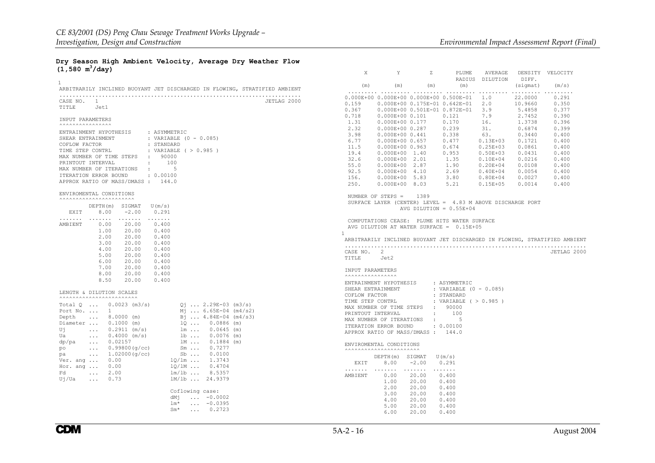X Y Z PLUME AVERAGE DENSITY VELOCITY

#### **Dry Season High Ambient Velocity, Average Dry Weather Flow (1,580 m3/day)**

| $\mathbf{1}$                                                                                       |             |                   |                                                            |                   |                                                              | RADIUS DILUTION              | DIFF.            |                                                                            |
|----------------------------------------------------------------------------------------------------|-------------|-------------------|------------------------------------------------------------|-------------------|--------------------------------------------------------------|------------------------------|------------------|----------------------------------------------------------------------------|
| ARBITRARILY INCLINED BUOYANT JET DISCHARGED IN FLOWING, STRATIFIED AMBIENT                         |             | (m)               | (m)                                                        | (m)               | (m)                                                          |                              | (sigmat)         | (m/s)                                                                      |
|                                                                                                    |             |                   | 0.000E+00 0.000E+00 0.000E+00 0.500E-01                    |                   |                                                              | 1.0                          | 22,0000          | .<br>0.291                                                                 |
| CASE NO. 1                                                                                         | JETLAG 2000 | 0.159             |                                                            |                   | 0.000E+00 0.175E-01 0.642E-01                                | 2.0                          | 10.9660          | 0.350                                                                      |
| TITLE Jet1                                                                                         |             | 0.367             |                                                            |                   | 0.000E+00  0.501E-01  0.872E-01                              | 3.9                          | 5.4858           | 0.377                                                                      |
|                                                                                                    |             | 0.718             | $0.000E+000.101$                                           |                   | 0.121                                                        | 7.9                          | 2.7452           | 0.390                                                                      |
| INPUT PARAMETERS<br><b>^^^^^^^^^^^^^^^^^^^</b>                                                     |             | 1.31              | 0.000E+00 0.177                                            |                   | 0.170                                                        | 16.                          | 1.3738           | 0.396                                                                      |
| : ASYMMETRIC<br>ENTRAINMENT HYPOTHESIS                                                             |             | 2.32              | 0.000E+00 0.287                                            |                   | 0.239                                                        | 31.                          | 0.6874           | 0.399                                                                      |
| SHEAR ENTRAINMENT<br>: VARIABLE (0 - 0.085)                                                        |             | 3.98              | $0.000E+000.441$                                           |                   | 0.338                                                        | 63.                          | 0.3440           | 0.400                                                                      |
| : STANDARD<br>COFLOW FACTOR                                                                        |             | 6.77              | 0.000E+00 0.657                                            |                   | 0.477                                                        | $0.13E + 03$                 | 0.1721           | 0.400                                                                      |
| TIME STEP CONTRL<br>: VARIABLE ( > 0.985 )                                                         |             | 11.5              | $0.000E+000.963$                                           |                   | 0.674                                                        | $0.25E + 03$                 | 0.0861           | 0.400                                                                      |
| MAX NUMBER OF TIME STEPS : 90000                                                                   |             | 19.4<br>32.6      | $0.000E+00$ 1.40                                           |                   | 0.953                                                        | $0.50E + 03$                 | 0.0431<br>0.0216 | 0.400                                                                      |
| PRINTOUT INTERVAL                                                                                  |             | 55.0              | $0.000E + 00$ 2.01<br>$0.000E + 00$ 2.87                   |                   | 1.35<br>1.90                                                 | $0.10E + 04$<br>$0.20E + 04$ | 0.0108           | 0.400<br>0.400                                                             |
| MAX NUMBER OF ITERATIONS : 5                                                                       |             | 92.5              | $0.000E + 00 4.10$                                         |                   | 2.69                                                         | $0.40E + 04$                 | 0.0054           | 0.400                                                                      |
| ITERATION ERROR BOUND<br>$\cdot$ 0.00100                                                           |             | 156.              | $0.000E+00$ 5.83                                           |                   | 3.80                                                         | $0.80E + 04$                 | 0.0027           | 0.400                                                                      |
| APPROX RATIO OF MASS/DMASS: 144.0                                                                  |             | 250.              | $0.000E+00 8.03$                                           |                   | 5.21                                                         | $0.15E + 05$                 | 0.0014           | 0.400                                                                      |
|                                                                                                    |             |                   |                                                            |                   |                                                              |                              |                  |                                                                            |
| ENVIROMENTAL CONDITIONS<br><b>^^^^^^^^^^^^^^^^^^^^^^^^^^^^</b> ^                                   |             |                   | NUMBER OF STEPS = $1389$                                   |                   |                                                              |                              |                  |                                                                            |
| $DEFH(m)$ SIGMAT $U(m/s)$                                                                          |             |                   |                                                            |                   | SURFACE LAYER (CENTER) LEVEL = $4.83$ M ABOVE DISCHARGE PORT |                              |                  |                                                                            |
| EXIT<br>8.00<br>$-2.00$<br>0.291                                                                   |             |                   |                                                            |                   | AVG DILUTION = $0.55E+04$                                    |                              |                  |                                                                            |
| .                                                                                                  |             |                   |                                                            |                   | COMPUTATIONS CEASE: PLUME HITS WATER SURFACE                 |                              |                  |                                                                            |
| AMBIENT<br>0.00<br>20.00<br>0.400                                                                  |             |                   |                                                            |                   | AVG DILUTION AT WATER SURFACE = $0.15E+05$                   |                              |                  |                                                                            |
| 1.00<br>20.00<br>0.400                                                                             |             | $\mathbf{1}$      |                                                            |                   |                                                              |                              |                  |                                                                            |
| 2.00<br>20.00<br>0.400<br>3.00<br>20.00<br>0.400                                                   |             |                   |                                                            |                   |                                                              |                              |                  | ARBITRARILY INCLINED BUOYANT JET DISCHARGED IN FLOWING, STRATIFIED AMBIENT |
| 4.00<br>20.00<br>0.400                                                                             |             |                   |                                                            |                   |                                                              |                              |                  |                                                                            |
| 5.00<br>20.00<br>0.400                                                                             |             | CASE NO. 2        |                                                            |                   |                                                              |                              |                  | JETLAG 2000                                                                |
| 6.00<br>20.00<br>0.400                                                                             |             | TITLE             | Jet2                                                       |                   |                                                              |                              |                  |                                                                            |
| 7.00<br>20.00<br>0.400                                                                             |             | INPUT PARAMETERS  |                                                            |                   |                                                              |                              |                  |                                                                            |
| 8.00<br>20.00<br>0.400                                                                             |             |                   |                                                            |                   |                                                              |                              |                  |                                                                            |
| 8.50<br>20.00<br>0.400                                                                             |             |                   | ENTRAINMENT HYPOTHESIS                                     |                   | : ASYMMETRIC                                                 |                              |                  |                                                                            |
|                                                                                                    |             | SHEAR ENTRAINMENT |                                                            |                   | : VARIABLE (0 - 0.085)                                       |                              |                  |                                                                            |
| LENGTH & DILUTION SCALES<br><b>^^^^^^^^^^^^^^^^^^^^^^^^^^^^</b> ^                                  |             | COFLOW FACTOR     |                                                            |                   | : STANDARD                                                   |                              |                  |                                                                            |
| Total $Q$ 0.0023 (m3/s)<br>$Q_1$ 2.29E-03 (m3/s)                                                   |             | TIME STEP CONTRL  |                                                            |                   | : VARIABLE ( > 0.985 )                                       |                              |                  |                                                                            |
| Port No.  1<br>$M_1$ 6.65E-04 (m4/s2)                                                              |             |                   | MAX NUMBER OF TIME STEPS : 90000                           |                   |                                                              |                              |                  |                                                                            |
| $B_1$ 4.84E-04 (m4/s3)<br>$\ldots$ 8.0000 (m)<br>Depth                                             |             | PRINTOUT INTERVAL |                                                            |                   | : 100                                                        |                              |                  |                                                                            |
| $1Q \t  \t 0.0886$ (m)<br>$1m \t  \t 0.0645$ (m)<br>$1b \t  \t 0.0076$ (m)<br>Diameter  0.1000 (m) |             |                   | MAX NUMBER OF ITERATIONS                                   | <b>Contractor</b> | -5                                                           |                              |                  |                                                                            |
| Uj<br>$\ldots$ 0.2911 (m/s)                                                                        |             |                   | ITERATION ERROR BOUND<br>APPROX RATIO OF MASS/DMASS: 144.0 |                   | : 0.00100                                                    |                              |                  |                                                                            |
| $\ldots$ 0.4000 (m/s)<br>Ua                                                                        |             |                   |                                                            |                   |                                                              |                              |                  |                                                                            |
| $\ldots$ 0.02157<br>1M  0.1884 (m)<br>dp/pa                                                        |             |                   | ENVIROMENTAL CONDITIONS                                    |                   |                                                              |                              |                  |                                                                            |
| $Sm \t \t0.7277$<br>$\ldots$ 0.99800 (g/cc)<br>po                                                  |             |                   |                                                            |                   |                                                              |                              |                  |                                                                            |
| $Sb$ $0.0100$<br>$\ldots$ 1.02000 (q/cc)<br>pa                                                     |             |                   | DEPTH(m) SIGMAT                                            |                   | U(m/s)                                                       |                              |                  |                                                                            |
| Ver. ang  0.00<br>$1Q/\text{lm}$ 1.3743<br>$10/1M$ 0.4704                                          |             | EXIT              | 8.00                                                       | $-2.00$           | 0.291                                                        |                              |                  |                                                                            |
| Hor. ang  0.00<br>2.00<br>$lm/lb$ 8.5357<br>Fd<br>$\sim$ $\sim$ $\sim$                             |             |                   |                                                            | .                 | .                                                            |                              |                  |                                                                            |
| 1M/1b  24.9379<br>Uj/Ua<br>0.73<br>$\cdots$                                                        |             | AMBIENT           | 0.00                                                       | 20.00             | 0.400                                                        |                              |                  |                                                                            |
|                                                                                                    |             |                   | 1.00                                                       | 20.00             | 0.400                                                        |                              |                  |                                                                            |
| Coflowing case:                                                                                    |             |                   | 2.00                                                       | 20.00             | 0.400                                                        |                              |                  |                                                                            |
| dMi<br>$\ldots -0.0002$                                                                            |             |                   | 3.00<br>4.00                                               | 20.00<br>20.00    | 0.400<br>0.400                                               |                              |                  |                                                                            |
| $\ldots -0.0395$<br>$lm*$                                                                          |             |                   | 5.00                                                       | 20.00             | 0.400                                                        |                              |                  |                                                                            |
| $Sm*$<br>$\ldots$ 0.2723                                                                           |             |                   | 6.00                                                       | 20.00             | 0.400                                                        |                              |                  |                                                                            |
|                                                                                                    |             |                   |                                                            |                   |                                                              |                              |                  |                                                                            |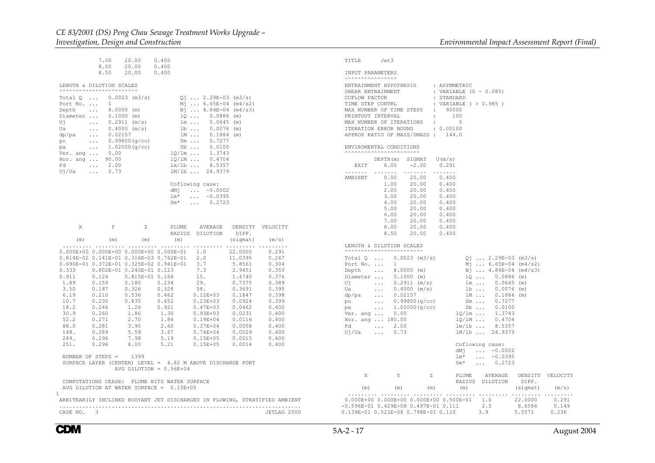|                                                                                                                                                                                                          | 7.00<br>8.50                                                             | 20.00<br>8.00 20.00 0.400<br>20.00                                                                                                          | 0.400<br>0.400                                                                                                                                                                                                                                                                                                                                                                                                                                                                                                                                                                                                                                                                                                                                                                                                                                                                                                                                                                                                                                                              |
|----------------------------------------------------------------------------------------------------------------------------------------------------------------------------------------------------------|--------------------------------------------------------------------------|---------------------------------------------------------------------------------------------------------------------------------------------|-----------------------------------------------------------------------------------------------------------------------------------------------------------------------------------------------------------------------------------------------------------------------------------------------------------------------------------------------------------------------------------------------------------------------------------------------------------------------------------------------------------------------------------------------------------------------------------------------------------------------------------------------------------------------------------------------------------------------------------------------------------------------------------------------------------------------------------------------------------------------------------------------------------------------------------------------------------------------------------------------------------------------------------------------------------------------------|
| LENGTH & DILUTION SCALES<br><b>^^^^^^^^^^^^^^^^^^^^^^^^^^^^</b> ^                                                                                                                                        |                                                                          |                                                                                                                                             |                                                                                                                                                                                                                                                                                                                                                                                                                                                                                                                                                                                                                                                                                                                                                                                                                                                                                                                                                                                                                                                                             |
| Total $Q_{}, Q_{0.0023}$ (m3/s)<br>Port No.<br>Depth  8.0000 (m)<br>Diameter  0.1000 (m)<br>Uj  0.2911 (m/s)<br>Ua<br>dp/pa<br>po<br>pa  1.02000(g/cc)<br>Ver. ang  0.00<br>Hor. ang<br>Fd 2.00<br>Uj/Ua | 1<br>90.00<br>$\ldots$ 0.73                                              | $0.4000$ (m/s)<br>$0.02157$<br>0.99800(g/cc)                                                                                                | $Q_1$ 2.29E-03 (m3/s)<br>$M_1$ 6.65E-04 (m4/s2)<br>$B_1$ 4.84E-04 (m4/s3)<br>$100.0886$ (m)<br>lm 0.0645 (m)<br>1b  0.0076 (m)<br>$1M$ 0.1884 (m)<br>Sm  0.7277<br>Sb  0.0100<br>$log/1m$ 1.3743<br>$log/1M$ 0.4704<br>$log/1M$ 0.5357<br>$lm/1b$ 8.5357<br>1M/1b  24.9379                                                                                                                                                                                                                                                                                                                                                                                                                                                                                                                                                                                                                                                                                                                                                                                                  |
|                                                                                                                                                                                                          |                                                                          |                                                                                                                                             | Coflowing case:<br>$dM_1$ $-0.0002$<br>$lm*$<br>$\ldots -0.0395$<br>$Sm^*$<br>$\ldots$ 0.2723                                                                                                                                                                                                                                                                                                                                                                                                                                                                                                                                                                                                                                                                                                                                                                                                                                                                                                                                                                               |
| X                                                                                                                                                                                                        | Y                                                                        | Z                                                                                                                                           | PLUME AVERAGE DENSITY VELOCITY<br>RADIUS DILUTION DIFF.                                                                                                                                                                                                                                                                                                                                                                                                                                                                                                                                                                                                                                                                                                                                                                                                                                                                                                                                                                                                                     |
| (m)<br>.                                                                                                                                                                                                 | (m)<br>.                                                                 | (m)                                                                                                                                         | (m)<br>(siqmat)<br>(m/s)                                                                                                                                                                                                                                                                                                                                                                                                                                                                                                                                                                                                                                                                                                                                                                                                                                                                                                                                                                                                                                                    |
| 6.19<br>10.7<br>18.2<br>30.9<br>52.2<br>88.0<br>148.<br>249.<br>251.<br>NUMBER OF STEPS = $1399$                                                                                                         | 0.230<br>$0.246$<br>$0.260$<br>0.271<br>0.281<br>0.289<br>0.296<br>0.296 | $0.187$ $0.326$ $0.328$<br>$0.210$ $0.536$ $0.462$<br>0.835<br>$1.26$ 0.921<br>$1.86$ 1.30<br>2.70<br>$3.90$<br>$5.59$<br>7.98<br>8.00 5.21 | $0.000E+00 0.000E+00 0.000E+00 0.500E-01 1.0$<br>$0.814E-02 0.141E-01 0.316E-03 0.762E-01 2.0$<br>22.0000<br>0.291<br>11.0395<br>0.247<br>$\begin{array}{cccccc} 0.690\mathrm{E}-01 & 0.372\mathrm{E}-01 & 0.325\mathrm{E}-02 & 0.941\mathrm{E}-01 & 3.7\\ 0.690\mathrm{E}-01 & 0.372\mathrm{E}-01 & 0.240\mathrm{E}-01 & 0.123 & 7.3\\ 0.333 & 0.802\mathrm{E}-01 & 0.240\mathrm{E}-01 & 0.123 & 7.3\\ 0.911 & 0.124 & 0.815\mathrm{E}-01 & 0.168 & 15\\ 1.89 & 0.15$<br>5.8561<br>0.304<br>2.9451<br>0.350<br>1.4740<br>0.376<br>0.7375<br>0.389<br>0.3691<br>0.395<br>$0.12E+03$ $0.1847$ $0.398$<br>0.652<br>$0.23E + 03$<br>0.0924<br>0.399<br>$0.47E+03$ $0.0462$ $0.400$<br>$0.93E+03$ $0.0231$ $0.400$<br>$1.84$<br>$2.60$<br>$3.67$<br>$5.19$<br>$\begin{array}{cccc} 0.19\text{E}{+04} & 0.0116 & 0.400 \\ 0.37\text{E}{+04} & 0.0058 & 0.400 \\ 0.74\text{E}{+04} & 0.0029 & 0.400 \end{array}$<br>$0.15E + 05$<br>0.0015<br>0.400<br>$0.15E + 05$<br>0.0014<br>0.400<br>SURFACE LAYER (CENTER) LEVEL = 4.82 M ABOVE DISCHARGE PORT<br>AVG DILUTION = $0.56E+04$ |
| $\mathbf{1}$                                                                                                                                                                                             |                                                                          |                                                                                                                                             | COMPUTATIONS CEASE: PLUME HITS WATER SURFACE<br>AVG DILUTION AT WATER SURFACE = 0.15E+05<br>ARBITRARILY INCLINED BUOYANT JET DISCHARGED IN FLOWING, STRATIFIED AMBIENT                                                                                                                                                                                                                                                                                                                                                                                                                                                                                                                                                                                                                                                                                                                                                                                                                                                                                                      |

..........................................................................

| ENVIROMENTAL CONDITIONS<br><b>AAAAAAAAAAAAAAAAAAAAAA</b><br>$DEPTH(m)$ SIGMAT $U(m/s)$<br>$8.00 -2.00$<br>0.291<br>EXIT<br>$\mathbb{R}^n$<br>.<br>.<br>.<br>0.00<br>20.00<br>0.400<br>AMBIENT<br>1.00<br>20.00<br>0.400<br>2.00<br>20.00<br>0.400<br>3.00<br>20.00<br>$0.400$<br>$0.400$<br>20.00<br>20.00<br>4.00<br>5.00<br>20.00<br>0.400<br>0.400<br>6.00<br>20.00<br>7.00<br>20.00<br>0.400<br>0.400<br>8.00 20.00<br>8.50 20.00<br>0.400<br>LENGTH & DILUTION SCALES<br><b>^^^^^^^^^^^^^^^^^^^^^^^^^^^^</b> ^<br>Total $0 \ldots 0.0023$ (m3/s)<br>$Q_1$ 2.29E-03 (m3/s)<br>Port No.<br>$M_1$ 6.65E-04 (m4/s2)<br>$\frac{1}{2}$<br>Depth<br><b><i>Committee States</i></b><br>$8.0000$ (m)<br>$B_1$ 4.84E-04 (m4/s3)<br>Diameter $0.1000$ (m)<br>Uj $0.2911$ (m/s)<br>10<br>$0.0886$ (m)<br>$lm \ldots$<br>$0.0645$ (m)<br>$1b \ldots$<br>$\ldots$<br>$0.4000$ (m/s)<br>$0.0076$ (m)<br>Ua<br>$0.02157$<br>$0.99800(g/cc)$<br>$lm \ldots$<br>$0.1884$ (m)<br>dp/pa<br>Sm  0.7277<br>po<br>pa  1.02000(g/cc)<br>Ver. ang  0.00<br>$\n  20 \ldots 0.0100$<br>$\lg/\ln \ldots 1.3743$<br>$1Q/1M$ 0.4704<br>$1m/1b$ 8.5357<br>Hor. ang  180.00<br>Fd<br>$\ldots$ 2.00<br>Uj/Ua<br>0.73<br>1M/1b  24.9379<br>$\mathbf{1}$<br>Coflowing case:<br>$\ldots -0.0002$<br>dMi<br>lm*<br>$\cdots$<br>$-0.0395$<br>$Sm^{\star}$<br>0.2723<br>$\cdots$<br>X<br>Y<br>$\mathbb{Z}$<br>PLUME AVERAGE<br>DENSITY VELOCITY<br>DIFF.<br>RADIUS<br>DILUTION<br>(m)<br>(sigmat)<br>(m)<br>(m)<br>(m) | COFLOW FACTOR | SHEAR ENTRAINMENT<br>TIME STEP CONTRL<br>MAX NUMBER OF TIME STEPS : 90000<br>PRINTOUT INTERVAL<br>MAX NUMBER OF ITERATIONS<br>ITERATION ERROR BOUND : 0.00100<br>APPROX RATIO OF MASS/DMASS: 144.0 | : VARIABLE (0 - 0.085)<br>: STANDARD<br>: VARIABLE ( > 0.985 )<br>$\sim 100$ km s $^{-1}$<br>$\sim$ 100 $\sim$ | 100<br>5 |  |       |
|--------------------------------------------------------------------------------------------------------------------------------------------------------------------------------------------------------------------------------------------------------------------------------------------------------------------------------------------------------------------------------------------------------------------------------------------------------------------------------------------------------------------------------------------------------------------------------------------------------------------------------------------------------------------------------------------------------------------------------------------------------------------------------------------------------------------------------------------------------------------------------------------------------------------------------------------------------------------------------------------------------------------------------------------------------------------------------------------------------------------------------------------------------------------------------------------------------------------------------------------------------------------------------------------------------------------------------------------------------------------------------------------------------------------------------------------------------------------------------------|---------------|----------------------------------------------------------------------------------------------------------------------------------------------------------------------------------------------------|----------------------------------------------------------------------------------------------------------------|----------|--|-------|
|                                                                                                                                                                                                                                                                                                                                                                                                                                                                                                                                                                                                                                                                                                                                                                                                                                                                                                                                                                                                                                                                                                                                                                                                                                                                                                                                                                                                                                                                                      |               |                                                                                                                                                                                                    |                                                                                                                |          |  |       |
|                                                                                                                                                                                                                                                                                                                                                                                                                                                                                                                                                                                                                                                                                                                                                                                                                                                                                                                                                                                                                                                                                                                                                                                                                                                                                                                                                                                                                                                                                      |               |                                                                                                                                                                                                    |                                                                                                                |          |  |       |
|                                                                                                                                                                                                                                                                                                                                                                                                                                                                                                                                                                                                                                                                                                                                                                                                                                                                                                                                                                                                                                                                                                                                                                                                                                                                                                                                                                                                                                                                                      |               |                                                                                                                                                                                                    |                                                                                                                |          |  |       |
|                                                                                                                                                                                                                                                                                                                                                                                                                                                                                                                                                                                                                                                                                                                                                                                                                                                                                                                                                                                                                                                                                                                                                                                                                                                                                                                                                                                                                                                                                      |               |                                                                                                                                                                                                    |                                                                                                                |          |  |       |
|                                                                                                                                                                                                                                                                                                                                                                                                                                                                                                                                                                                                                                                                                                                                                                                                                                                                                                                                                                                                                                                                                                                                                                                                                                                                                                                                                                                                                                                                                      |               |                                                                                                                                                                                                    |                                                                                                                |          |  |       |
|                                                                                                                                                                                                                                                                                                                                                                                                                                                                                                                                                                                                                                                                                                                                                                                                                                                                                                                                                                                                                                                                                                                                                                                                                                                                                                                                                                                                                                                                                      |               |                                                                                                                                                                                                    |                                                                                                                |          |  |       |
|                                                                                                                                                                                                                                                                                                                                                                                                                                                                                                                                                                                                                                                                                                                                                                                                                                                                                                                                                                                                                                                                                                                                                                                                                                                                                                                                                                                                                                                                                      |               |                                                                                                                                                                                                    |                                                                                                                |          |  |       |
|                                                                                                                                                                                                                                                                                                                                                                                                                                                                                                                                                                                                                                                                                                                                                                                                                                                                                                                                                                                                                                                                                                                                                                                                                                                                                                                                                                                                                                                                                      |               |                                                                                                                                                                                                    |                                                                                                                |          |  | (m/s) |

0.139E-01 0.521E-08 0.798E-01 0.110 3.9 5.5571

*<i>Environmental Impact Assessment Report (Final)* 

CASE NO. 3

TITLE

 INPUT PARAMETERS  $\lambda$ 

Jet3

ENTRAINMENT HYPOTHESIS : ASYMMETRIC

JETLAG 2000

VELOCITY

 $0.236$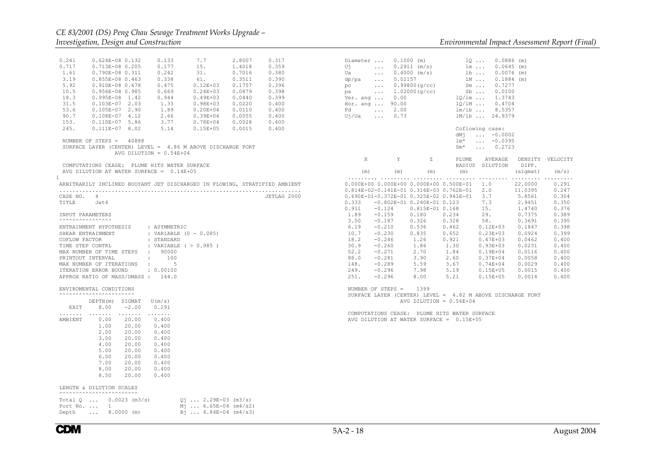VELOCITY

| 0.241<br>$0.624E-08$ 0.132<br>0.133<br>0.717<br>$0.713E-08$ 0.205<br>0.177<br>1.61<br>0.790E-08 0.311<br>0.242<br>3.19<br>$0.855E-08$ 0.463<br>0.338<br>5.92<br>0.910E-08 0.678<br>0.475<br>10.5<br>0.956E-08 0.985<br>0.669<br>18.3<br>0.944<br>$0.995E-08$ 1.42<br>31.5<br>1.33<br>$0.103E-07$ 2.03<br>53.6<br>$0.105E-07$ 2.90<br>1.89<br>2.66<br>90.7<br>$0.108E-07$ 4.12<br>153.<br>$0.110E-07$ 5.86<br>3.77<br>245.<br>$0.111E-07$ 8.02<br>5.14<br>NUMBER OF STEPS = $40888$<br>SURFACE LAYER (CENTER) LEVEL = 4.86 M ABOVE DISCHARGE PORT<br>AVG DILUTION = $0.54E+04$ | 7.7<br>2.8007<br>0.317<br>15.<br>1.4018<br>0.359<br>31.<br>0.380<br>0.7016<br>61.<br>0.3511<br>0.390<br>$0.12E + 03$<br>0.1757<br>0.396<br>$0.24E + 03$<br>0.0879<br>0.398<br>$0.49E + 03$<br>0.399<br>0.0440<br>$0.98E + 03$<br>0.0220<br>0.400<br>$0.20E + 04$<br>0.0110<br>0.400<br>$0.39E + 04$<br>0.0055<br>0.400<br>$0.78E + 04$<br>0.0028<br>0.400<br>$0.15E + 05$<br>0.0015<br>0.400 | Diameter $\ldots$ 0.1000 (m)<br>$U^+$ $\qquad \qquad$<br>Ua l<br>dp/pa<br>po<br>pa<br>Ver. ang $\ldots$ 0.00<br>Hor. ang  90.00<br>Fd<br>Uj/Ua<br>$\ldots$ 0.73                                                                                        | $\ldots$ 0.2911 (m/s)<br>$\ldots$ 0.4000 (m/s)<br>$\ldots$ 0.02157<br>$\ldots$ 0.99800 (g/cc)<br>$\ldots$ 1.02000 (q/cc)<br>$\ldots$ 2.00                                                                                           | $1Q$ $0.0886$ (m)<br>$lm \dots 0.0645 (m)$<br>$1b  0.0076$ (m)<br>1M<br>$Sm \ldots$<br>0.7277<br>$Sb$<br>0.0100<br>$1Q/\text{lm}$ 1.3743<br>$1Q/IM$<br>0.4704<br>$lm/1b$ 8.5357<br>1M/1b  24.9379<br>Coflowing case:<br>$dM_1$ -0.0002<br>$lm*$ -0.0395<br>$Sm*$ 0.2723                                                                      | $0.1884$ (m)                                                                                                                                                   |                                                                                                                                              |
|-------------------------------------------------------------------------------------------------------------------------------------------------------------------------------------------------------------------------------------------------------------------------------------------------------------------------------------------------------------------------------------------------------------------------------------------------------------------------------------------------------------------------------------------------------------------------------|----------------------------------------------------------------------------------------------------------------------------------------------------------------------------------------------------------------------------------------------------------------------------------------------------------------------------------------------------------------------------------------------|--------------------------------------------------------------------------------------------------------------------------------------------------------------------------------------------------------------------------------------------------------|-------------------------------------------------------------------------------------------------------------------------------------------------------------------------------------------------------------------------------------|----------------------------------------------------------------------------------------------------------------------------------------------------------------------------------------------------------------------------------------------------------------------------------------------------------------------------------------------|----------------------------------------------------------------------------------------------------------------------------------------------------------------|----------------------------------------------------------------------------------------------------------------------------------------------|
| COMPUTATIONS CEASE: PLUME HITS WATER SURFACE                                                                                                                                                                                                                                                                                                                                                                                                                                                                                                                                  |                                                                                                                                                                                                                                                                                                                                                                                              | $\mathbf{X}$                                                                                                                                                                                                                                           | Y<br>Z                                                                                                                                                                                                                              | PLUME<br>AVERAGE<br>RADIUS DILUTION                                                                                                                                                                                                                                                                                                          | DIFF.                                                                                                                                                          | DENSITY VELOCITY                                                                                                                             |
| AVG DILUTION AT WATER SURFACE = $0.14E+05$<br>$\mathbf{1}$                                                                                                                                                                                                                                                                                                                                                                                                                                                                                                                    |                                                                                                                                                                                                                                                                                                                                                                                              | (m)                                                                                                                                                                                                                                                    | (m)<br>(m)                                                                                                                                                                                                                          | (m)                                                                                                                                                                                                                                                                                                                                          | (sigmat)                                                                                                                                                       | (m/s)                                                                                                                                        |
| ARBITRARILY INCLINED BUOYANT JET DISCHARGED IN FLOWING, STRATIFIED AMBIENT<br>CASE NO. 4<br>TITLE<br>Jet4<br>INPUT PARAMETERS<br>ENTRAINMENT HYPOTHESIS<br>: ASYMMETRIC<br>SHEAR ENTRAINMENT<br>: VARIABLE (0 - 0.085)<br>COFLOW FACTOR<br>: STANDARD<br>: VARIABLE $( > 0.985 )$<br>TIME STEP CONTRL<br>MAX NUMBER OF TIME STEPS : 90000<br>$\colon$ 100<br>PRINTOUT INTERVAL<br>$\cdot$ $\cdot$ 5<br>MAX NUMBER OF ITERATIONS<br>ITERATION ERROR BOUND<br>: 0.00100<br>APPROX RATIO OF MASS/DMASS : 144.0                                                                   | JETLAG 2000                                                                                                                                                                                                                                                                                                                                                                                  | 0.333<br>0.911<br>$-0.124$<br>1.89<br>$-0.159$<br>3.50<br>$-0.187$<br>6.19<br>$-0.210$<br>10.7<br>$-0.230$<br>18.2<br>$-0.246$<br>30.9<br>$-0.260$<br>52.2<br>$-0.271$<br>88.0<br>$-0.281$<br>148.<br>$-0.289$<br>249.<br>$-0.296$<br>251.<br>$-0.296$ | 0.814E-02-0.141E-01 0.316E-03 0.762E-01<br>0.690E-01-0.372E-01 0.325E-02 0.941E-01<br>$-0.802E-01$ 0.240E-01 0.123<br>$0.815E-01 0.168$<br>0.180<br>0.326<br>0.536<br>0.835<br>1.26<br>1.86<br>2.70<br>3.90<br>5.59<br>7.98<br>8.00 | $0.000E+00$ $0.000E+00$ $0.000E+00$ $0.500E-01$ $1.0$<br>2.0<br>3.7<br>7.3<br>15.<br>0.234<br>29.<br>58.<br>0.328<br>0.462<br>$0.12E + 03$<br>0.652<br>$0.23E + 03$<br>0.921<br>$0.47E + 03$<br>1.30<br>$0.93E + 03$<br>1.84<br>$0.19E + 04$<br>2.60<br>$0.37E + 04$<br>3.67<br>$0.74E + 04$<br>5.19<br>$0.15E + 05$<br>5.21<br>$0.15E + 05$ | 22,0000<br>11.0395<br>5.8561<br>2.9451<br>1.4740<br>0.7375<br>0.3691<br>0.1847<br>0.0924<br>0.0462<br>0.0231<br>0.0116<br>0.0058<br>0.0029<br>0.0015<br>0.0014 | 0.291<br>0.247<br>0.304<br>0.350<br>0.376<br>0.389<br>0.395<br>0.398<br>0.399<br>0.400<br>0.400<br>0.400<br>0.400<br>0.400<br>0.400<br>0.400 |
| ENVIROMENTAL CONDITIONS<br>AAAAAAAAAAAAAAAAAAAAAAA<br>DEPTH(m) SIGMAT<br>U(m/s)                                                                                                                                                                                                                                                                                                                                                                                                                                                                                               |                                                                                                                                                                                                                                                                                                                                                                                              | NUMBER OF STEPS = $1399$                                                                                                                                                                                                                               | AVG DILUTION = $0.56E+04$                                                                                                                                                                                                           | SURFACE LAYER (CENTER) LEVEL = $4.82$ M ABOVE DISCHARGE PORT                                                                                                                                                                                                                                                                                 |                                                                                                                                                                |                                                                                                                                              |
| 8.00<br>$-2.00$<br>0.291<br>EXIT<br>.<br>$\mathbb{R}^n$ . In the set of $\mathbb{R}^n$<br>1.1.1.1.1.1<br>AMBIENT<br>0.00<br>20.00<br>0.400<br>1.00<br>20.00<br>0.400<br>2.00<br>20.00<br>0.400<br>3.00<br>20.00<br>0.400<br>4.00<br>20.00<br>0.400<br>5.00<br>20.00<br>0.400<br>6.00<br>20.00<br>0.400<br>7.00<br>20.00<br>0.400<br>8.00<br>20.00<br>0.400<br>8.50<br>20.00<br>0.400                                                                                                                                                                                          |                                                                                                                                                                                                                                                                                                                                                                                              |                                                                                                                                                                                                                                                        | AVG DILUTION AT WATER SURFACE = 0.15E+05                                                                                                                                                                                            | COMPUTATIONS CEASE: PLUME HITS WATER SURFACE                                                                                                                                                                                                                                                                                                 |                                                                                                                                                                |                                                                                                                                              |
| LENGTH & DILUTION SCALES<br><b>^^^^^^^^^^^^^^^^^^^^^^^^^^^^</b>                                                                                                                                                                                                                                                                                                                                                                                                                                                                                                               |                                                                                                                                                                                                                                                                                                                                                                                              |                                                                                                                                                                                                                                                        |                                                                                                                                                                                                                                     |                                                                                                                                                                                                                                                                                                                                              |                                                                                                                                                                |                                                                                                                                              |
| Total $Q$ $0.0023$ (m3/s)<br>Port No. $\ldots$ 1<br>Depth  8.0000 (m)                                                                                                                                                                                                                                                                                                                                                                                                                                                                                                         | $Q_1$ 2.29E-03 (m3/s)<br>$Mj$ 6.65E-04 (m4/s2)<br>$B_1$ 4.84E-04 (m4/s3)                                                                                                                                                                                                                                                                                                                     |                                                                                                                                                                                                                                                        |                                                                                                                                                                                                                                     |                                                                                                                                                                                                                                                                                                                                              |                                                                                                                                                                |                                                                                                                                              |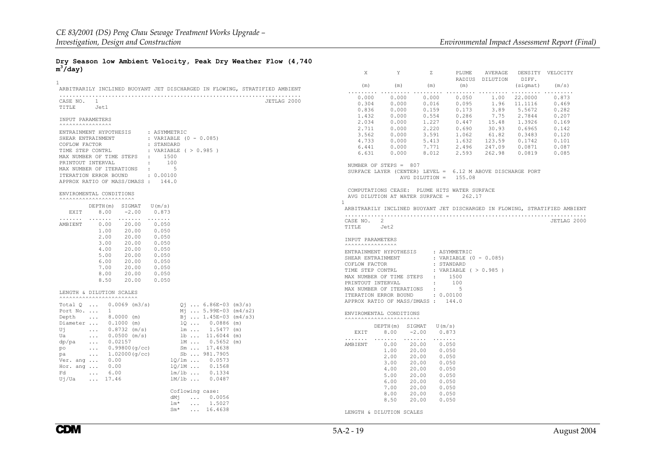#### **Dry Season low Ambient Velocity, Peak Dry Weather Flow (4,740**  $\bar{m}^3/\text{day}$

|                                                                                    | X                                                                                                                                                                            | Y                                                          | z                       | PLUME        | AVERAGE         | DENSITY  | VELOCITY                                                                   |
|------------------------------------------------------------------------------------|------------------------------------------------------------------------------------------------------------------------------------------------------------------------------|------------------------------------------------------------|-------------------------|--------------|-----------------|----------|----------------------------------------------------------------------------|
| $\mathbf{1}$                                                                       |                                                                                                                                                                              |                                                            |                         |              | RADIUS DILUTION | DIFF.    |                                                                            |
| ARBITRARILY INCLINED BUOYANT JET DISCHARGED IN FLOWING, STRATIFIED AMBIENT         | (m)<br>$\mathbf{1} \cdot \mathbf{1} \cdot \mathbf{1} \cdot \mathbf{1} \cdot \mathbf{1} \cdot \mathbf{1} \cdot \mathbf{1} \cdot \mathbf{1} \cdot \mathbf{1} \cdot \mathbf{1}$ | (m)                                                        | (m)                     | (m)          |                 | (sigmat) | (m/s)<br>.                                                                 |
|                                                                                    | 0.000                                                                                                                                                                        | 0.000                                                      | 0.000                   | 0.050        | 1.00            | 22,0000  | 0.873                                                                      |
| CASE NO. 1<br>JETLAG 2000                                                          | 0.304                                                                                                                                                                        | 0.000                                                      | 0.016                   | 0.095        | 1.96            | 11.1116  | 0.469                                                                      |
| TITLE Jet1                                                                         | 0.836                                                                                                                                                                        | 0.000                                                      | 0.159                   | 0.173        | 3.89            | 5.5672   | 0.282                                                                      |
|                                                                                    | 1.432                                                                                                                                                                        | 0.000                                                      | 0.554                   | 0.286        | 7.75            | 2.7844   | 0.207                                                                      |
| INPUT PARAMETERS                                                                   | 2.034                                                                                                                                                                        | 0.000                                                      | 1.227                   | 0.447        | 15.48           | 1.3926   | 0.169                                                                      |
|                                                                                    | 2.711                                                                                                                                                                        | 0.000                                                      | 2,220                   | 0.690        | 30.93           | 0.6965   | 0.142                                                                      |
| ENTRAINMENT HYPOTHESIS<br>: ASYMMETRIC                                             | 3.562                                                                                                                                                                        | 0.000                                                      | 3.591                   | 1.062        | 61.82           | 0.3483   | 0.120                                                                      |
| SHEAR ENTRAINMENT<br>: VARIABLE (0 - 0.085)                                        | 4.733                                                                                                                                                                        | 0.000                                                      | 5.413                   | 1.632        | 123.59          | 0.1742   | 0.101                                                                      |
| COFLOW FACTOR<br>: STANDARD                                                        | 6.441                                                                                                                                                                        | 0.000                                                      | 7.771                   | 2.496        | 247.09          | 0.0871   | 0.087                                                                      |
| : VARIABLE ( > 0.985 )<br>TIME STEP CONTRL                                         | 6.631                                                                                                                                                                        | 0.000                                                      | 8.012                   | 2.593        | 262.98          | 0.0819   | 0.085                                                                      |
| MAX NUMBER OF TIME STEPS : 1500                                                    |                                                                                                                                                                              |                                                            |                         |              |                 |          |                                                                            |
| $\sim$ $\sim$ 100<br>PRINTOUT INTERVAL                                             | NUMBER OF STEPS = 807                                                                                                                                                        |                                                            |                         |              |                 |          |                                                                            |
| MAX NUMBER OF ITERATIONS :<br>$5^{\circ}$                                          |                                                                                                                                                                              | SURFACE LAYER (CENTER) LEVEL = 6.12 M ABOVE DISCHARGE PORT |                         |              |                 |          |                                                                            |
| : 0.00100<br>ITERATION ERROR BOUND                                                 |                                                                                                                                                                              |                                                            | AVG DILUTION = $155.08$ |              |                 |          |                                                                            |
| APPROX RATIO OF MASS/DMASS: 144.0                                                  |                                                                                                                                                                              |                                                            |                         |              |                 |          |                                                                            |
| ENVIROMENTAL CONDITIONS                                                            | COMPUTATIONS CEASE: PLUME HITS WATER SURFACE                                                                                                                                 |                                                            |                         |              |                 |          |                                                                            |
|                                                                                    | AVG DILUTION AT WATER SURFACE =<br>$\mathbf{1}$                                                                                                                              |                                                            |                         | 262.17       |                 |          |                                                                            |
| $DEFTH(m)$ SIGMAT $U(m/s)$                                                         |                                                                                                                                                                              |                                                            |                         |              |                 |          | ARBITRARILY INCLINED BUOYANT JET DISCHARGED IN FLOWING, STRATIFIED AMBIENT |
| EXIT<br>8.00<br>$-2.00$<br>0.873                                                   |                                                                                                                                                                              |                                                            |                         |              |                 |          |                                                                            |
| .<br>.                                                                             | CASE NO. 2                                                                                                                                                                   |                                                            |                         |              |                 |          | JETLAG 2000                                                                |
| AMBIENT<br>0.00<br>20.00<br>0.050                                                  | TITLE Jet2                                                                                                                                                                   |                                                            |                         |              |                 |          |                                                                            |
| 1.00<br>20.00<br>0.050<br>2.00<br>20.00<br>0.050                                   |                                                                                                                                                                              |                                                            |                         |              |                 |          |                                                                            |
| 3.00<br>20.00<br>0.050                                                             | INPUT PARAMETERS                                                                                                                                                             |                                                            |                         |              |                 |          |                                                                            |
| 4.00<br>20.00<br>0.050                                                             | <b>AAAAAAAAAAAAAAA</b> A                                                                                                                                                     |                                                            |                         |              |                 |          |                                                                            |
| 5.00<br>20.00<br>0.050                                                             | ENTRAINMENT HYPOTHESIS                                                                                                                                                       |                                                            |                         | : ASYMMETRIC |                 |          |                                                                            |
| 6.00<br>20.00<br>0.050                                                             | SHEAR ENTRAINMENT                                                                                                                                                            |                                                            | : VARIABLE (0 - 0.085)  |              |                 |          |                                                                            |
| 7.00<br>20.00<br>0.050                                                             | COFLOW FACTOR                                                                                                                                                                |                                                            | : STANDARD              |              |                 |          |                                                                            |
| 8.00<br>20.00<br>0.050                                                             | TIME STEP CONTRL : VARIABLE ( > 0.985)                                                                                                                                       |                                                            |                         |              |                 |          |                                                                            |
| 8.50<br>20.00<br>0.050                                                             | MAX NUMBER OF TIME STEPS : 1500                                                                                                                                              |                                                            |                         |              |                 |          |                                                                            |
|                                                                                    | PRINTOUT INTERVAL                                                                                                                                                            |                                                            | $\sim$ $\sim$ 100       |              |                 |          |                                                                            |
| LENGTH & DILUTION SCALES                                                           | MAX NUMBER OF ITERATIONS :                                                                                                                                                   |                                                            | : 0.00100               | 5            |                 |          |                                                                            |
| <b>^^^^^^^^^^^^^^^^^^^^^^^^^^^^</b>                                                | ITERATION ERROR BOUND<br>APPROX RATIO OF MASS/DMASS: 144.0                                                                                                                   |                                                            |                         |              |                 |          |                                                                            |
| Total $Q$ 0.0069 (m3/s)<br>$Q_1$ 6.86E-03 (m3/s)                                   |                                                                                                                                                                              |                                                            |                         |              |                 |          |                                                                            |
| Port No.  1<br>$M_1$ 5.99E-03 (m4/s2)                                              | ENVIROMENTAL CONDITIONS                                                                                                                                                      |                                                            |                         |              |                 |          |                                                                            |
| $Bj$ 1.45E-03 (m4/s3)<br>$\ldots$ 8.0000 (m)<br>Depth                              | <b>^^^^^^^^^^^^^^^^^^^^^^^^^^^^^</b>                                                                                                                                         |                                                            |                         |              |                 |          |                                                                            |
| Diameter  0.1000 (m)                                                               |                                                                                                                                                                              | DEPTH(m) SIGMAT                                            | U (m/s)                 |              |                 |          |                                                                            |
| Uj<br>$\ldots$ 0.8732 (m/s)                                                        | EXIT                                                                                                                                                                         | 8.00                                                       | $-2.00$<br>0.873        |              |                 |          |                                                                            |
| 10  0.0886 (m)<br>1m  1.5477 (m)<br>1b  11.6044 (m)<br>Ua<br>$\ldots$ 0.0500 (m/s) | .                                                                                                                                                                            | .                                                          | .                       |              |                 |          |                                                                            |
| 1M  0.5652 (m)<br>$\ldots$ 0.02157<br>dp/pa                                        | AMBIENT                                                                                                                                                                      | 0.00                                                       | 20.00<br>0.050          |              |                 |          |                                                                            |
| Sm  17.4638<br>po<br>$\ldots$ 0.99800 (g/cc)                                       |                                                                                                                                                                              | 1.00                                                       | 20.00<br>0.050          |              |                 |          |                                                                            |
| Sb  981.7905<br>$\ldots$ 1.02000 (q/cc)<br>pa                                      |                                                                                                                                                                              | 2.00                                                       | 20.00<br>0.050          |              |                 |          |                                                                            |
| $10/\text{lm}$ 0.0573<br>Ver. ang  0.00                                            |                                                                                                                                                                              | 3.00                                                       | 20.00<br>0.050          |              |                 |          |                                                                            |
| 10/1M  0.1568<br>Hor. ang  0.00                                                    |                                                                                                                                                                              | 4.00                                                       | 20.00<br>0.050          |              |                 |          |                                                                            |
| $lm/1b$ 0.1334<br>$\ldots$ 6.00<br>Fd                                              |                                                                                                                                                                              | 5.00                                                       | 20.00<br>0.050          |              |                 |          |                                                                            |
| $\ldots$ 17.46<br>$1M/lb$ 0.0487<br>Uj/Ua                                          |                                                                                                                                                                              | 6.00                                                       | 20.00<br>0.050          |              |                 |          |                                                                            |
|                                                                                    |                                                                                                                                                                              | 7.00                                                       | 0.050<br>20.00          |              |                 |          |                                                                            |
| Coflowing case:                                                                    |                                                                                                                                                                              | 8.00                                                       | 0.050<br>20.00          |              |                 |          |                                                                            |
| dMi<br>0.0056                                                                      |                                                                                                                                                                              | 8.50                                                       | 20.00<br>0.050          |              |                 |          |                                                                            |
| $lm*$<br>$\ldots$ 1.5027<br>$\ldots$ 16.4638<br>$Sm*$                              |                                                                                                                                                                              |                                                            |                         |              |                 |          |                                                                            |
|                                                                                    | LENGTH & DILUTION SCALES                                                                                                                                                     |                                                            |                         |              |                 |          |                                                                            |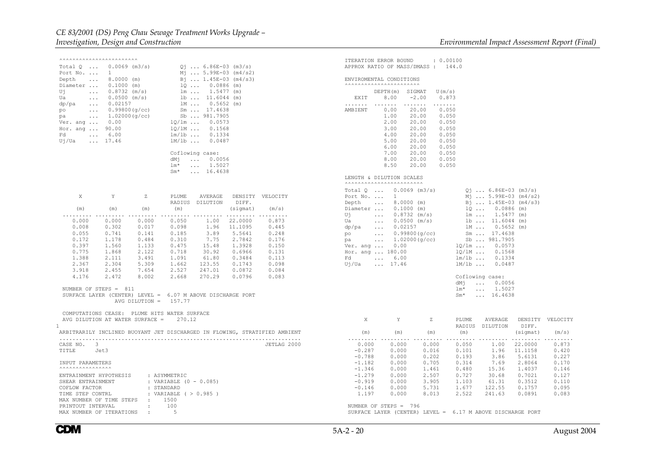| <b>AAAAAAAAAAAAAAAAAAAAAAA</b>     |                                                            |                         |                          |                                      |                  |                                                                            |                   | ITERATION ERROR BOUND                                |                                   | : 0.00100                                                  |                                         |                   |                  |
|------------------------------------|------------------------------------------------------------|-------------------------|--------------------------|--------------------------------------|------------------|----------------------------------------------------------------------------|-------------------|------------------------------------------------------|-----------------------------------|------------------------------------------------------------|-----------------------------------------|-------------------|------------------|
| Total O                            | $0.0069$ (m3/s)                                            |                         |                          | $Q_1$ 6.86E-03 (m3/s)                |                  |                                                                            |                   |                                                      | APPROX RATIO OF MASS/DMASS: 144.0 |                                                            |                                         |                   |                  |
| Port No.                           | $1 \qquad \qquad$                                          |                         |                          | $M_1$ 5.99E-03 (m4/s2)               |                  |                                                                            |                   |                                                      |                                   |                                                            |                                         |                   |                  |
| Depth<br>$\cdots$                  | 8,0000 (m)                                                 |                         |                          | Bi  1.45E-03 (m4/s3)                 |                  |                                                                            |                   | ENVIROMENTAL CONDITIONS                              |                                   |                                                            |                                         |                   |                  |
| Diameter                           | $0.1000$ (m)                                               |                         |                          | $1Q$ $0.0886$ (m)                    |                  |                                                                            |                   |                                                      |                                   |                                                            |                                         |                   |                  |
| Uj<br>Ua                           | $0.8732$ (m/s)<br>$\sim$ $\sim$ $\sim$                     |                         |                          | 1m  1.5477 (m)<br>$1b$ $11.6044$ (m) |                  |                                                                            | EXIT              | DEPTH(m) SIGMAT<br>8.00                              | $-2.00$                           | U(m/s)<br>0.873                                            |                                         |                   |                  |
| $\sim 100$ km s $^{-1}$<br>dp/pa   | 0.0500 (m/s)<br>$\ldots$ 0.02157                           |                         |                          | $1M 0.5652$ (m)                      |                  |                                                                            | .                 |                                                      | 1.1.1.1.1.1                       | .                                                          |                                         |                   |                  |
| po<br>$\sim 100$ km s $^{-1}$      | 0.99800(g/cc)                                              |                         |                          | Sm  17.4638                          |                  |                                                                            | AMBIENT           | 0.00                                                 | 20.00                             | 0.050                                                      |                                         |                   |                  |
| pa                                 | 1.02000(q/cc)<br>$\mathcal{L}(\mathcal{L}(\mathcal{L}))$ . |                         |                          | Sb  981.7905                         |                  |                                                                            |                   | 1.00                                                 | 20.00                             | 0.050                                                      |                                         |                   |                  |
| Ver. ang $0.00$                    |                                                            |                         |                          | $1Q/\text{lm}$ 0.0573                |                  |                                                                            |                   | 2.00                                                 | 20.00                             | 0.050                                                      |                                         |                   |                  |
| Hor. ang  90.00                    |                                                            |                         |                          | $10/1M$ 0.1568                       |                  |                                                                            |                   | 3.00                                                 | 20.00                             | 0.050                                                      |                                         |                   |                  |
| Fd                                 | $\ldots 6.00$                                              |                         |                          | $lm/1b$ 0.1334                       |                  |                                                                            |                   | 4.00                                                 | 20.00                             | 0.050                                                      |                                         |                   |                  |
| Uj/Ua                              | $\ldots$ 17.46                                             |                         | $1M/1b$                  | 0.0487                               |                  |                                                                            |                   | 5.00                                                 | 20.00                             | 0.050                                                      |                                         |                   |                  |
|                                    |                                                            |                         |                          |                                      |                  |                                                                            |                   | 6.00                                                 | 20.00                             | 0.050                                                      |                                         |                   |                  |
|                                    |                                                            |                         |                          | Coflowing case:                      |                  |                                                                            |                   | 7.00                                                 | 20.00                             | 0.050                                                      |                                         |                   |                  |
|                                    |                                                            |                         | dMi<br>$lm*$             | $\ldots$ 0.0056<br>$\ldots$ 1.5027   |                  |                                                                            |                   | 8.00<br>8.50                                         | 20.00<br>20.00                    | 0.050<br>0.050                                             |                                         |                   |                  |
|                                    |                                                            |                         | $Sm*$                    | $\ldots$ 16.4638                     |                  |                                                                            |                   |                                                      |                                   |                                                            |                                         |                   |                  |
|                                    |                                                            |                         |                          |                                      |                  |                                                                            |                   | LENGTH & DILUTION SCALES<br>AAAAAAAAAAAAAAAAAAAAAAAA |                                   |                                                            |                                         |                   |                  |
|                                    |                                                            |                         |                          |                                      |                  |                                                                            |                   |                                                      | Total $0 \ldots 0.0069$ (m3/s)    |                                                            | $Q_1$ 6.86E-03 (m3/s)                   |                   |                  |
| X                                  | Y                                                          | Ζ                       | PLUME                    | AVERAGE                              |                  | DENSITY VELOCITY                                                           |                   | Port No. $\ldots$ 1                                  |                                   |                                                            | $M_1$ 5.99E-03 (m4/s2)                  |                   |                  |
|                                    |                                                            |                         |                          | RADIUS DILUTION                      | DIFF.            |                                                                            | Depth             | $\ldots$ 8.0000 (m)                                  |                                   |                                                            | $B_1$ 1.45E-03 (m4/s3)                  |                   |                  |
| (m)                                | (m)                                                        | (m)                     | (m)                      |                                      | (sigmat)         | (m/s)                                                                      |                   | Diameter  0.1000 (m)                                 |                                   |                                                            | $1Q  0.0886$ (m)                        |                   |                  |
| $\sim$ $\sim$ $\sim$ $\sim$ $\sim$ |                                                            |                         | .                        |                                      |                  | .                                                                          | $U_1$ and $U_2$   |                                                      | $\ldots$ 0.8732 (m/s)             |                                                            | $lm \dots 1.5477 (m)$                   |                   |                  |
| 0.000                              | 0.000                                                      | 0.000                   | 0.050                    | 1.00                                 | 22,0000          | 0.873                                                                      | Ua l              |                                                      | $\ldots$ 0.0500 (m/s)             |                                                            | $1b$ $11.6044$ (m)                      |                   |                  |
| 0.008                              | 0.302                                                      | 0.017                   | 0.098                    | 1.96                                 | 11.1095          | 0.445                                                                      | dp/pa             | $\ldots$ 0.02157                                     |                                   |                                                            | $1M$ 0.5652 (m)                         |                   |                  |
| 0.055                              | 0.741                                                      | 0.141                   | 0.185                    | 3.89                                 | 5.5641           | 0.248                                                                      | po                |                                                      | $\ldots$ 0.99800(q/cc)            |                                                            | Sm  17.4638                             |                   |                  |
| 0.172                              | 1.178                                                      | 0.484                   | 0.310                    | 7.75                                 | 2.7842           | 0.176                                                                      | pa pa             |                                                      | $\ldots$ 1.02000 (q/cc)           |                                                            | Sb  981.7905                            |                   |                  |
| 0.397<br>0.775                     | 1.560<br>1.868                                             | 1.133<br>2.122          | 0.475<br>0.718           | 15.48<br>30.92                       | 1.3928<br>0.6966 | 0.150<br>0.131                                                             | Ver. ang          | 0.00<br>Hor. ang  180.00                             |                                   |                                                            | $1Q/\text{lm}$ 0.0573<br>$1Q/IM$ 0.1568 |                   |                  |
| 1.388                              | 2.111                                                      | 3.491                   | 1.091                    | 61.80                                | 0.3484           | 0.113                                                                      |                   | Fd., 6.00                                            |                                   |                                                            | $lm/1b$ 0.1334                          |                   |                  |
| 2.367                              | 2.304                                                      | 5.309                   | 1.662                    | 123.55                               | 0.1743           | 0.098                                                                      | Uj/Ua             | $\ldots$ 17.46                                       |                                   | $1M/1b$                                                    | 0.0487                                  |                   |                  |
| 3.918                              | 2.455                                                      | 7.654                   | 2.527                    | 247.01                               | 0.0872           | 0.084                                                                      |                   |                                                      |                                   |                                                            |                                         |                   |                  |
| 4.176                              | 2.472                                                      | 8.002                   | 2.668                    | 270.29                               | 0.0796           | 0.083                                                                      |                   |                                                      |                                   |                                                            | Coflowing case:                         |                   |                  |
|                                    |                                                            |                         |                          |                                      |                  |                                                                            |                   |                                                      |                                   | dMi                                                        | 0.0056<br>$\sim$ $\sim$ $\sim$          |                   |                  |
|                                    | NUMBER OF STEPS = 811                                      |                         |                          |                                      |                  |                                                                            |                   |                                                      |                                   | $lm*$                                                      | $\ldots$ 1.5027                         |                   |                  |
|                                    | SURFACE LAYER (CENTER) LEVEL = 6.07 M ABOVE DISCHARGE PORT |                         |                          |                                      |                  |                                                                            |                   |                                                      |                                   | $Sm*$                                                      | $\ldots$ 16.4638                        |                   |                  |
|                                    |                                                            | AVG DILUTION = $157.77$ |                          |                                      |                  |                                                                            |                   |                                                      |                                   |                                                            |                                         |                   |                  |
|                                    | COMPUTATIONS CEASE: PLUME HITS WATER SURFACE               |                         |                          |                                      |                  |                                                                            |                   |                                                      |                                   |                                                            |                                         |                   |                  |
|                                    | AVG DILUTION AT WATER SURFACE =                            |                         | 270.12                   |                                      |                  |                                                                            | X                 | Y                                                    | Z                                 | PLUME                                                      | AVERAGE                                 |                   | DENSITY VELOCITY |
|                                    |                                                            |                         |                          |                                      |                  | ARBITRARILY INCLINED BUOYANT JET DISCHARGED IN FLOWING, STRATIFIED AMBIENT | (m)               |                                                      |                                   | (m)                                                        | RADIUS DILUTION                         | DIFF.<br>(sigmat) | (m/s)            |
|                                    |                                                            |                         |                          |                                      |                  |                                                                            |                   | (m)                                                  | (m)                               |                                                            |                                         |                   | .                |
| CASE NO. 3                         |                                                            |                         |                          |                                      |                  | JETLAG 2000                                                                | 0.000             | 0.000                                                | 0.000                             | 0.050                                                      | 1.00                                    | 22,0000           | 0.873            |
| TITLE<br>Jet3                      |                                                            |                         |                          |                                      |                  |                                                                            | $-0.287$          | 0.000                                                | 0.016                             | 0.101                                                      |                                         | 1.96 11.1158      | 0.420            |
|                                    |                                                            |                         |                          |                                      |                  |                                                                            | $-0.788$          | 0.000                                                | 0.202                             | 0.193                                                      | 3.86                                    | 5.6131            | 0.227            |
| INPUT PARAMETERS                   |                                                            |                         |                          |                                      |                  |                                                                            | $-1.182$          | 0.000                                                | 0.705                             | 0.314                                                      | 7.69                                    | 2.8064            | 0.170            |
|                                    |                                                            |                         |                          |                                      |                  |                                                                            | $-1.346$          | 0.000                                                | 1.461                             | 0.480                                                      | 15.36                                   | 1.4037            | 0.146            |
| ENTRAINMENT HYPOTHESIS             |                                                            |                         | : ASYMMETRIC             |                                      |                  |                                                                            | $-1.279$          | 0.000                                                | 2.507                             | 0.727                                                      | 30.68                                   | 0.7021            | 0.127            |
| SHEAR ENTRAINMENT                  |                                                            |                         | : VARIABLE (0 - 0.085)   |                                      |                  |                                                                            | $-0.919$          | 0.000                                                | 3.905                             | 1.103                                                      | 61.31                                   | 0.3512            | 0.110            |
| COFLOW FACTOR<br>TIME STEP CONTRL  |                                                            | : STANDARD              | : VARIABLE ( $> 0.985$ ) |                                      |                  |                                                                            | $-0.146$<br>1.197 | 0.000<br>0.000                                       | 5.731<br>8.013                    | 1.677<br>2.522                                             | 122.55<br>241.63                        | 0.1757<br>0.0891  | 0.095<br>0.083   |
| MAX NUMBER OF TIME STEPS : 1500    |                                                            |                         |                          |                                      |                  |                                                                            |                   |                                                      |                                   |                                                            |                                         |                   |                  |
| PRINTOUT INTERVAL                  |                                                            | $\sim$ 100 $\sim$       | 100                      |                                      |                  |                                                                            |                   | NUMBER OF STEPS = 796                                |                                   |                                                            |                                         |                   |                  |
|                                    | MAX NUMBER OF ITERATIONS                                   | $\sim 100$              | $5^{\circ}$              |                                      |                  |                                                                            |                   |                                                      |                                   | SURFACE LAYER (CENTER) LEVEL = 6.17 M ABOVE DISCHARGE PORT |                                         |                   |                  |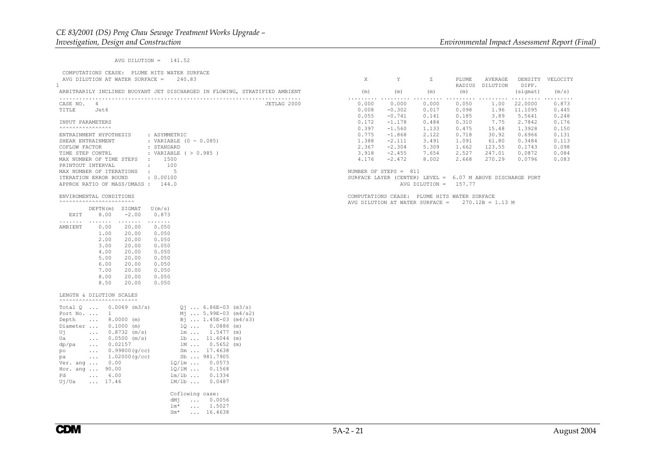| AVG DILUTION = $141.52$                                                                                                                                                                                                                                                                                                                                                                                                                                                                                                                                                                                                                                                                                                                                                                                                       |                                                    |                                                                                                    |                                                    |                                                    |                                                       |                                                          |                                                                                                      |
|-------------------------------------------------------------------------------------------------------------------------------------------------------------------------------------------------------------------------------------------------------------------------------------------------------------------------------------------------------------------------------------------------------------------------------------------------------------------------------------------------------------------------------------------------------------------------------------------------------------------------------------------------------------------------------------------------------------------------------------------------------------------------------------------------------------------------------|----------------------------------------------------|----------------------------------------------------------------------------------------------------|----------------------------------------------------|----------------------------------------------------|-------------------------------------------------------|----------------------------------------------------------|------------------------------------------------------------------------------------------------------|
| COMPUTATIONS CEASE: PLUME HITS WATER SURFACE<br>AVG DILUTION AT WATER SURFACE =<br>240.83                                                                                                                                                                                                                                                                                                                                                                                                                                                                                                                                                                                                                                                                                                                                     | X                                                  | Y                                                                                                  | Ζ                                                  | PLUME                                              | AVERAGE<br>RADIUS DILUTION                            | DIFF.                                                    | DENSITY VELOCITY                                                                                     |
| ARBITRARILY INCLINED BUOYANT JET DISCHARGED IN FLOWING, STRATIFIED AMBIENT                                                                                                                                                                                                                                                                                                                                                                                                                                                                                                                                                                                                                                                                                                                                                    | (m)                                                | (m)                                                                                                | (m)                                                | (m)                                                |                                                       | (sigmat)                                                 | (m/s)                                                                                                |
| CASE NO. 4<br>JETLAG 2000<br>TITLE Jet4                                                                                                                                                                                                                                                                                                                                                                                                                                                                                                                                                                                                                                                                                                                                                                                       | 0.000<br>0.008<br>0.055                            | 0.000<br>$-0.302$<br>$-0.741$                                                                      | 0.000<br>0.017<br>0.141                            | 0.050<br>0.098<br>0.185                            | 1.00<br>1.96<br>3.89                                  | .<br>22,0000<br>11,1095<br>5.5641                        | $\begin{array}{cccccccccccccc} . & . & . & . & . & . & . & . \end{array}$<br>0.873<br>0.445<br>0.248 |
| INPUT PARAMETERS<br>$\ldots \ldots \ldots \ldots$                                                                                                                                                                                                                                                                                                                                                                                                                                                                                                                                                                                                                                                                                                                                                                             | 0.172                                              | $-1.178$                                                                                           | 0.484                                              | 0.310                                              | 7.75                                                  | 2.7842                                                   | 0.176                                                                                                |
| ENTRAINMENT HYPOTHESIS<br>: ASYMMETRIC<br>: VARIABLE $(0 - 0.085)$<br>SHEAR ENTRAINMENT<br>: STANDARD<br>COFLOW FACTOR<br>: VARIABLE ( $> 0.985$ )<br>TIME STEP CONTRL<br>$\cdot$ 1500<br>MAX NUMBER OF TIME STEPS<br>100<br>PRINTOUT INTERVAL<br>$\sim$ 100 $\sim$                                                                                                                                                                                                                                                                                                                                                                                                                                                                                                                                                           | 0.397<br>0.775<br>1.388<br>2.367<br>3.918<br>4.176 | $-1.560$<br>$-1.868$<br>$-2.111$<br>$-2.304$<br>$-2.455$<br>$-2.472$                               | 1.133<br>2.122<br>3.491<br>5.309<br>7.654<br>8.002 | 0.475<br>0.718<br>1.091<br>1.662<br>2.527<br>2.668 | 15.48<br>30.92<br>61.80<br>123.55<br>247.01<br>270.29 | 1.3928<br>0.6966<br>0.3484<br>0.1743<br>0.0872<br>0.0796 | 0.150<br>0.131<br>0.113<br>0.098<br>0.084<br>0.083                                                   |
| MAX NUMBER OF ITERATIONS<br>$-11.7$<br>5<br>ITERATION ERROR BOUND<br>: 0.00100<br>APPROX RATIO OF MASS/DMASS: 144.0                                                                                                                                                                                                                                                                                                                                                                                                                                                                                                                                                                                                                                                                                                           |                                                    | NUMBER OF STEPS = 811<br>SURFACE LAYER (CENTER) LEVEL = 6.07 M ABOVE DISCHARGE PORT                | AVG DILUTION = $157.77$                            |                                                    |                                                       |                                                          |                                                                                                      |
| ENVIROMENTAL CONDITIONS<br><b>^^^^^^^^^^^^^^^^^^^^^^^^^^^</b><br>DEPTH(m) SIGMAT<br>U(m/s)<br>8.00<br>$-2.00$<br>EXIT<br>0.873<br>$\sim$<br>.<br>.<br>AMBIENT<br>0.00<br>20.00<br>0.050<br>1.00<br>20.00<br>0.050<br>2.00<br>20.00<br>0.050<br>3.00<br>20.00<br>0.050<br>4.00<br>20.00<br>0.050<br>5.00<br>20.00<br>0.050<br>6.00<br>20.00<br>0.050<br>7.00<br>20.00<br>0.050<br>8.00<br>20.00<br>0.050<br>8.50<br>20.00<br>0.050                                                                                                                                                                                                                                                                                                                                                                                             |                                                    | COMPUTATIONS CEASE: PLUME HITS WATER SURFACE<br>AVG DILUTION AT WATER SURFACE = $270.12B = 1.13 M$ |                                                    |                                                    |                                                       |                                                          |                                                                                                      |
| LENGTH & DILUTION SCALES<br><b>AAAAAAAAAAAAAAAAAAAAAAA</b><br>Total $Q$ 0.0069 (m3/s)<br>$Q_1$ 6.86E-03 (m3/s)<br>$\mathbf 1$<br>Mj  5.99E-03 (m4/s2)<br>Port No.<br>$\ldots$ 8.0000 (m)<br>$B_1$ 1.45E-03 (m4/s3)<br>Depth<br>$1Q  0.0886$ (m)<br>Diameter  0.1000 (m)<br>Uj<br>$\ldots$ 0.8732 (m/s)<br>$lm \dots 1.5477$ (m)<br>Ua<br>$0.0500$ (m/s)<br>$1b$ $11.6044$ (m)<br>$\sim 100$<br>$1M 0.5652$ (m)<br>dp/pa<br>0.02157<br><b>Service</b><br>Sm  17.4638<br>$\ldots$ 0.99800 (q/cc)<br>po<br>Sb  981.7905<br>$\ldots$ 1.02000 (q/cc)<br>pa<br>$10/1m$ 0.0573<br>Ver. ang $0.00$<br>Hor. ang  90.00<br>1Q/1M  0.1568<br>Fd<br>$\ldots$ 6.00<br>$lm/1b$ 0.1334<br>$\ldots$ 17.46<br>$lm/1b$<br>Uj/Ua<br>0.0487<br>Coflowing case:<br>dMi<br>$\ldots$ 0.0056<br>$lm*$<br>$\ldots$ 1.5027<br>$Sm*$<br>$\ldots$ 16.4638 |                                                    |                                                                                                    |                                                    |                                                    |                                                       |                                                          |                                                                                                      |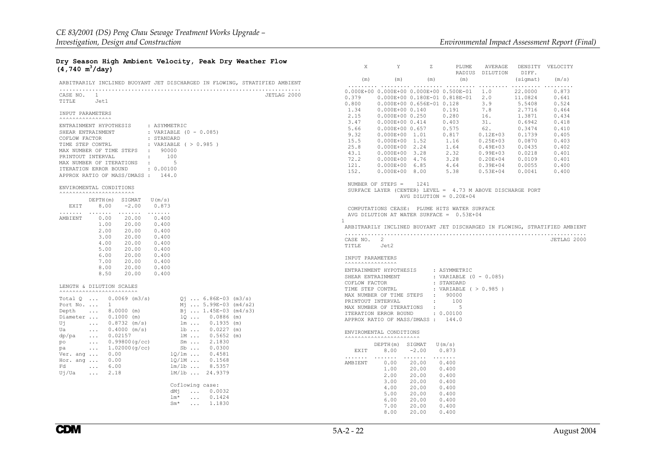## **Dry Season High Ambient Velocity, Peak Dry Weather Flow (4,740 m3/day)**

| ARBITRARILY INCLINED BUOYANT JET DISCHARGED IN FLOWING, STRATIFIED AMBIENT                     | (m)                                                                              |
|------------------------------------------------------------------------------------------------|----------------------------------------------------------------------------------|
|                                                                                                | .<br>$0.000E + 000.$                                                             |
| CASE NO. 1                                                                                     | JETLAG 2000<br>0.379<br>0.                                                       |
| TITLE Jet1                                                                                     | 0.<br>0.800                                                                      |
|                                                                                                | 1.34<br>0.                                                                       |
| INPUT PARAMETERS<br>$\ldots \ldots \ldots \ldots$                                              | 2.15<br>$\mathbf{0}$ .                                                           |
| ENTRAINMENT HYPOTHESIS<br>: ASYMMETRIC                                                         | 3.47<br>0.                                                                       |
| SHEAR ENTRAINMENT<br>: VARIABLE $(0 - 0.085)$                                                  | 5.66<br>0.                                                                       |
| : STANDARD<br>COFLOW FACTOR                                                                    | 9.32<br>0.                                                                       |
| TIME STEP CONTRL<br>: VARIABLE ( > 0.985 )                                                     | 15.5<br>0.                                                                       |
| MAX NUMBER OF TIME STEPS<br>: 90000                                                            | 25.8<br>0.                                                                       |
| PRINTOUT INTERVAL                                                                              | 43.1<br>0.<br>72.2                                                               |
| MAX NUMBER OF ITERATIONS<br>$-5$<br>$\sim 100$                                                 | $\mathbf{0}$ .<br>121.<br>$\mathbf{0}$ .                                         |
| ITERATION ERROR BOUND<br>: 0.00100                                                             | 152.<br>0.                                                                       |
| APPROX RATIO OF MASS/DMASS: 144.0                                                              |                                                                                  |
|                                                                                                | NUMBER OF S                                                                      |
| ENVIROMENTAL CONDITIONS                                                                        | SURFACE LAY                                                                      |
| <b>AAAAAAAAAAAAAAAAAAAAAA</b>                                                                  |                                                                                  |
| U(m/s)<br>DEPTH(m) SIGMAT                                                                      |                                                                                  |
| EXIT 8.00<br>$-2.00$<br>0.873                                                                  | COMPUTATION                                                                      |
| .<br>$\ldots$<br>$\cdots$<br>AMBIENT<br>0.00<br>20.00<br>0.400                                 | AVG DILUTIO                                                                      |
| 1.00<br>20.00<br>0.400                                                                         | $\mathbf{1}$                                                                     |
| 20.00<br>2.00<br>0.400                                                                         | ARBITRARILY                                                                      |
| 3.00<br>20.00<br>0.400                                                                         | .                                                                                |
| 4.00<br>0.400                                                                                  | CASE NO. 2                                                                       |
| 20.00<br>20.00<br>0.400<br>5.00                                                                | TITLE<br>J                                                                       |
| 6.00<br>20.00<br>0.400                                                                         | INPUT PARAME                                                                     |
| 7.00<br>20.00<br>0.400                                                                         | $\ldots \ldots \ldots$                                                           |
| 20.00<br>8.00<br>0.400                                                                         | ENTRAINMENT                                                                      |
| 8.50<br>20.00<br>0.400                                                                         | SHEAR ENTRAI                                                                     |
|                                                                                                | COFLOW FACTO                                                                     |
| LENGTH & DILUTION SCALES<br><b>AAAAAAAAAAAAAAAAAAAAAAA</b>                                     | TIME STEP CO                                                                     |
| Total $Q_{11}$ , 0.0069 (m3/s)<br>$Q_1$ 6.86E-03 (m3/s)                                        | MAX NUMBER O                                                                     |
| Port No.<br>$M_1$ 5.99E-03 (m4/s2)<br>1                                                        | PRINTOUT INT                                                                     |
| Bi  1.45E-03 (m4/s3)<br>Depth<br>$8.0000$ (m)                                                  | MAX NUMBER O                                                                     |
| Diameter  0.1000 (m)<br>$100.0886$ (m)                                                         | ITERATION ER                                                                     |
| Uή<br>0.8732 (m/s)<br>$lm \dots 0.1935 (m)$<br>$\sim$ $\sim$ $\sim$ $\sim$                     | APPROX RATIO                                                                     |
| $0.4000$ (m/s)<br>$1b$ $0.0227$ (m)<br>Ua<br>$\mathbf{L}$ . The set of $\mathbf{L}$            | ENVIROMENTAL                                                                     |
| $1M$ $0.5652$ (m)<br>0.02157<br>dp/pa<br>$\mathcal{L}(\mathcal{L}(\mathcal{L},\mathcal{L}))$ . | $\wedge\wedge\wedge\wedge\wedge\wedge\wedge\wedge\wedge\wedge\wedge\wedge\wedge$ |
| 0.99800(q/cc)<br>$Sm \ldots 2.1830$<br>po<br>$\sim 100$                                        | DEP                                                                              |
| 1.02000(q/cc)<br>$Sb$<br>0.0300<br>pa<br>$\mathbf{1}$ , and $\mathbf{1}$                       | EXIT                                                                             |
| $10/1m$ $0.4581$<br>Ver. ang $\ldots$ 0.00                                                     | .<br>$\sim$ $\sim$ $\sim$                                                        |
| 0.00<br>$10/1M$ $0.1568$<br>Hor. ang                                                           | AMBIENT                                                                          |
| $lm/1b$ 8.5357<br>Fd<br>$\ldots$ 6.00                                                          |                                                                                  |
| 1M/1b  24.9379<br>Ui/Ua<br>$\cdots$<br>2.18                                                    |                                                                                  |
| Coflowing case:                                                                                |                                                                                  |
| $\ldots$ 0.0032<br>dMi                                                                         |                                                                                  |
| lm*<br>$\ldots$ 0.1424                                                                         |                                                                                  |
| $Sm^*$<br>$\ldots$ 1.1830                                                                      |                                                                                  |
|                                                                                                |                                                                                  |

| Χ                                                                                                  | Y                                                                                                                                                                                                                                                                    | Ζ                                                                                  | PLUME                                                                                                                                                                    | AVERAGE<br>RADIUS DILUTION                                                                                                                                                  | DIFF.                                                                                                        | DENSITY VELOCITY                                                                                                           |  |  |  |  |  |
|----------------------------------------------------------------------------------------------------|----------------------------------------------------------------------------------------------------------------------------------------------------------------------------------------------------------------------------------------------------------------------|------------------------------------------------------------------------------------|--------------------------------------------------------------------------------------------------------------------------------------------------------------------------|-----------------------------------------------------------------------------------------------------------------------------------------------------------------------------|--------------------------------------------------------------------------------------------------------------|----------------------------------------------------------------------------------------------------------------------------|--|--|--|--|--|
| (m)                                                                                                | (m)                                                                                                                                                                                                                                                                  | (m)                                                                                | (m)                                                                                                                                                                      |                                                                                                                                                                             | (sigmat)                                                                                                     | (m/s)                                                                                                                      |  |  |  |  |  |
| .<br>0.800<br>1.34<br>2.15<br>3.47<br>5.66<br>9.32<br>15.5<br>25.8<br>43.1<br>72.2<br>121.<br>152. | 0.000E+00  0.656E-01  0.128<br>0.000E+00 0.140 0.191<br>$0.000E + 00$ 0.250<br>$0.000E + 000.414$<br>$0.000E + 00$ 0.657<br>$0.000E+00$ 1.01<br>0.000E+00 1.52<br>$0.000E + 00$ 2.24<br>0.000E+00 3.28<br>0.000E+00 4.76<br>$0.000E + 00$ 6.85<br>$0.000E + 00$ 8.00 |                                                                                    | 0.000E+00 0.000E+00 0.000E+00 0.500E-01<br>$0.379$ 0.000E+00 0.180E-01 0.818E-01 2.0<br>0.280<br>0.403<br>0.575<br>0.817<br>1.16<br>1.64<br>2.32<br>3.28<br>4.64<br>5.38 | 1.0<br>3.9<br>7.8<br>16.<br>31.<br>62.<br>$0.12E + 03$<br>$0.25E + 03$<br>$0.49E + 03$<br>$0.99E+03$ $0.0218$<br>$0.20E+04$ $0.0109$<br>$0.39E+04$ $0.0055$<br>$0.53E + 04$ | 22.0000<br>11.0824<br>5.5408<br>2.7716<br>1.3871<br>0.6942<br>0.3474<br>0.1739<br>0.0870<br>0.0435<br>0.0041 | 0.873<br>0.641<br>0.524<br>0.464<br>0.434<br>0.418<br>0.410<br>0.405<br>0.403<br>0.402<br>0.401<br>0.401<br>0.400<br>0.400 |  |  |  |  |  |
|                                                                                                    | NUMBER OF STEPS = $1241$                                                                                                                                                                                                                                             |                                                                                    | SURFACE LAYER (CENTER) LEVEL = $4.73$ M ABOVE DISCHARGE PORT<br>AVG DILUTION = $0.20E+04$                                                                                |                                                                                                                                                                             |                                                                                                              |                                                                                                                            |  |  |  |  |  |
| 1<br>TITLE Jet2                                                                                    | COMPUTATIONS CEASE: PLUME HITS WATER SURFACE<br>AVG DILUTION AT WATER SURFACE = 0.53E+04<br>ARBITRARILY INCLINED BUOYANT JET DISCHARGED IN FLOWING, STRATIFIED AMBIENT<br>CASE NO. 2<br>JETLAG 2000                                                                  |                                                                                    |                                                                                                                                                                          |                                                                                                                                                                             |                                                                                                              |                                                                                                                            |  |  |  |  |  |
| INPUT PARAMETERS                                                                                   |                                                                                                                                                                                                                                                                      |                                                                                    |                                                                                                                                                                          |                                                                                                                                                                             |                                                                                                              |                                                                                                                            |  |  |  |  |  |
| COFLOW FACTOR                                                                                      | ENTRAINMENT HYPOTHESIS : ASYMMETRIC<br>SHEAR ENTRAINMENT<br>TIME STEP CONTRL<br>MAX NUMBER OF TIME STEPS : 90000<br>PRINTOUT INTERVAL<br>MAX NUMBER OF ITERATIONS<br>ITERATION ERROR BOUND : 0.00100<br>APPROX RATIO OF MASS/DMASS : 144.0                           | $\sim 10^{-1}$<br>$\sim 10^{-1}$                                                   | : VARIABLE (0 - 0.085)<br>: STANDARD<br>: VARIABLE ( > 0.985 )<br>100<br>5                                                                                               |                                                                                                                                                                             |                                                                                                              |                                                                                                                            |  |  |  |  |  |
|                                                                                                    | ENVIROMENTAL CONDITIONS<br><b>^^^^^^^^^^^^^^^^^^^^^^^^^^^</b> ^                                                                                                                                                                                                      |                                                                                    |                                                                                                                                                                          |                                                                                                                                                                             |                                                                                                              |                                                                                                                            |  |  |  |  |  |
| EXIT                                                                                               | $DEPTH(m)$ SIGMAT $U(m/s)$<br>8.00                                                                                                                                                                                                                                   | $-2.00$                                                                            | 0.873                                                                                                                                                                    |                                                                                                                                                                             |                                                                                                              |                                                                                                                            |  |  |  |  |  |
| .<br>AMBIENT                                                                                       | $\mathbf{r}$ , and $\mathbf{r}$ , and $\mathbf{r}$<br>0.00<br>1.00<br>2.00<br>3.00<br>4.00<br>5.00<br>6.00<br>7.00<br>8.00                                                                                                                                           | .<br>20.00<br>20.00<br>20.00<br>20.00<br>20.00<br>20.00<br>20.00<br>20.00<br>20.00 | .<br>0.400<br>0.400<br>0.400<br>0.400<br>0.400<br>0.400<br>0.400<br>0.400<br>0.400                                                                                       |                                                                                                                                                                             |                                                                                                              |                                                                                                                            |  |  |  |  |  |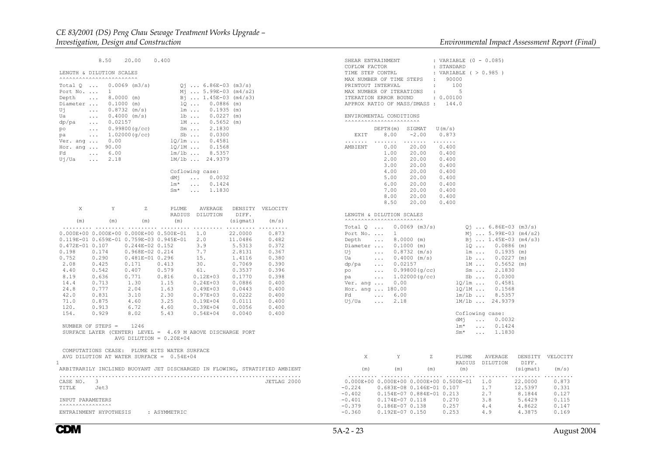$8.50 20.00$  $0.400$ 

```
 LENGTH & DILUTION SCALES
```

| Total O<br>Port No. | $\cdots$<br>$\cdots$ | $0.0069$ (m3/s)<br>1. |       | Мi              |                      | $Q_1$ 6.86E-03<br>$\ldots 5.99E-03$ (m4/s2) | (m3/s) |
|---------------------|----------------------|-----------------------|-------|-----------------|----------------------|---------------------------------------------|--------|
| Depth               | $\cdots$             | 8.0000                | (m)   |                 |                      | $B_1$ 1.45E-03 (m4/s3)                      |        |
|                     |                      |                       |       |                 |                      |                                             |        |
| Diameter            | $\cdots$             | 0.1000                | (m)   |                 | 10                   | 0.0886                                      | (m)    |
| Uj                  | $\cdots$             | 0.8732                | (m/s) |                 | lm                   | 0.1935                                      | (m)    |
| Ua                  | $\sim$ $\sim$ $\sim$ | 0.4000                | (m/s) |                 | $1b \ldots$          | 0.0227                                      | (m)    |
| dp/pa               | $\sim$ $\sim$ $\sim$ | 0.02157               |       |                 | 1M                   | 0.5652                                      | (m)    |
| po                  | $\sim$ $\sim$ $\sim$ | 0.99800(q/cc)         |       |                 | $Sm \ldots$          | 2.1830                                      |        |
| pa                  | $\cdots$             | 1.02000(q/cc)         |       |                 | $Sb \ldots$          | 0.0300                                      |        |
| Ver. ang            | $\cdots$             | 0.00                  |       | 10/lm           |                      | 0.4581                                      |        |
| Hor. ang            |                      | 90.00                 |       | $10/1M$         |                      | 0.1568                                      |        |
| Fd                  | $\cdots$             | 6.00                  |       | lm/lb           |                      | 8.5357                                      |        |
| Uj/Ua               | $\ddotsc$            | 2.18                  |       | lm/lb           |                      | 24.9379                                     |        |
|                     |                      |                       |       |                 |                      |                                             |        |
|                     |                      |                       |       | Coflowing case: |                      |                                             |        |
|                     |                      |                       |       | dMi             | $\sim$ $\sim$ $\sim$ | 0.0032                                      |        |
|                     |                      |                       |       | lm*             | $\cdots$             | 0.1424                                      |        |
|                     |                      |                       |       |                 |                      | 1.1830                                      |        |
|                     |                      |                       |       | $Sm*$           |                      |                                             |        |
|                     |                      |                       |       |                 |                      |                                             |        |

|   | X                                                                                                                                                                        | $Y = Y$                  |  | Z PLUME AVERAGE DENSITY VELOCITY<br>$(m)$ $(m)$ $(m)$ $(m)$                                                                                                                                                                                                                                                                                                                                                                                                                                                                                                                                                                                                                                                                                                                                                                | RADIUS DILUTION DIFF. | $(sigmat)$ $(m/s)$ |  |  |  |  |  |  |
|---|--------------------------------------------------------------------------------------------------------------------------------------------------------------------------|--------------------------|--|----------------------------------------------------------------------------------------------------------------------------------------------------------------------------------------------------------------------------------------------------------------------------------------------------------------------------------------------------------------------------------------------------------------------------------------------------------------------------------------------------------------------------------------------------------------------------------------------------------------------------------------------------------------------------------------------------------------------------------------------------------------------------------------------------------------------------|-----------------------|--------------------|--|--|--|--|--|--|
|   |                                                                                                                                                                          |                          |  | $0.000E+00$ $0.000E+00$ $0.000E+00$ $0.500E-01$ 1.0 22.0000 0.873<br>0.119E-01 0.659E-01 0.759E-03 0.945E-01 2.0 11.0486 0.482<br>$\begin{array}{cccccccc} 0.472\text{E}-01 & 0.107 & 0.244\text{E}-02 & 0.152 & 3.9 & 5.5313 & 0.372 \\ 0.198 & 0.174 & 0.968\text{E}-02 & 0.214 & 7.7 & 2.8131 & 0.367 \end{array}$<br>$0.752$ $0.290$ $0.481E-01$ $0.296$ $15$ . $1.4116$ $0.380$<br>2.08 0.425 0.171 0.413 30. 0.7069 0.390<br>4.40  0.542  0.407  0.579  61.  0.3537  0.396<br>8.19  0.636  0.771  0.816  0.12E+03  0.1770  0.398<br>14.4 0.713 1.30 1.15 0.24E+03 0.0886 0.400<br>24.8 0.777 2.04 1.63 0.49E+03 0.0443 0.400<br>42.0 0.831 3.10 2.30 0.97E+03 0.0222 0.400<br>71.0 0.875 4.60 3.25 0.19E+04 0.0111 0.400<br>120. 0.913 6.72 4.60 0.39E+04 0.0056 0.400<br>154. 0.929 8.02 5.43 0.54E+04 0.0040 0.400 |                       |                    |  |  |  |  |  |  |
|   |                                                                                                                                                                          | NUMBER OF STEPS = $1246$ |  | SURFACE LAYER (CENTER) LEVEL = $4.69$ M ABOVE DISCHARGE PORT<br>AVG DILUTION = $0.20E+04$                                                                                                                                                                                                                                                                                                                                                                                                                                                                                                                                                                                                                                                                                                                                  |                       |                    |  |  |  |  |  |  |
| 1 | COMPUTATIONS CEASE: PLUME HITS WATER SURFACE<br>AVG DILUTION AT WATER SURFACE = $0.54E+04$<br>ARBITRARILY INCLINED BUOYANT JET DISCHARGED IN FLOWING, STRATIFIED AMBIENT |                          |  |                                                                                                                                                                                                                                                                                                                                                                                                                                                                                                                                                                                                                                                                                                                                                                                                                            |                       |                    |  |  |  |  |  |  |
|   | CASE NO. 3<br>JETLAG 2000<br>TITLE Jet3                                                                                                                                  |                          |  |                                                                                                                                                                                                                                                                                                                                                                                                                                                                                                                                                                                                                                                                                                                                                                                                                            |                       |                    |  |  |  |  |  |  |
|   | <b>INPUT PARAMETERS</b>                                                                                                                                                  |                          |  |                                                                                                                                                                                                                                                                                                                                                                                                                                                                                                                                                                                                                                                                                                                                                                                                                            |                       |                    |  |  |  |  |  |  |
|   | ENTRAINMENT HYPOTHESIS : ASYMMETRIC                                                                                                                                      |                          |  |                                                                                                                                                                                                                                                                                                                                                                                                                                                                                                                                                                                                                                                                                                                                                                                                                            |                       |                    |  |  |  |  |  |  |

| SHEAR ENTRAINMENT<br>COFLOW FACTOR<br>TIME STEP CONTRL<br>PRINTOUT INTERVAL<br>MAX NUMBER OF ITERATIONS<br>ENVIROMENTAL CONDITIONS | MAX NUMBER OF TIME STEPS : 90000<br>$\sim$ 100 $\sim$<br>ITERATION ERROR BOUND : 0.00100<br>APPROX RATIO OF MASS/DMASS: 144.0                                                                                                                         | : VARIABLE (0 - 0.085)<br>: STANDARD<br>: VARIABLE ( > 0.985 )<br>100<br>$\cdot$ 5 |                                                                                                                                                                                                                                                                                                                                                                                                             |                                                            |                                                    |
|------------------------------------------------------------------------------------------------------------------------------------|-------------------------------------------------------------------------------------------------------------------------------------------------------------------------------------------------------------------------------------------------------|------------------------------------------------------------------------------------|-------------------------------------------------------------------------------------------------------------------------------------------------------------------------------------------------------------------------------------------------------------------------------------------------------------------------------------------------------------------------------------------------------------|------------------------------------------------------------|----------------------------------------------------|
|                                                                                                                                    |                                                                                                                                                                                                                                                       |                                                                                    |                                                                                                                                                                                                                                                                                                                                                                                                             |                                                            |                                                    |
|                                                                                                                                    | $DEFH(m)$ SIGMAT $U(m/s)$<br>EXIT 8.00 -2.00                                                                                                                                                                                                          | 0.873<br>.                                                                         |                                                                                                                                                                                                                                                                                                                                                                                                             |                                                            |                                                    |
| .<br>AMBIENT                                                                                                                       | .<br>0.00<br>20.00<br>1.00<br>20.00<br>2.00<br>20.00 0.400<br>20.00 0.400<br>3.00<br>4.00<br>20.00<br>$\begin{array}{ccc} 20.00 & 0.400 \\ 20.00 & 0.400 \\ 20.00 & 0.400 \end{array}$<br>$5.00$<br>6.00<br>7.00<br>8.00<br>20.00<br>8.50 20.00 0.400 | 0.400<br>0.400<br>0.400<br>0.400                                                   |                                                                                                                                                                                                                                                                                                                                                                                                             |                                                            |                                                    |
| LENGTH & DILUTION SCALES<br><b>^^^^^^^^^^^^^^^^^^^^^^^^^^^^</b> ^                                                                  |                                                                                                                                                                                                                                                       |                                                                                    |                                                                                                                                                                                                                                                                                                                                                                                                             |                                                            |                                                    |
| Port No.<br>Hor. ang  180.00<br>Fd<br>$\ldots$ 6.00<br>Uj/Ua                                                                       | Total Q  0.0069 (m3/s)<br>$\mathbf{1}$<br>Depth  8.0000 (m)<br>Diameter  0.1000 (m)<br>UJ  0.8732 (m/s)<br>Ua  0.4000 (m/s)<br>dp/pa  0.4000 (m/s)<br>dp/pa  0.99800 (g/cc)<br>pa  1.02000 (g/cc)<br>Ver. ang  0.00<br>2.18                           | lm/lb<br>Coflowing case:<br>$lm*$                                                  | $Q_1$ 6.86E-03 (m3/s)<br>$M_1$ 5.99E-03 (m4/s2)<br>Bj  1.45E-03 (m4/s3)<br>$1Q \ldots 0.0886$ (m)<br>lm  0.1935 (m)<br>$\begin{array}{cccc} \text{1b} & \ldots & 0.0227 & (\text{m}) \\ \text{1M} & \ldots & 0.5652 & (\text{m}) \\ \text{Sm} & \ldots & 2.1830 \\ \text{Sb} & \ldots & 0.0300 \\ \end{array}$<br>$1Q/\text{lm}$ 0.4581<br>$1Q/\text{lm}$ 0.1568<br>8.5357<br>1M/1b  24.9379<br>dMj  0.0032 |                                                            |                                                    |
|                                                                                                                                    |                                                                                                                                                                                                                                                       | $Sm^{\star}$                                                                       | $\ldots$ 0.1424<br>$\ldots$ 1.1830                                                                                                                                                                                                                                                                                                                                                                          |                                                            |                                                    |
| X<br>(m)                                                                                                                           | Z<br>Y X<br>$(m)$ $(m)$                                                                                                                                                                                                                               | PLUME<br>RADIUS<br>(m)                                                             | AVERAGE<br>DILUTION<br>(sigmat)                                                                                                                                                                                                                                                                                                                                                                             | DENSITY<br>DIFF.                                           | VELOCITY<br>(m/s)                                  |
| $-0.402$<br>$-0.401$<br>$-0.379$<br>-0.360                                                                                         | $0.000E+00 0.000E+00 0.000E+00 0.500E-01 1.0$<br>$-0.224$ 0.683E-08 0.146E-01 0.107<br>0.154E-07 0.884E-01 0.213<br>$0.174E-07$ 0.118 0.270<br>$0.186E-070.138$<br>$0.192E-07$ $0.150$                                                                | 0.257<br>0.253                                                                     | 1.7<br>2.7<br>3.8<br>4.4<br>4.9                                                                                                                                                                                                                                                                                                                                                                             | 22.0000<br>12.5397<br>8.1844<br>5.6429<br>4.8622<br>4.3875 | 0.873<br>0.331<br>0.127<br>0.115<br>0.147<br>0.169 |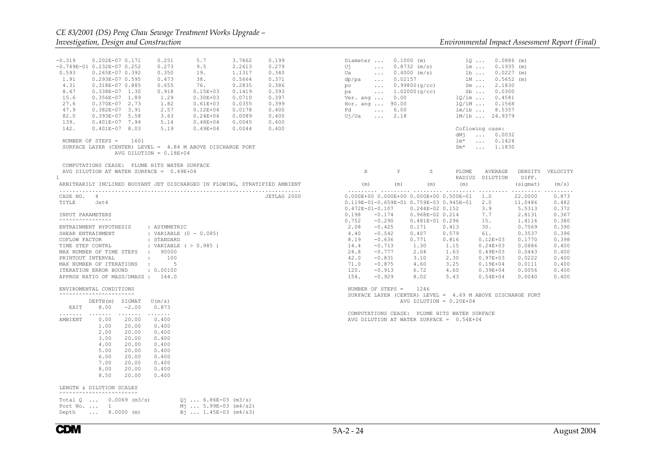| $-0.319$<br>0.202E-07 0.171<br>0.251<br>5.7<br>3.7862<br>0.199<br>0.273<br>$-0.749E-01$ $0.232E-07$ 0.252<br>9.5<br>2.2613<br>0.279<br>0.593<br>0.340<br>$0.265E-070.392$<br>0.350<br>19.<br>1.1317<br>1.91<br>0.293E-07 0.595<br>0.473<br>38.<br>0.5664<br>0.371<br>0.655<br>0.386<br>4.31<br>0.318E-07 0.885<br>76.<br>0.2835<br>8.47<br>$0.338E-07$ 1.30<br>0.918<br>$0.15E + 03$<br>0.1419<br>0.393<br>1.29<br>$0.30E + 03$<br>0.397<br>15.6<br>$0.356E-07$ 1.89<br>0.0710<br>27.6<br>1.82<br>0.0355<br>0.399<br>0.370E-07 2.73<br>$0.61E + 03$<br>47.9<br>2.57<br>$0.382E-07$ 3.91<br>$0.12E + 04$<br>0.0178<br>0.400<br>82.0<br>$0.393E-07$ 5.58<br>3.63<br>$0.24E + 04$<br>0.0089<br>0.400<br>139.<br>$0.401E-07$ 7.94<br>5.14<br>$0.48E + 04$<br>0.0045<br>0.400<br>142.<br>$0.401E-07$ 8.03<br>5.19<br>$0.49E + 04$<br>0.0044<br>0.400<br>NUMBER OF STEPS =<br>1601<br>SURFACE LAYER (CENTER) LEVEL = $4.84$ M ABOVE DISCHARGE PORT<br>AVG DILUTION = $0.18E+04$<br>COMPUTATIONS CEASE: PLUME HITS WATER SURFACE | $0.1000$ (m)<br>$100.0886$ (m)<br>Diameter<br>1m  0.1935 (m)<br>1b  0.0227 (m)<br>1M  0.5652 (m)<br>$U_1$ , and $U_2$<br>$\ldots$ 0.8732 (m/s)<br>$\ldots$ 0.4000 (m/s)<br>Ua l<br>$\ldots$ 0.02157<br>dp/pa<br>$Sm$ 2.1830<br>Sb  0.0300<br>$\ldots$ 0.99800(g/cc)<br>po<br>pa  1.02000(g/cc)<br>$1Q/lm$ $0.4581$<br>Ver. ang $\ldots$ 0.00<br>Hor. ang  90.00<br>1Q/1M  0.1568<br>Fd., 6.00<br>$lm/1b$ 8.5357<br>$U_1/Ua$ 2.18<br>1M/1b  24.9379<br>Coflowing case:<br>dMj<br>$\ldots$ 0.0032<br>$lm*$<br>$\ldots$ 0.1424<br>$Sm*$<br>$\ldots$ 1.1830                                                                                                                                                                                                                                                                                                                                                                                                                                                                                                                            |
|---------------------------------------------------------------------------------------------------------------------------------------------------------------------------------------------------------------------------------------------------------------------------------------------------------------------------------------------------------------------------------------------------------------------------------------------------------------------------------------------------------------------------------------------------------------------------------------------------------------------------------------------------------------------------------------------------------------------------------------------------------------------------------------------------------------------------------------------------------------------------------------------------------------------------------------------------------------------------------------------------------------------------|------------------------------------------------------------------------------------------------------------------------------------------------------------------------------------------------------------------------------------------------------------------------------------------------------------------------------------------------------------------------------------------------------------------------------------------------------------------------------------------------------------------------------------------------------------------------------------------------------------------------------------------------------------------------------------------------------------------------------------------------------------------------------------------------------------------------------------------------------------------------------------------------------------------------------------------------------------------------------------------------------------------------------------------------------------------------------------|
| AVG DILUTION AT WATER SURFACE = $0.49E+04$<br>$\mathbf{1}$                                                                                                                                                                                                                                                                                                                                                                                                                                                                                                                                                                                                                                                                                                                                                                                                                                                                                                                                                                | $X$ $Y$<br>Z<br>PLUME<br>AVERAGE<br>DENSITY VELOCITY<br>RADIUS DILUTION DIFF.                                                                                                                                                                                                                                                                                                                                                                                                                                                                                                                                                                                                                                                                                                                                                                                                                                                                                                                                                                                                      |
| ARBITRARILY INCLINED BUOYANT JET DISCHARGED IN FLOWING, STRATIFIED AMBIENT<br>CASE NO. 4<br>JETLAG 2000<br>TITLE Jet4<br>INPUT PARAMETERS<br>ENTRAINMENT HYPOTHESIS : ASYMMETRIC<br>SHEAR ENTRAINMENT<br>: VARIABLE (0 - 0.085)<br>COFLOW FACTOR<br>: STANDARD<br>: VARIABLE $( > 0.985 )$<br>TIME STEP CONTRL<br>MAX NUMBER OF TIME STEPS : 90000<br>$\sim$ $\sim$ 100<br>PRINTOUT INTERVAL<br>MAX NUMBER OF ITERATIONS : 5<br>ITERATION ERROR BOUND<br>: 0.00100<br>APPROX RATIO OF MASS/DMASS : 144.0<br>ENVIROMENTAL CONDITIONS                                                                                                                                                                                                                                                                                                                                                                                                                                                                                       | (m)<br>(m)<br>(sigmat)<br>(m)<br>(m)<br>(m/s)<br>$0.000E+00$ 0.000E+00 0.000E+00 0.500E-01 1.0<br>22,0000<br>0.873<br>$0.119E-01-0.659E-01$ 0.759E-03 0.945E-01 2.0<br>0.482<br>11,0486<br>$0.472E - 01 - 0.107$<br>3.9<br>5.5313<br>0.372<br>$0.244E-02$ 0.152<br>$-0.174$<br>7.7<br>0.367<br>0.198<br>0.968E-02 0.214<br>2.8131<br>0.752<br>$-0.290$<br>0.481E-01 0.296<br>15.<br>1.4116<br>0.380<br>2.08<br>$-0.425$<br>0.171<br>0.413<br>30.<br>0.7069<br>0.390<br>$-0.542$<br>0.579<br>0.3537<br>0.396<br>4.40<br>0.407<br>61.<br>0.398<br>8.19<br>$-0.636$<br>0.771<br>0.816<br>$0.12E + 03$<br>0.1770<br>14.4<br>$-0.713$<br>1.15<br>0.0886<br>0.400<br>1.30<br>$0.24E + 03$<br>24.8<br>$-0.777$<br>2.04<br>1.63<br>$0.49E + 03$<br>0.0443<br>0.400<br>42.0<br>3.10<br>0.0222<br>0.400<br>$-0.831$<br>2.30<br>$0.97E + 03$<br>71.0<br>$-0.875$<br>4.60<br>3.25<br>$0.19E + 04$<br>0.0111<br>0.400<br>120.<br>$-0.913$<br>6.72<br>4.60<br>$0.39E + 04$<br>0.0056<br>0.400<br>154.<br>$-0.929$<br>8.02<br>5.43<br>0.400<br>$0.54E + 04$<br>0.0040<br>NUMBER OF STEPS = $1246$ |
| DEPTH(m) SIGMAT<br>U(m/s)<br>$8.00 -2.00$<br>0.873<br>EXIT<br>.<br>AMBIENT<br>0.00<br>20.00<br>0.400<br>1.00<br>20.00<br>0.400<br>2.00<br>20.00<br>0.400<br>3.00<br>20.00<br>0.400<br>4.00<br>20.00<br>0.400<br>5.00<br>20.00<br>0.400<br>6.00<br>20.00<br>0.400<br>7.00<br>20.00<br>0.400<br>8.00<br>20.00<br>0.400<br>8.50<br>20.00<br>0.400                                                                                                                                                                                                                                                                                                                                                                                                                                                                                                                                                                                                                                                                            | SURFACE LAYER (CENTER) LEVEL = 4.69 M ABOVE DISCHARGE PORT<br>AVG DILUTION = $0.20E+04$<br>COMPUTATIONS CEASE: PLUME HITS WATER SURFACE<br>AVG DILUTION AT WATER SURFACE = $0.54E+04$                                                                                                                                                                                                                                                                                                                                                                                                                                                                                                                                                                                                                                                                                                                                                                                                                                                                                              |
| LENGTH & DILUTION SCALES<br><b>^^^^^^^^^^^^^^^^^^^^^^^^^^^^</b><br>Total $0 \ldots 0.0069$ (m3/s)<br>$Q_1$ 6.86E-03 (m3/s)<br>Mj  5.99E-03 (m4/s2)<br>Port No. $\ldots$ 1<br>Depth  8.0000 (m)<br>Bi  1.45E-03 (m4/s3)                                                                                                                                                                                                                                                                                                                                                                                                                                                                                                                                                                                                                                                                                                                                                                                                    |                                                                                                                                                                                                                                                                                                                                                                                                                                                                                                                                                                                                                                                                                                                                                                                                                                                                                                                                                                                                                                                                                    |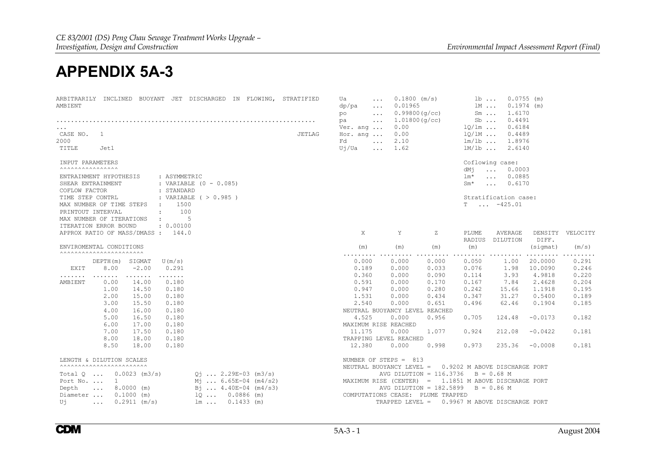## **APPENDIX 5A-3**

| ARBITRARILY INCLINED BUOYANT JET DISCHARGED IN FLOWING, STRATIFIED<br>AMBIENT | Ua<br>$\ddots$<br>dp/pa<br>$\ddots$<br>po<br>$\sim$ $\sim$ $\sim$<br>pa<br>$\ddots$ | $0.1800$ (m/s)<br>0.01965<br>0.99800(q/cc)<br>1.01800(q/cc) |       | $1b \ldots$<br>1M<br>$Sm \ldots$<br>$Sb$ | $0.0755$ (m)<br>$0.1974$ (m)<br>1.6170<br>0.4491 |           |                  |
|-------------------------------------------------------------------------------|-------------------------------------------------------------------------------------|-------------------------------------------------------------|-------|------------------------------------------|--------------------------------------------------|-----------|------------------|
| CASE NO.<br>JETLAG<br>1<br>2000<br>TITLE<br>Jet1                              | Ver. and $\ldots$<br>Hor. ang<br>Fd<br>$\ddots$<br>Uj/Ua<br>$\ddots$                | 0.00<br>0.00<br>2.10<br>1.62                                |       | $10/1m$<br>$10/1M$<br>$lm/lb$<br>$lm/1b$ | 0.6184<br>0.4489<br>1.8976<br>2.6140             |           |                  |
|                                                                               |                                                                                     |                                                             |       |                                          |                                                  |           |                  |
| INPUT PARAMETERS<br><b>AAAAAAAAAAAAAAA</b> A                                  |                                                                                     |                                                             |       | dMi                                      | Coflowing case:<br>$\ldots$ 0.0003               |           |                  |
| ENTRAINMENT HYPOTHESIS<br>: ASYMMETRIC                                        |                                                                                     |                                                             |       | $lm^{\star}$                             | $\ldots$ 0.0885                                  |           |                  |
| SHEAR ENTRAINMENT<br>: VARIABLE $(0 - 0.085)$                                 |                                                                                     |                                                             |       | $Sm^{\star}$                             | $\ldots$ 0.6170                                  |           |                  |
| COFLOW FACTOR<br>: STANDARD                                                   |                                                                                     |                                                             |       |                                          |                                                  |           |                  |
| : VARIABLE ( > 0.985 )<br>TIME STEP CONTRL                                    |                                                                                     |                                                             |       |                                          | Stratification case:                             |           |                  |
| 1500<br>MAX NUMBER OF TIME STEPS<br>$\sim$                                    |                                                                                     |                                                             |       | $\mathbb{T}$                             | $\ldots$ -425.01                                 |           |                  |
| 100<br>PRINTOUT INTERVAL<br>$\mathbf{r}$                                      |                                                                                     |                                                             |       |                                          |                                                  |           |                  |
| 5<br>MAX NUMBER OF ITERATIONS<br>$\ddot{\cdot}$                               |                                                                                     |                                                             |       |                                          |                                                  |           |                  |
| ITERATION ERROR BOUND<br>: 0.00100                                            |                                                                                     |                                                             |       |                                          |                                                  |           |                  |
| APPROX RATIO OF MASS/DMASS :<br>144.0                                         | X                                                                                   | Y                                                           | Ζ     | PLUME<br>RADIUS                          | AVERAGE<br>DILUTION                              | DIFF.     | DENSITY VELOCITY |
| ENVIROMENTAL CONDITIONS                                                       | (m)                                                                                 | (m)                                                         | (m)   | (m)                                      |                                                  | (siamat)  | (m/s)            |
| <b>^^^^^^^^^^^^^^^^^^^^^^^^^^^</b>                                            | .                                                                                   | .                                                           | .     |                                          |                                                  | .         | .                |
| DEPTH(m) SIGMAT<br>U (m/s)                                                    | 0.000                                                                               | 0.000                                                       | 0.000 | 0.050                                    | 1.00                                             | 20,0000   | 0.291            |
| 8.00<br>$-2.00$<br>0.291<br>EXIT                                              | 0.189                                                                               | 0.000                                                       | 0.033 | 0.076                                    | 1.98                                             | 10.0090   | 0.246            |
| .<br>.<br>.                                                                   | 0.360                                                                               | 0.000                                                       | 0.090 | 0.114                                    | 3.93                                             | 4.9818    | 0.220            |
| 0.180<br>AMBIENT<br>0.00<br>14.00                                             | 0.591                                                                               | 0.000                                                       | 0.170 | 0.167                                    | 7.84                                             | 2.4628    | 0.204            |
| 1.00<br>14.50<br>0.180                                                        | 0.947                                                                               | 0.000                                                       | 0.280 | 0.242                                    | 15.66                                            | 1.1918    | 0.195            |
| 2.00<br>15.00<br>0.180                                                        | 1.531                                                                               | 0.000                                                       | 0.434 | 0.347                                    | 31.27                                            | 0.5400    | 0.189            |
| 3.00<br>0.180<br>15.50                                                        | 2.540                                                                               | 0.000                                                       | 0.651 | 0.496                                    | 62.46                                            | 0.1904    | 0.185            |
| 4.00<br>0.180<br>16.00                                                        | NEUTRAL BUOYANCY LEVEL REACHED                                                      |                                                             |       |                                          |                                                  |           |                  |
| 5.00<br>16.50<br>0.180                                                        | 4.525                                                                               | 0.000                                                       | 0.956 | 0.705                                    | 124.48                                           | $-0.0173$ | 0.182            |
| 6.00<br>17.00<br>0.180                                                        | MAXIMUM RISE REACHED                                                                |                                                             |       |                                          |                                                  |           |                  |
| 7.00<br>17.50<br>0.180                                                        | 11.175                                                                              | 0.000                                                       | 1.077 | 0.924                                    | 212.08                                           | $-0.0422$ | 0.181            |
| 8.00<br>18.00<br>0.180                                                        | TRAPPING LEVEL REACHED                                                              |                                                             |       |                                          |                                                  |           |                  |
| 8.50<br>18.00<br>0.180                                                        | 12,380                                                                              | 0.000                                                       | 0.998 | 0.973                                    | 235.36                                           | $-0.0008$ | 0.181            |
| LENGTH & DILUTION SCALES<br><b>^^^^^^^^^^^^^^^^^^^^^^^^^^^^</b>               | NUMBER OF STEPS = $813$<br>NEUTRAL BUOYANCY LEVEL =                                 |                                                             |       |                                          | 0.9202 M ABOVE DISCHARGE PORT                    |           |                  |
| $0.0023$ (m3/s)<br>$Q_1$ 2.29E-03 (m3/s)<br>Total $\circ$ $\ldots$            |                                                                                     | AVG DILUTION = $116.3736$ B = 0.68 M                        |       |                                          |                                                  |           |                  |
| $M_1$ 6.65E-04 (m4/s2)<br>1<br>Port No.                                       | MAXIMUM RISE (CENTER) = 1.1851 M ABOVE DISCHARGE PORT                               |                                                             |       |                                          |                                                  |           |                  |
| $B_1$ $4.40E-04$ (m4/s3)<br>Depth<br>$8.0000$ (m)<br>$\sim 100$ km s $^{-1}$  |                                                                                     | AVG DILUTION = $182.5899$                                   |       |                                          | $B = 0.86 M$                                     |           |                  |
| $0.1000$ (m)<br>$100.0886$ (m)<br>Diameter                                    | COMPUTATIONS CEASE: PLUME TRAPPED                                                   |                                                             |       |                                          |                                                  |           |                  |
| $0.2911$ (m/s)<br>$lm \dots 0.1433 (m)$<br>Uj<br>$\cdots$                     |                                                                                     | TRAPPED LEVEL = 0.9967 M ABOVE DISCHARGE PORT               |       |                                          |                                                  |           |                  |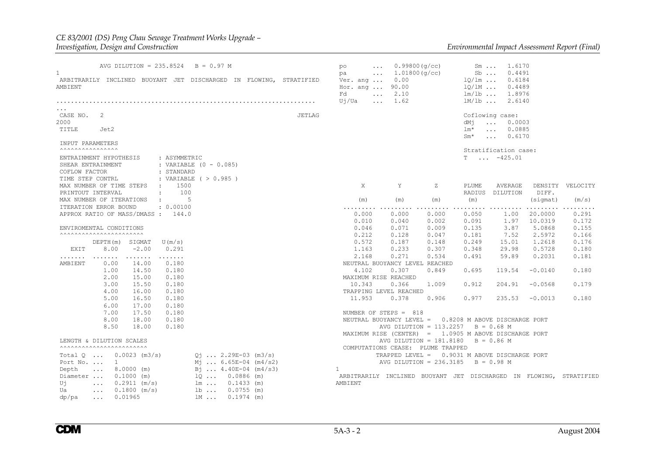#### *CE 83/2001 (DS) Peng Chau Sewage Treatment Works Upgrade – Investigation, Design and Construction Environmental Impact Assessment Report (Final)*

| $\mathbf{1}$<br>AMBIENT                                       |                                                                                                                                     | AVG DILUTION = $235.8524$          |                                                   | $B = 0.97 M$                                         |              | ARBITRARILY INCLINED BUOYANT JET DISCHARGED IN FLOWING, STRATIFIED | po<br>$\cdots$<br>$\cdot$<br>pa<br>Ver. and $\ldots$<br>Hor. ang  90.00<br>Fd<br>Uj/Ua<br>$\ddotsc$ | 0.99800(q/cc)<br>1.01800(q/cc)<br>0.00<br>$\ldots$ 2.10<br>1.62 |                                                                                    | $Sm \ldots$<br>$Sb$<br>$10/1m$<br>$10/1M$<br>$lm/lb$ | 1.6170<br>0.4491<br>0.6184<br>0.4489<br>$lm/1b$ 1.8976<br>2.6140            |                    |                     |
|---------------------------------------------------------------|-------------------------------------------------------------------------------------------------------------------------------------|------------------------------------|---------------------------------------------------|------------------------------------------------------|--------------|--------------------------------------------------------------------|-----------------------------------------------------------------------------------------------------|-----------------------------------------------------------------|------------------------------------------------------------------------------------|------------------------------------------------------|-----------------------------------------------------------------------------|--------------------|---------------------|
| .<br>CASE NO. 2<br>2000<br>TITLE                              | Jet2                                                                                                                                |                                    |                                                   |                                                      |              | <b>JETLAG</b>                                                      |                                                                                                     |                                                                 |                                                                                    | dMi<br>$lm^{\star}$<br>$Sm*$                         | Coflowing case:<br>0.0003<br>$\ldots$<br>$\ldots$ 0.0885<br>$\ldots$ 0.6170 |                    |                     |
| INPUT PARAMETERS                                              |                                                                                                                                     |                                    |                                                   |                                                      |              |                                                                    |                                                                                                     |                                                                 |                                                                                    |                                                      |                                                                             |                    |                     |
| <b>AAAAAAAAAAAAAAA</b> A<br>COFLOW FACTOR<br>TIME STEP CONTRL | ENTRAINMENT HYPOTHESIS<br>SHEAR ENTRAINMENT                                                                                         |                                    | : ASYMMETRIC<br>: STANDARD                        | : VARIABLE $(0 - 0.085)$<br>: VARIABLE $( > 0.985 )$ |              |                                                                    |                                                                                                     |                                                                 |                                                                                    | T                                                    | Stratification case:<br>$\ldots$ -425.01                                    |                    |                     |
|                                                               | MAX NUMBER OF TIME STEPS<br>PRINTOUT INTERVAL                                                                                       |                                    | 1500<br><b>Contractor</b><br>100<br>$\mathcal{L}$ |                                                      |              |                                                                    | X                                                                                                   | Y                                                               | Ζ                                                                                  | PLUME                                                | AVERAGE<br>RADIUS DILUTION                                                  | DIFF.              | DENSITY VELOCITY    |
|                                                               | MAX NUMBER OF ITERATIONS                                                                                                            |                                    | -5<br><b>Contract Contract</b>                    |                                                      |              |                                                                    | (m)                                                                                                 | (m)                                                             | (m)                                                                                | (m)                                                  |                                                                             | $(s$ iqmat $)$     | (m/s)               |
|                                                               | ITERATION ERROR BOUND                                                                                                               | APPROX RATIO OF MASS/DMASS : 144.0 | : 0.00100                                         |                                                      |              |                                                                    | .<br>0.000<br>0.010                                                                                 | .<br>0.000<br>0.040                                             | .<br>0.000<br>0.002                                                                | 0.050<br>0.091                                       | 1.00<br>1.97                                                                | 20,0000<br>10.0319 | .<br>0.291<br>0.172 |
|                                                               | ENVIROMENTAL CONDITIONS                                                                                                             |                                    |                                                   |                                                      |              |                                                                    | 0.046                                                                                               | 0.071                                                           | 0.009                                                                              | 0.135                                                | 3.87                                                                        | 5.0868             | 0.155               |
|                                                               | <b>^^^^^^^^^^^^^^^^^^^^^^^^^^^</b>                                                                                                  |                                    |                                                   |                                                      |              |                                                                    | 0.212                                                                                               | 0.128                                                           | 0.047                                                                              | 0.181                                                | 7.52                                                                        | 2.5972             | 0.166               |
|                                                               | DEPTH(m) SIGMAT                                                                                                                     |                                    | U(m/s)                                            |                                                      |              |                                                                    | 0.572                                                                                               | 0.187                                                           | 0.148                                                                              | 0.249                                                | 15.01                                                                       | 1,2618             | 0.176               |
| EXIT                                                          | 8.00                                                                                                                                | $-2.00$                            | 0.291                                             |                                                      |              |                                                                    | 1.163                                                                                               | 0.233                                                           | 0.307                                                                              | 0.348                                                | 29.98                                                                       | 0.5728             | 0.180               |
| .                                                             | $\begin{array}{cccccccccccccc} \bullet & \bullet & \bullet & \bullet & \bullet & \bullet & \bullet & \bullet & \bullet \end{array}$ | .                                  | .                                                 |                                                      |              |                                                                    | 2.168                                                                                               | 0.271                                                           | 0.534                                                                              | 0.491                                                | 59.89                                                                       | 0.2031             | 0.181               |
| AMBIENT                                                       | 0.00                                                                                                                                | 14.00                              | 0.180                                             |                                                      |              |                                                                    | NEUTRAL BUOYANCY LEVEL REACHED                                                                      |                                                                 |                                                                                    |                                                      |                                                                             |                    |                     |
|                                                               | 1.00                                                                                                                                | 14.50                              | 0.180                                             |                                                      |              |                                                                    | 4.102                                                                                               | 0.307                                                           | 0.849                                                                              | 0.695                                                | 119.54                                                                      | $-0.0140$          | 0.180               |
|                                                               | 2.00                                                                                                                                | 15.00                              | 0.180                                             |                                                      |              |                                                                    | MAXIMUM RISE REACHED                                                                                |                                                                 |                                                                                    |                                                      |                                                                             |                    |                     |
|                                                               | 3.00                                                                                                                                | 15.50                              | 0.180                                             |                                                      |              |                                                                    | 10.343                                                                                              | 0.366                                                           | 1.009                                                                              | 0.912                                                | 204.91                                                                      | $-0.0568$          | 0.179               |
|                                                               | 4.00                                                                                                                                | 16.00                              | 0.180                                             |                                                      |              |                                                                    | TRAPPING LEVEL REACHED                                                                              |                                                                 |                                                                                    |                                                      |                                                                             |                    |                     |
|                                                               | 5.00                                                                                                                                | 16.50                              | 0.180                                             |                                                      |              |                                                                    | 11.953                                                                                              | 0.378                                                           | 0.906                                                                              | 0.977                                                | 235.53                                                                      | $-0.0013$          | 0.180               |
|                                                               | 6.00                                                                                                                                | 17.00                              | 0.180                                             |                                                      |              |                                                                    |                                                                                                     |                                                                 |                                                                                    |                                                      |                                                                             |                    |                     |
|                                                               | 7.00                                                                                                                                | 17.50                              | 0.180                                             |                                                      |              |                                                                    | NUMBER OF STEPS = 818                                                                               |                                                                 |                                                                                    |                                                      |                                                                             |                    |                     |
|                                                               | 8.00                                                                                                                                | 18.00                              | 0.180                                             |                                                      |              |                                                                    |                                                                                                     |                                                                 | NEUTRAL BUOYANCY LEVEL = 0.8208 M ABOVE DISCHARGE PORT                             |                                                      |                                                                             |                    |                     |
|                                                               | 8.50                                                                                                                                | 18.00                              | 0.180                                             |                                                      |              |                                                                    |                                                                                                     |                                                                 | AVG DILUTION = $113.2257$                                                          |                                                      | $B = 0.68 M$                                                                |                    |                     |
|                                                               |                                                                                                                                     |                                    |                                                   |                                                      |              |                                                                    |                                                                                                     |                                                                 | MAXIMUM RISE (CENTER) = 1.0905 M ABOVE DISCHARGE PORT                              |                                                      | $B = 0.86 M$                                                                |                    |                     |
|                                                               | LENGTH & DILUTION SCALES<br><b>^^^^^^^^^^^^^^^^^^^^^^^^^^^^</b>                                                                     |                                    |                                                   |                                                      |              |                                                                    |                                                                                                     |                                                                 | AVG DILUTION = $181.8180$                                                          |                                                      |                                                                             |                    |                     |
|                                                               |                                                                                                                                     | Total $Q \ldots Q.0023$ (m3/s)     |                                                   | $Q_1$ 2.29E-03 (m3/s)                                |              |                                                                    |                                                                                                     |                                                                 | COMPUTATIONS CEASE: PLUME TRAPPED<br>TRAPPED LEVEL = 0.9031 M ABOVE DISCHARGE PORT |                                                      |                                                                             |                    |                     |
|                                                               | Port No. $\ldots$ 1                                                                                                                 |                                    |                                                   |                                                      |              |                                                                    |                                                                                                     |                                                                 |                                                                                    |                                                      | $B = 0.98 M$                                                                |                    |                     |
|                                                               | $\ldots$ 8.0000 (m)                                                                                                                 |                                    |                                                   | $M_1$ 6.65E-04 (m4/s2)<br>$B_1$ 4.40E-04 (m4/s3)     |              |                                                                    | $\mathbf{1}$                                                                                        |                                                                 | AVG DILUTION = $236.3185$                                                          |                                                      |                                                                             |                    |                     |
| Depth                                                         |                                                                                                                                     |                                    |                                                   | $10 0.0886$ (m)                                      |              |                                                                    |                                                                                                     |                                                                 |                                                                                    |                                                      |                                                                             |                    |                     |
|                                                               | Diameter $0.1000$ (m)                                                                                                               |                                    |                                                   |                                                      |              |                                                                    | ARBITRARILY INCLINED BUOYANT JET DISCHARGED IN FLOWING, STRATIFIED                                  |                                                                 |                                                                                    |                                                      |                                                                             |                    |                     |
| Uj                                                            | $\cdots$                                                                                                                            | $0.2911$ (m/s)                     |                                                   | $lm \dots 0.1433 (m)$                                |              |                                                                    | AMBIENT                                                                                             |                                                                 |                                                                                    |                                                      |                                                                             |                    |                     |
| Ua                                                            | $\ldots$                                                                                                                            | $0.1800$ (m/s)                     |                                                   | $1b$                                                 | $0.0755$ (m) |                                                                    |                                                                                                     |                                                                 |                                                                                    |                                                      |                                                                             |                    |                     |
| dp/pa                                                         | $\cdots$                                                                                                                            | 0.01965                            |                                                   | 1M                                                   | $0.1974$ (m) |                                                                    |                                                                                                     |                                                                 |                                                                                    |                                                      |                                                                             |                    |                     |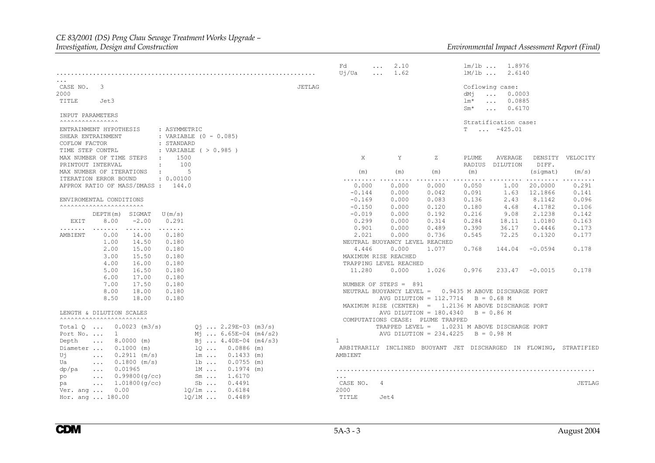### *CE 83/2001 (DS) Peng Chau Sewage Treatment Works Upgrade –*

|                                                                                            |                      |                              |                               |                                         |                        |               | Fd<br>Uj/Ua              | $\cdots$<br>$\ddotsc$ | 2.10<br>1.62        |                                   | $lm/lb$<br>lm/lb                       | 1.8976<br>2.6140                                                                  |                         |                                                                    |
|--------------------------------------------------------------------------------------------|----------------------|------------------------------|-------------------------------|-----------------------------------------|------------------------|---------------|--------------------------|-----------------------|---------------------|-----------------------------------|----------------------------------------|-----------------------------------------------------------------------------------|-------------------------|--------------------------------------------------------------------|
| .<br>CASE NO.<br>2000<br>TITLE                                                             | 3<br>Jet3            |                              |                               |                                         |                        | <b>JETLAG</b> |                          |                       |                     |                                   | dMi<br>$lm*$<br>$Sm^{\star}$           | Coflowing case:<br>0.0003<br>$\ldots$<br>0.0885<br>$\ddots$<br>0.6170<br>$\ddots$ |                         |                                                                    |
| INPUT PARAMETERS                                                                           |                      |                              |                               |                                         |                        |               |                          |                       |                     |                                   |                                        |                                                                                   |                         |                                                                    |
| <b>^^^^^^^^^^^^^^^^^^^</b><br>ENTRAINMENT HYPOTHESIS<br>SHEAR ENTRAINMENT<br>COFLOW FACTOR |                      |                              | : ASYMMETRIC<br>: STANDARD    | : VARIABLE $(0 - 0.085)$                |                        |               |                          |                       |                     |                                   |                                        | Stratification case:<br>$T \dots -425.01$                                         |                         |                                                                    |
| TIME STEP CONTRL<br>MAX NUMBER OF TIME STEPS<br>PRINTOUT INTERVAL                          |                      |                              | $\mathcal{L}$<br>$\mathbf{r}$ | : VARIABLE $( > 0.985 )$<br>1500<br>100 |                        |               | X                        |                       | Y                   | Ζ                                 | PLUME<br>RADIUS                        | AVERAGE<br>DILUTION                                                               | DIFF.                   | DENSITY VELOCITY                                                   |
| MAX NUMBER OF ITERATIONS                                                                   |                      |                              | $\ddot{\cdot}$                | 5                                       |                        |               | (m)                      |                       | (m)                 | (m)                               | (m)                                    |                                                                                   | (sigmat)                | (m/s)                                                              |
| ITERATION ERROR BOUND                                                                      |                      | APPROX RATIO OF MASS/DMASS : | : 0.00100<br>144.0            |                                         |                        |               | .<br>0.000<br>$-0.144$   |                       | .<br>0.000<br>0.000 | 0.000<br>0.042                    | $\cdots\cdots\cdots$<br>0.050<br>0.091 | .<br>1.00<br>1.63                                                                 | .<br>20,0000<br>12.1866 | .<br>0.291<br>0.141                                                |
| ENVIROMENTAL CONDITIONS                                                                    |                      |                              |                               |                                         |                        |               | $-0.169$                 |                       | 0.000               | 0.083                             | 0.136                                  | 2.43                                                                              | 8.1142                  | 0.096                                                              |
| <b>^^^^^^^^^^^^^^^^^^^^^^^^^^^^</b>                                                        |                      |                              |                               |                                         |                        |               | $-0.150$                 |                       | 0.000               | 0.120                             | 0.180                                  | 4.68                                                                              | 4.1782                  | 0.106                                                              |
|                                                                                            |                      | DEPTH(m) SIGMAT              | U(m/s)                        |                                         |                        |               | $-0.019$                 |                       | 0.000               | 0.192                             | 0.216                                  | 9.08                                                                              | 2.1238                  | 0.142                                                              |
| EXIT                                                                                       | 8.00                 | $-2.00$                      | 0.291                         |                                         |                        |               | 0.299                    |                       | 0.000               | 0.314                             | 0.284                                  | 18.11                                                                             | 1.0180                  | 0.163                                                              |
| .                                                                                          | .                    | .                            | .                             |                                         |                        |               | 0.901                    |                       | 0.000               | 0.489                             | 0.390                                  | 36.17                                                                             | 0.4446                  | 0.173                                                              |
| AMBIENT                                                                                    | 0.00                 | 14.00                        | 0.180                         |                                         |                        |               | 2.021                    |                       | 0.000               | 0.736                             | 0.545                                  | 72.25                                                                             | 0.1320                  | 0.177                                                              |
|                                                                                            | 1.00                 | 14.50                        | 0.180                         |                                         |                        |               |                          |                       |                     | NEUTRAL BUOYANCY LEVEL REACHED    |                                        |                                                                                   |                         |                                                                    |
|                                                                                            | 2.00                 | 15.00                        | 0.180                         |                                         |                        |               | 4.446                    |                       | 0.000               | 1.077                             | 0.768                                  | 144.04                                                                            | $-0.0594$               | 0.178                                                              |
|                                                                                            | 3.00                 | 15.50                        | 0.180                         |                                         |                        |               | MAXIMUM RISE REACHED     |                       |                     |                                   |                                        |                                                                                   |                         |                                                                    |
|                                                                                            | 4.00                 | 16.00                        | 0.180                         |                                         |                        |               | TRAPPING LEVEL REACHED   |                       |                     |                                   |                                        |                                                                                   |                         |                                                                    |
|                                                                                            | 5.00                 | 16.50                        | 0.180                         |                                         |                        |               | 11.280                   |                       | 0.000               | 1.026                             | 0.976                                  | 233.47                                                                            | $-0.0015$               | 0.178                                                              |
|                                                                                            | 6.00                 | 17.00                        | 0.180                         |                                         |                        |               |                          |                       |                     |                                   |                                        |                                                                                   |                         |                                                                    |
|                                                                                            | 7.00                 | 17.50                        | 0.180                         |                                         |                        |               | NUMBER OF STEPS = 891    |                       |                     |                                   |                                        |                                                                                   |                         |                                                                    |
|                                                                                            | 8.00                 | 18.00                        | 0.180                         |                                         |                        |               | NEUTRAL BUOYANCY LEVEL = |                       |                     |                                   |                                        | 0.9435 M ABOVE DISCHARGE PORT                                                     |                         |                                                                    |
|                                                                                            | 8.50                 | 18.00                        | 0.180                         |                                         |                        |               |                          |                       |                     | AVG DILUTION = $112.7714$         |                                        | $B = 0.68$ M                                                                      |                         |                                                                    |
|                                                                                            |                      |                              |                               |                                         |                        |               |                          |                       |                     |                                   |                                        | MAXIMUM RISE (CENTER) = $1.2136$ M ABOVE DISCHARGE PORT                           |                         |                                                                    |
| LENGTH & DILUTION SCALES                                                                   |                      |                              |                               |                                         |                        |               |                          |                       |                     | AVG DILUTION = $180.4340$         |                                        | $B = 0.86 M$                                                                      |                         |                                                                    |
| <b>^^^^^^^^^^^^^^^^^^^^^^^^^^^^</b>                                                        |                      |                              |                               |                                         |                        |               |                          |                       |                     | COMPUTATIONS CEASE: PLUME TRAPPED |                                        |                                                                                   |                         |                                                                    |
| Total $Q \dots$                                                                            |                      | $0.0023$ (m3/s)              |                               |                                         | $Q_1$ 2.29E-03 (m3/s)  |               |                          |                       |                     |                                   |                                        | TRAPPED LEVEL = 1.0231 M ABOVE DISCHARGE PORT                                     |                         |                                                                    |
| Port No.                                                                                   | $\mathbf{1}$         |                              |                               |                                         | $M_1$ 6.65E-04 (m4/s2) |               |                          |                       |                     | AVG DILUTION = $234.4225$         |                                        | $B = 0.98 M$                                                                      |                         |                                                                    |
| Depth                                                                                      | $\ddots$             | $8.0000$ (m)                 |                               |                                         | $B_1$ 4.40E-04 (m4/s3) |               | $\mathbf{1}$             |                       |                     |                                   |                                        |                                                                                   |                         |                                                                    |
| Diameter                                                                                   |                      | $0.1000$ (m)                 |                               |                                         | $1Q \ldots 0.0886$ (m) |               |                          |                       |                     |                                   |                                        |                                                                                   |                         | ARBITRARILY INCLINED BUOYANT JET DISCHARGED IN FLOWING, STRATIFIED |
| Uή                                                                                         | $\ddotsc$            | $0.2911$ (m/s)               |                               | $lm \ldots$                             | $0.1433$ (m)           |               | AMBIENT                  |                       |                     |                                   |                                        |                                                                                   |                         |                                                                    |
| Ua                                                                                         | $\sim$ $\sim$ $\sim$ | $0.1800$ (m/s)               |                               | $1b$                                    | $0.0755$ (m)           |               |                          |                       |                     |                                   |                                        |                                                                                   |                         |                                                                    |
| dp/pa                                                                                      | $\ddots$             | 0.01965                      |                               | 1M                                      | $0.1974$ (m)           |               |                          |                       |                     |                                   |                                        |                                                                                   |                         |                                                                    |
| po                                                                                         | $\sim$ $\sim$ $\sim$ | 0.99800(q/cc)                |                               | $Sm \ldots$                             | 1.6170                 |               |                          |                       |                     |                                   |                                        |                                                                                   |                         |                                                                    |
| pa                                                                                         | $\ddots$             | 1.01800(q/cc)                |                               |                                         | $Sb$ 0.4491            |               | CASE NO.                 | 4                     |                     |                                   |                                        |                                                                                   |                         | <b>JETLAG</b>                                                      |
| Ver. ang                                                                                   |                      | 0.00                         |                               | $1Q/\text{lm}$                          | 0.6184                 |               | 2000                     |                       |                     |                                   |                                        |                                                                                   |                         |                                                                    |
| Hor. ang  180.00                                                                           |                      |                              |                               | $1Q/IM$                                 | 0.4489                 |               | TITLE                    | Jet4                  |                     |                                   |                                        |                                                                                   |                         |                                                                    |